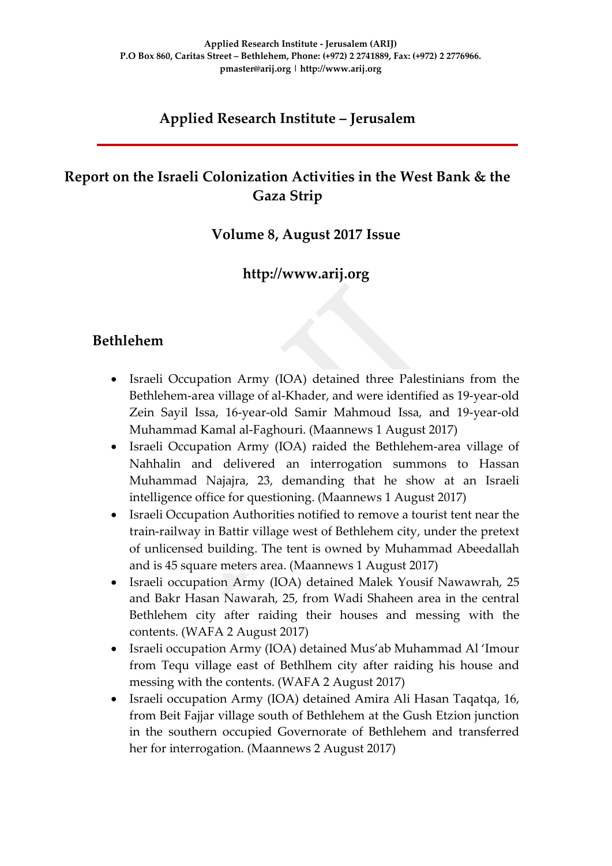## **Applied Research Institute – Jerusalem**

## **Report on the Israeli Colonization Activities in the West Bank & the Gaza Strip**

### **Volume 8, August 2017 Issue**

### **http://www.arij.org**

### **Bethlehem**

- Israeli Occupation Army (IOA) detained three Palestinians from the Bethlehem-area village of al-Khader, and were identified as 19-year-old Zein Sayil Issa, 16-year-old Samir Mahmoud Issa, and 19-year-old Muhammad Kamal al-Faghouri. (Maannews 1 August 2017)
- Israeli Occupation Army (IOA) raided the Bethlehem-area village of Nahhalin and delivered an interrogation summons to Hassan Muhammad Najajra, 23, demanding that he show at an Israeli intelligence office for questioning. (Maannews 1 August 2017)
- Israeli Occupation Authorities notified to remove a tourist tent near the train-railway in Battir village west of Bethlehem city, under the pretext of unlicensed building. The tent is owned by Muhammad Abeedallah and is 45 square meters area. (Maannews 1 August 2017)
- Israeli occupation Army (IOA) detained Malek Yousif Nawawrah, 25 and Bakr Hasan Nawarah, 25, from Wadi Shaheen area in the central Bethlehem city after raiding their houses and messing with the contents. (WAFA 2 August 2017)
- Israeli occupation Army (IOA) detained Mus'ab Muhammad Al 'Imour from Tequ village east of Bethlhem city after raiding his house and messing with the contents. (WAFA 2 August 2017)
- Israeli occupation Army (IOA) detained Amira Ali Hasan Taqatqa, 16, from Beit Fajjar village south of Bethlehem at the Gush Etzion junction in the southern occupied Governorate of Bethlehem and transferred her for interrogation. (Maannews 2 August 2017)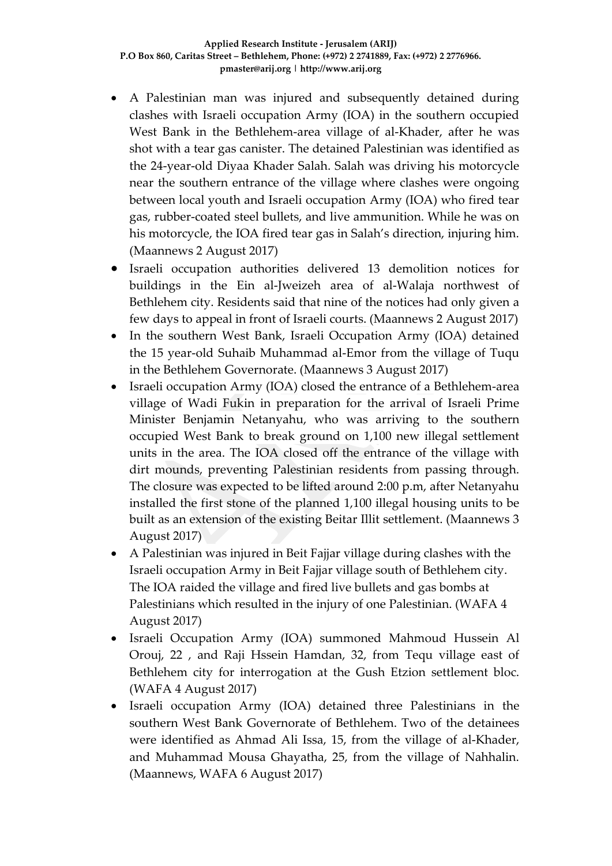- A Palestinian man was injured and subsequently detained during clashes with Israeli occupation Army (IOA) in the southern occupied West Bank in the Bethlehem-area village of al-Khader, after he was shot with a tear gas canister. The detained Palestinian was identified as the 24-year-old Diyaa Khader Salah. Salah was driving his motorcycle near the southern entrance of the village where clashes were ongoing between local youth and Israeli occupation Army (IOA) who fired tear gas, rubber-coated steel bullets, and live ammunition. While he was on his motorcycle, the IOA fired tear gas in Salah's direction, injuring him. (Maannews 2 August 2017)
- Israeli occupation authorities delivered 13 demolition notices for buildings in the Ein al-Jweizeh area of al-Walaja northwest of Bethlehem city. Residents said that nine of the notices had only given a few days to appeal in front of Israeli courts. (Maannews 2 August 2017)
- In the southern West Bank, Israeli Occupation Army (IOA) detained the 15 year-old Suhaib Muhammad al-Emor from the village of Tuqu in the Bethlehem Governorate. (Maannews 3 August 2017)
- Israeli occupation Army (IOA) closed the entrance of a Bethlehem-area village of Wadi Fukin in preparation for the arrival of Israeli Prime Minister Benjamin Netanyahu, who was arriving to the southern occupied West Bank to break ground on 1,100 new illegal settlement units in the area. The IOA closed off the entrance of the village with dirt mounds, preventing Palestinian residents from passing through. The closure was expected to be lifted around 2:00 p.m, after Netanyahu installed the first stone of the planned 1,100 illegal housing units to be built as an extension of the existing Beitar Illit settlement. (Maannews 3 August 2017)
- A Palestinian was injured in Beit Fajjar village during clashes with the Israeli occupation Army in Beit Fajjar village south of Bethlehem city. The IOA raided the village and fired live bullets and gas bombs at Palestinians which resulted in the injury of one Palestinian. (WAFA 4 August 2017)
- Israeli Occupation Army (IOA) summoned Mahmoud Hussein Al Orouj, 22 , and Raji Hssein Hamdan, 32, from Tequ village east of Bethlehem city for interrogation at the Gush Etzion settlement bloc. (WAFA 4 August 2017)
- Israeli occupation Army (IOA) detained three Palestinians in the southern West Bank Governorate of Bethlehem. Two of the detainees were identified as Ahmad Ali Issa, 15, from the village of al-Khader, and Muhammad Mousa Ghayatha, 25, from the village of Nahhalin. (Maannews, WAFA 6 August 2017)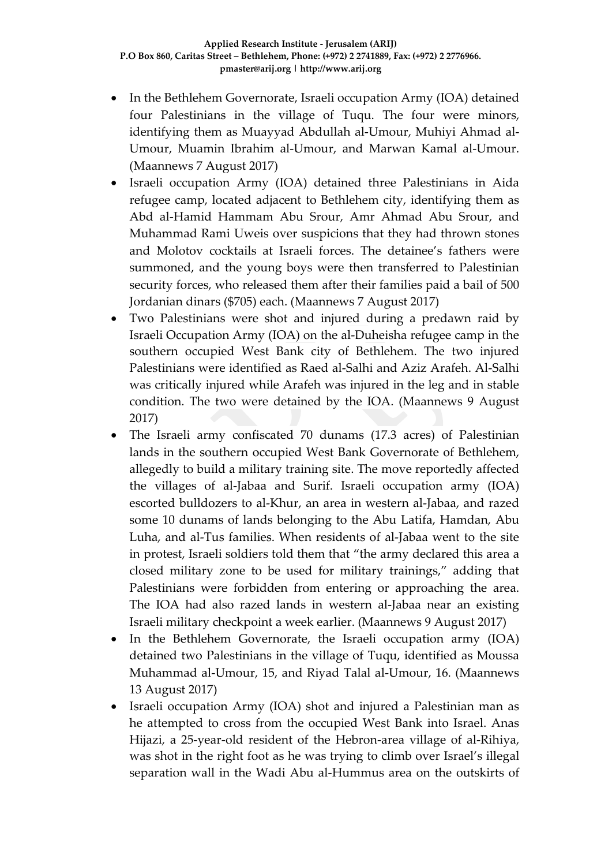- In the Bethlehem Governorate, Israeli occupation Army (IOA) detained four Palestinians in the village of Tuqu. The four were minors, identifying them as Muayyad Abdullah al-Umour, Muhiyi Ahmad al-Umour, Muamin Ibrahim al-Umour, and Marwan Kamal al-Umour. (Maannews 7 August 2017)
- Israeli occupation Army (IOA) detained three Palestinians in Aida refugee camp, located adjacent to Bethlehem city, identifying them as Abd al-Hamid Hammam Abu Srour, Amr Ahmad Abu Srour, and Muhammad Rami Uweis over suspicions that they had thrown stones and Molotov cocktails at Israeli forces. The detainee's fathers were summoned, and the young boys were then transferred to Palestinian security forces, who released them after their families paid a bail of 500 Jordanian dinars (\$705) each. (Maannews 7 August 2017)
- Two Palestinians were shot and injured during a predawn raid by Israeli Occupation Army (IOA) on the al-Duheisha refugee camp in the southern occupied West Bank city of Bethlehem. The two injured Palestinians were identified as Raed al-Salhi and Aziz Arafeh. Al-Salhi was critically injured while Arafeh was injured in the leg and in stable condition. The two were detained by the IOA. (Maannews 9 August 2017)
- The Israeli army confiscated 70 dunams (17.3 acres) of Palestinian lands in the southern occupied West Bank Governorate of Bethlehem, allegedly to build a military training site. The move reportedly affected the villages of al-Jabaa and Surif. Israeli occupation army (IOA) escorted bulldozers to al-Khur, an area in western al-Jabaa, and razed some 10 dunams of lands belonging to the Abu Latifa, Hamdan, Abu Luha, and al-Tus families. When residents of al-Jabaa went to the site in protest, Israeli soldiers told them that "the army declared this area a closed military zone to be used for military trainings," adding that Palestinians were forbidden from entering or approaching the area. The IOA had also razed lands in western al-Jabaa near an existing Israeli military checkpoint a week earlier. (Maannews 9 August 2017)
- In the Bethlehem Governorate, the Israeli occupation army (IOA) detained two Palestinians in the village of Tuqu, identified as Moussa Muhammad al-Umour, 15, and Riyad Talal al-Umour, 16. (Maannews 13 August 2017)
- Israeli occupation Army (IOA) shot and injured a Palestinian man as he attempted to cross from the occupied West Bank into Israel. Anas Hijazi, a 25-year-old resident of the Hebron-area village of al-Rihiya, was shot in the right foot as he was trying to climb over Israel's illegal separation wall in the Wadi Abu al-Hummus area on the outskirts of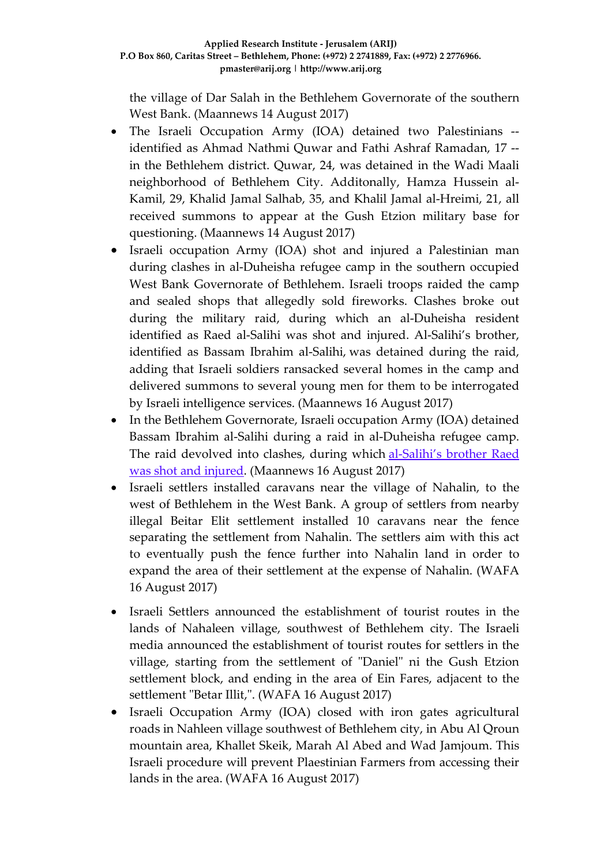the village of Dar Salah in the Bethlehem Governorate of the southern West Bank. (Maannews 14 August 2017)

- The Israeli Occupation Army (IOA) detained two Palestinians identified as Ahmad Nathmi Quwar and Fathi Ashraf Ramadan, 17 - in the Bethlehem district. Quwar, 24, was detained in the Wadi Maali neighborhood of Bethlehem City. Additonally, Hamza Hussein al-Kamil, 29, Khalid Jamal Salhab, 35, and Khalil Jamal al-Hreimi, 21, all received summons to appear at the Gush Etzion military base for questioning. (Maannews 14 August 2017)
- Israeli occupation Army (IOA) shot and injured a Palestinian man during clashes in al-Duheisha refugee camp in the southern occupied West Bank Governorate of Bethlehem. Israeli troops raided the camp and sealed shops that allegedly sold fireworks. Clashes broke out during the military raid, during which an al-Duheisha resident identified as Raed al-Salihi was shot and injured. Al-Salihi's brother, identified as Bassam Ibrahim al-Salihi, was detained during the raid, adding that Israeli soldiers ransacked several homes in the camp and delivered summons to several young men for them to be interrogated by Israeli intelligence services. (Maannews 16 August 2017)
- In the Bethlehem Governorate, Israeli occupation Army (IOA) detained Bassam Ibrahim al-Salihi during a raid in al-Duheisha refugee camp. The raid devolved into clashes, during which [al-Salihi's](https://www.maannews.com/Content.aspx?id=778708) brother Raed was shot and [injured.](https://www.maannews.com/Content.aspx?id=778708) (Maannews 16 August 2017)
- Israeli settlers installed caravans near the village of Nahalin, to the west of Bethlehem in the West Bank. A group of settlers from nearby illegal Beitar Elit settlement installed 10 caravans near the fence separating the settlement from Nahalin. The settlers aim with this act to eventually push the fence further into Nahalin land in order to expand the area of their settlement at the expense of Nahalin. (WAFA 16 August 2017)
- Israeli Settlers announced the establishment of tourist routes in the lands of Nahaleen village, southwest of Bethlehem city. The Israeli media announced the establishment of tourist routes for settlers in the village, starting from the settlement of "Daniel" ni the Gush Etzion settlement block, and ending in the area of Ein Fares, adjacent to the settlement "Betar Illit,". (WAFA 16 August 2017)
- Israeli Occupation Army (IOA) closed with iron gates agricultural roads in Nahleen village southwest of Bethlehem city, in Abu Al Qroun mountain area, Khallet Skeik, Marah Al Abed and Wad Jamjoum. This Israeli procedure will prevent Plaestinian Farmers from accessing their lands in the area. (WAFA 16 August 2017)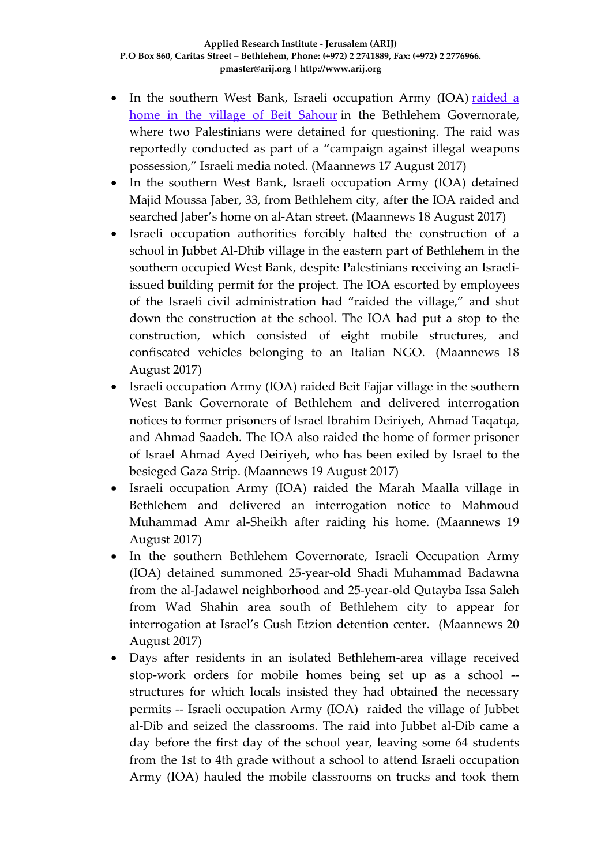- In the southern West Bank, Israeli occupation Army (IOA) [raided](http://www.israelnationalnews.com/News/Flash.aspx/395596) a home in the village of Beit [Sahour](http://www.israelnationalnews.com/News/Flash.aspx/395596) in the Bethlehem Governorate, where two Palestinians were detained for questioning. The raid was reportedly conducted as part of a "campaign against illegal weapons possession," Israeli media noted. (Maannews 17 August 2017)
- In the southern West Bank, Israeli occupation Army (IOA) detained Majid Moussa Jaber, 33, from Bethlehem city, after the IOA raided and searched Jaber's home on al-Atan street. (Maannews 18 August 2017)
- Israeli occupation authorities forcibly halted the construction of a school in Jubbet Al-Dhib village in the eastern part of Bethlehem in the southern occupied West Bank, despite Palestinians receiving an Israeliissued building permit for the project. The IOA escorted by employees of the Israeli civil administration had "raided the village," and shut down the construction at the school. The IOA had put a stop to the construction, which consisted of eight mobile structures, and confiscated vehicles belonging to an Italian NGO. (Maannews 18 August 2017)
- Israeli occupation Army (IOA) raided Beit Fajjar village in the southern West Bank Governorate of Bethlehem and delivered interrogation notices to former prisoners of Israel Ibrahim Deiriyeh, Ahmad Taqatqa, and Ahmad Saadeh. The IOA also raided the home of former prisoner of Israel Ahmad Ayed Deiriyeh, who has been exiled by Israel to the besieged Gaza Strip. (Maannews 19 August 2017)
- Israeli occupation Army (IOA) raided the Marah Maalla village in Bethlehem and delivered an interrogation notice to Mahmoud Muhammad Amr al-Sheikh after raiding his home. (Maannews 19 August 2017)
- In the southern Bethlehem Governorate, Israeli Occupation Army (IOA) detained summoned 25-year-old Shadi Muhammad Badawna from the al-Jadawel neighborhood and 25-year-old Qutayba Issa Saleh from Wad Shahin area south of Bethlehem city to appear for interrogation at Israel's Gush Etzion detention center. (Maannews 20 August 2017)
- Days after residents in an isolated Bethlehem-area village received stop-work orders for mobile homes being set up as a school - structures for which locals insisted they had obtained the necessary permits -- Israeli occupation Army (IOA) raided the village of Jubbet al-Dib and seized the classrooms. The raid into Jubbet al-Dib came a day before the first day of the school year, leaving some 64 students from the 1st to 4th grade without a school to attend Israeli occupation Army (IOA) hauled the mobile classrooms on trucks and took them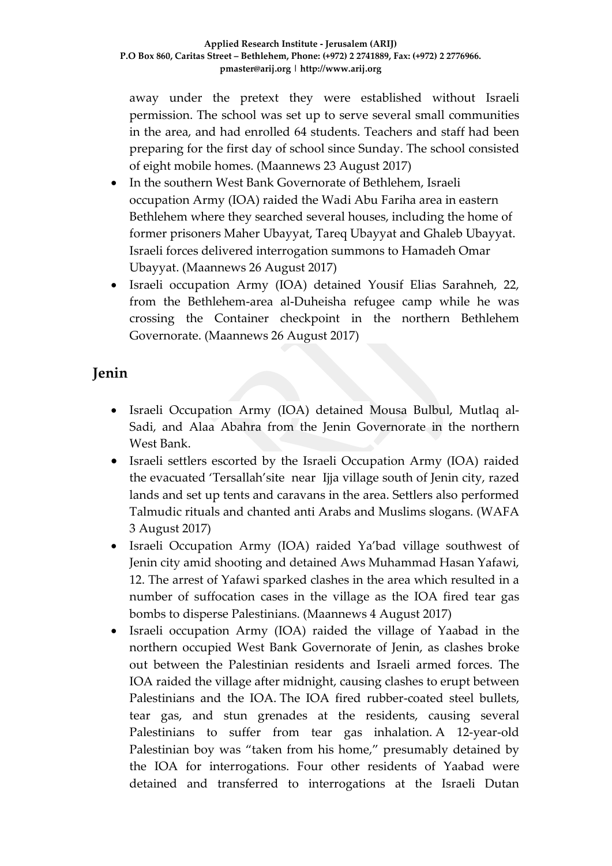away under the pretext they were established without Israeli permission. The school was set up to serve several small communities in the area, and had enrolled 64 students. Teachers and staff had been preparing for the first day of school since Sunday. The school consisted of eight mobile homes. (Maannews 23 August 2017)

- In the southern West Bank Governorate of Bethlehem, Israeli occupation Army (IOA) raided the Wadi Abu Fariha area in eastern Bethlehem where they searched several houses, including the home of former prisoners Maher Ubayyat, Tareq Ubayyat and Ghaleb Ubayyat. Israeli forces delivered interrogation summons to Hamadeh Omar Ubayyat. (Maannews 26 August 2017)
- Israeli occupation Army (IOA) detained Yousif Elias Sarahneh, 22, from the Bethlehem-area al-Duheisha refugee camp while he was crossing the Container checkpoint in the northern Bethlehem Governorate. (Maannews 26 August 2017)

## **Jenin**

- Israeli Occupation Army (IOA) detained Mousa Bulbul, Mutlaq al-Sadi, and Alaa Abahra from the Jenin Governorate in the northern West Bank.
- Israeli settlers escorted by the Israeli Occupation Army (IOA) raided the evacuated 'Tersallah'site near Ijja village south of Jenin city, razed lands and set up tents and caravans in the area. Settlers also performed Talmudic rituals and chanted anti Arabs and Muslims slogans. (WAFA 3 August 2017)
- Israeli Occupation Army (IOA) raided Ya'bad village southwest of Jenin city amid shooting and detained Aws Muhammad Hasan Yafawi, 12. The arrest of Yafawi sparked clashes in the area which resulted in a number of suffocation cases in the village as the IOA fired tear gas bombs to disperse Palestinians. (Maannews 4 August 2017)
- Israeli occupation Army (IOA) raided the village of Yaabad in the northern occupied West Bank Governorate of Jenin, as clashes broke out between the Palestinian residents and Israeli armed forces. The IOA raided the village after midnight, causing clashes to erupt between Palestinians and the IOA. The IOA fired rubber-coated steel bullets, tear gas, and stun grenades at the residents, causing several Palestinians to suffer from tear gas inhalation. A 12-year-old Palestinian boy was "taken from his home," presumably detained by the IOA for interrogations. Four other residents of Yaabad were detained and transferred to interrogations at the Israeli Dutan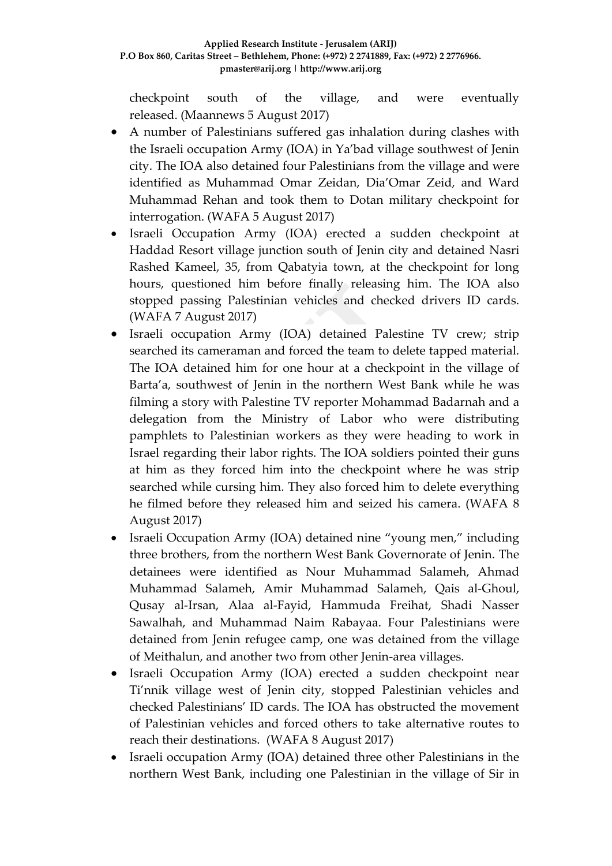checkpoint south of the village, and were eventually released. (Maannews 5 August 2017)

- A number of Palestinians suffered gas inhalation during clashes with the Israeli occupation Army (IOA) in Ya'bad village southwest of Jenin city. The IOA also detained four Palestinians from the village and were identified as Muhammad Omar Zeidan, Dia'Omar Zeid, and Ward Muhammad Rehan and took them to Dotan military checkpoint for interrogation. (WAFA 5 August 2017)
- Israeli Occupation Army (IOA) erected a sudden checkpoint at Haddad Resort village junction south of Jenin city and detained Nasri Rashed Kameel, 35, from Qabatyia town, at the checkpoint for long hours, questioned him before finally releasing him. The IOA also stopped passing Palestinian vehicles and checked drivers ID cards. (WAFA 7 August 2017)
- Israeli occupation Army (IOA) detained Palestine TV crew; strip searched its cameraman and forced the team to delete tapped material. The IOA detained him for one hour at a checkpoint in the village of Barta'a, southwest of Jenin in the northern West Bank while he was filming a story with Palestine TV reporter Mohammad Badarnah and a delegation from the Ministry of Labor who were distributing pamphlets to Palestinian workers as they were heading to work in Israel regarding their labor rights. The IOA soldiers pointed their guns at him as they forced him into the checkpoint where he was strip searched while cursing him. They also forced him to delete everything he filmed before they released him and seized his camera. (WAFA 8 August 2017)
- Israeli Occupation Army (IOA) detained nine "young men," including three brothers, from the northern West Bank Governorate of Jenin. The detainees were identified as Nour Muhammad Salameh, Ahmad Muhammad Salameh, Amir Muhammad Salameh, Qais al-Ghoul, Qusay al-Irsan, Alaa al-Fayid, Hammuda Freihat, Shadi Nasser Sawalhah, and Muhammad Naim Rabayaa. Four Palestinians were detained from Jenin refugee camp, one was detained from the village of Meithalun, and another two from other Jenin-area villages.
- Israeli Occupation Army (IOA) erected a sudden checkpoint near Ti'nnik village west of Jenin city, stopped Palestinian vehicles and checked Palestinians' ID cards. The IOA has obstructed the movement of Palestinian vehicles and forced others to take alternative routes to reach their destinations. (WAFA 8 August 2017)
- Israeli occupation Army (IOA) detained three other Palestinians in the northern West Bank, including one Palestinian in the village of Sir in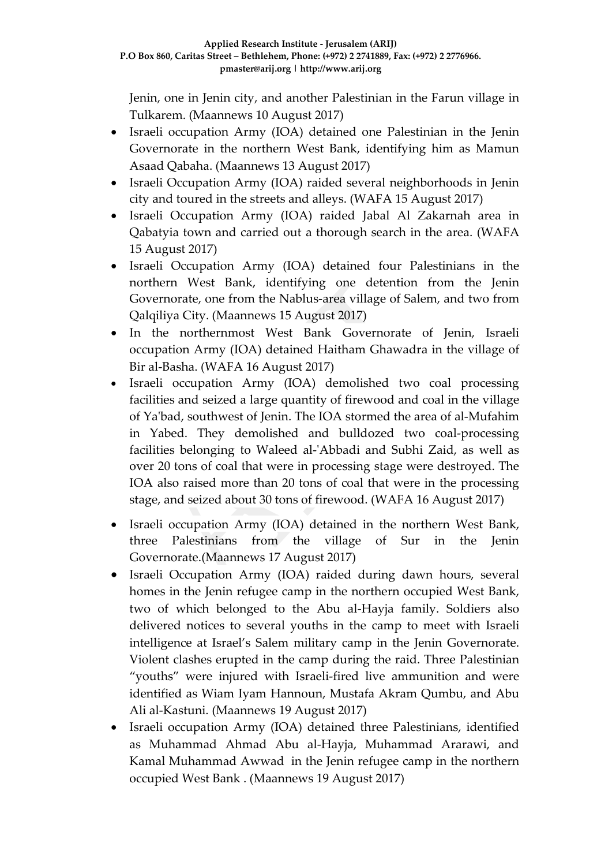Jenin, one in Jenin city, and another Palestinian in the Farun village in Tulkarem. (Maannews 10 August 2017)

- Israeli occupation Army (IOA) detained one Palestinian in the Jenin Governorate in the northern West Bank, identifying him as Mamun Asaad Qabaha. (Maannews 13 August 2017)
- Israeli Occupation Army (IOA) raided several neighborhoods in Jenin city and toured in the streets and alleys. (WAFA 15 August 2017)
- Israeli Occupation Army (IOA) raided Jabal Al Zakarnah area in Qabatyia town and carried out a thorough search in the area. (WAFA 15 August 2017)
- Israeli Occupation Army (IOA) detained four Palestinians in the northern West Bank, identifying one detention from the Jenin Governorate, one from the Nablus-area village of Salem, and two from Qalqiliya City. (Maannews 15 August 2017)
- In the northernmost West Bank Governorate of Jenin, Israeli occupation Army (IOA) detained Haitham Ghawadra in the village of Bir al-Basha. (WAFA 16 August 2017)
- Israeli occupation Army (IOA) demolished two coal processing facilities and seized a large quantity of firewood and coal in the village of Ya'bad, southwest of Jenin. The IOA stormed the area of al-Mufahim in Yabed. They demolished and bulldozed two coal-processing facilities belonging to Waleed al-'Abbadi and Subhi Zaid, as well as over 20 tons of coal that were in processing stage were destroyed. The IOA also raised more than 20 tons of coal that were in the processing stage, and seized about 30 tons of firewood. (WAFA 16 August 2017)
- Israeli occupation Army (IOA) detained in the northern West Bank, three Palestinians from the village of Sur in the Jenin Governorate.(Maannews 17 August 2017)
- Israeli Occupation Army (IOA) raided during dawn hours, several homes in the Jenin refugee camp in the northern occupied West Bank, two of which belonged to the Abu al-Hayja family. Soldiers also delivered notices to several youths in the camp to meet with Israeli intelligence at Israel's Salem military camp in the Jenin Governorate. Violent clashes erupted in the camp during the raid. Three Palestinian "youths" were injured with Israeli-fired live ammunition and were identified as Wiam Iyam Hannoun, Mustafa Akram Qumbu, and Abu Ali al-Kastuni. (Maannews 19 August 2017)
- Israeli occupation Army (IOA) detained three Palestinians, identified as Muhammad Ahmad Abu al-Hayja, Muhammad Ararawi, and Kamal Muhammad Awwad in the Jenin refugee camp in the northern occupied West Bank . (Maannews 19 August 2017)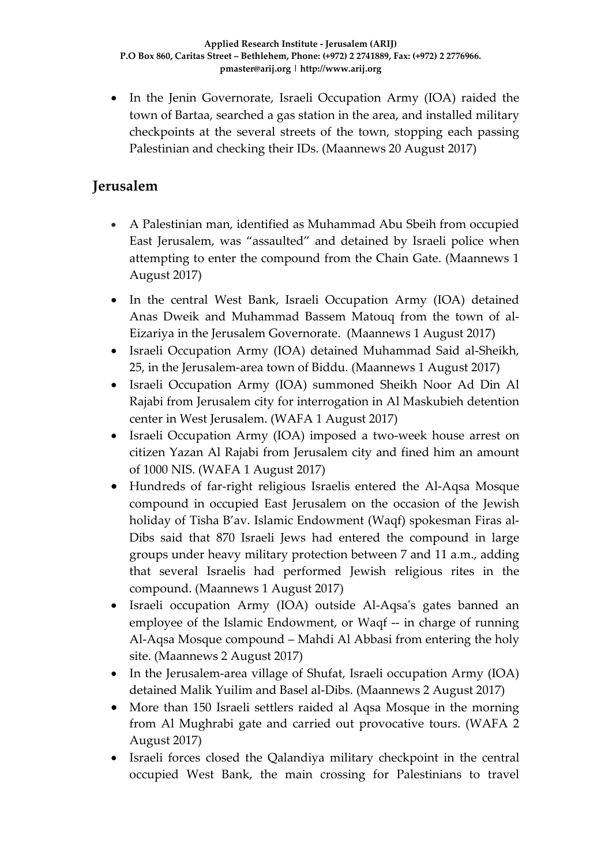• In the Jenin Governorate, Israeli Occupation Army (IOA) raided the town of Bartaa, searched a gas station in the area, and installed military checkpoints at the several streets of the town, stopping each passing Palestinian and checking their IDs. (Maannews 20 August 2017)

### **Jerusalem**

- A Palestinian man, identified as Muhammad Abu Sbeih from occupied East Jerusalem, was "assaulted" and detained by Israeli police when attempting to enter the compound from the Chain Gate. (Maannews 1 August 2017)
- In the central West Bank, Israeli Occupation Army (IOA) detained Anas Dweik and Muhammad Bassem Matouq from the town of al-Eizariya in the Jerusalem Governorate. (Maannews 1 August 2017)
- Israeli Occupation Army (IOA) detained Muhammad Said al-Sheikh, 25, in the Jerusalem-area town of Biddu. (Maannews 1 August 2017)
- Israeli Occupation Army (IOA) summoned Sheikh Noor Ad Din Al Rajabi from Jerusalem city for interrogation in Al Maskubieh detention center in West Jerusalem. (WAFA 1 August 2017)
- Israeli Occupation Army (IOA) imposed a two-week house arrest on citizen Yazan Al Rajabi from Jerusalem city and fined him an amount of 1000 NIS. (WAFA 1 August 2017)
- Hundreds of far-right religious Israelis entered the Al-Aqsa Mosque compound in occupied East Jerusalem on the occasion of the Jewish holiday of Tisha B'av. Islamic Endowment (Waqf) spokesman Firas al-Dibs said that 870 Israeli Jews had entered the compound in large groups under heavy military protection between 7 and 11 a.m., adding that several Israelis had performed Jewish religious rites in the compound. (Maannews 1 August 2017)
- Israeli occupation Army (IOA) outside Al-Aqsa's gates banned an employee of the Islamic Endowment, or Waqf -- in charge of running Al-Aqsa Mosque compound – Mahdi Al Abbasi from entering the holy site. (Maannews 2 August 2017)
- In the Jerusalem-area village of Shufat, Israeli occupation Army (IOA) detained Malik Yuilim and Basel al-Dibs. (Maannews 2 August 2017)
- More than 150 Israeli settlers raided al Aqsa Mosque in the morning from Al Mughrabi gate and carried out provocative tours. (WAFA 2 August 2017)
- Israeli forces closed the Qalandiya military checkpoint in the central occupied West Bank, the main crossing for Palestinians to travel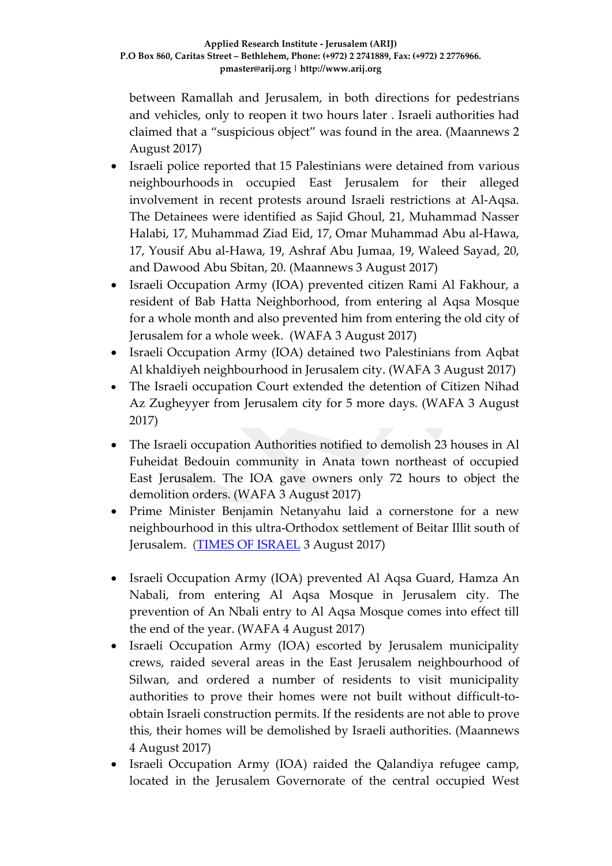between Ramallah and Jerusalem, in both directions for pedestrians and vehicles, only to reopen it two hours later . Israeli authorities had claimed that a "suspicious object" was found in the area. (Maannews 2 August 2017)

- Israeli police reported that 15 Palestinians were detained from various neighbourhoods in occupied East Jerusalem for their alleged involvement in recent protests around Israeli restrictions at Al-Aqsa. The Detainees were identified as Sajid Ghoul, 21, Muhammad Nasser Halabi, 17, Muhammad Ziad Eid, 17, Omar Muhammad Abu al-Hawa, 17, Yousif Abu al-Hawa, 19, Ashraf Abu Jumaa, 19, Waleed Sayad, 20, and Dawood Abu Sbitan, 20. (Maannews 3 August 2017)
- Israeli Occupation Army (IOA) prevented citizen Rami Al Fakhour, a resident of Bab Hatta Neighborhood, from entering al Aqsa Mosque for a whole month and also prevented him from entering the old city of Jerusalem for a whole week. (WAFA 3 August 2017)
- Israeli Occupation Army (IOA) detained two Palestinians from Aqbat Al khaldiyeh neighbourhood in Jerusalem city. (WAFA 3 August 2017)
- The Israeli occupation Court extended the detention of Citizen Nihad Az Zugheyyer from Jerusalem city for 5 more days. (WAFA 3 August 2017)
- The Israeli occupation Authorities notified to demolish 23 houses in Al Fuheidat Bedouin community in Anata town northeast of occupied East Jerusalem. The IOA gave owners only 72 hours to object the demolition orders. (WAFA 3 August 2017)
- Prime Minister Benjamin Netanyahu laid a cornerstone for a new neighbourhood in this ultra-Orthodox settlement of Beitar Illit south of Jerusalem. [\(TIMES OF ISRAEL](http://www.timesofisrael.com/netanyahu-no-government-has-done-more-for-settlers-than-mine/) 3 August 2017)
- Israeli Occupation Army (IOA) prevented Al Aqsa Guard, Hamza An Nabali, from entering Al Aqsa Mosque in Jerusalem city. The prevention of An Nbali entry to Al Aqsa Mosque comes into effect till the end of the year. (WAFA 4 August 2017)
- Israeli Occupation Army (IOA) escorted by Jerusalem municipality crews, raided several areas in the East Jerusalem neighbourhood of Silwan, and ordered a number of residents to visit municipality authorities to prove their homes were not built without difficult-toobtain Israeli construction permits. If the residents are not able to prove this, their homes will be demolished by Israeli authorities. (Maannews 4 August 2017)
- Israeli Occupation Army (IOA) raided the Qalandiya refugee camp, located in the Jerusalem Governorate of the central occupied West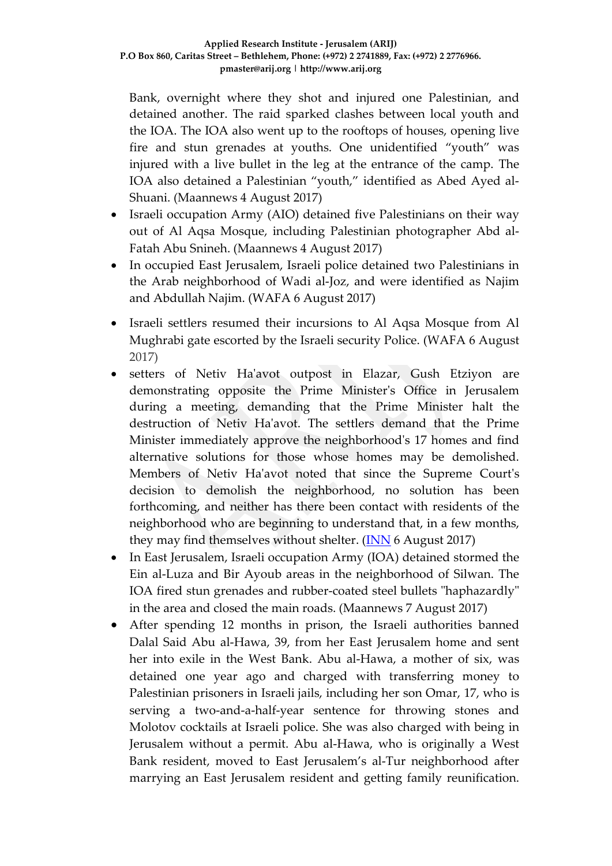Bank, overnight where they shot and injured one Palestinian, and detained another. The raid sparked clashes between local youth and the IOA. The IOA also went up to the rooftops of houses, opening live fire and stun grenades at youths. One unidentified "youth" was injured with a live bullet in the leg at the entrance of the camp. The IOA also detained a Palestinian "youth," identified as Abed Ayed al-Shuani. (Maannews 4 August 2017)

- Israeli occupation Army (AIO) detained five Palestinians on their way out of Al Aqsa Mosque, including Palestinian photographer Abd al-Fatah Abu Snineh. (Maannews 4 August 2017)
- In occupied East Jerusalem, Israeli police detained two Palestinians in the Arab neighborhood of Wadi al-Joz, and were identified as Najim and Abdullah Najim. (WAFA 6 August 2017)
- Israeli settlers resumed their incursions to Al Aqsa Mosque from Al Mughrabi gate escorted by the Israeli security Police. (WAFA 6 August 2017)
- setters of Netiv Ha'avot outpost in Elazar, Gush Etziyon are demonstrating opposite the Prime Minister's Office in Jerusalem during a meeting, demanding that the Prime Minister halt the destruction of Netiv Ha'avot. The settlers demand that the Prime Minister immediately approve the neighborhood's 17 homes and find alternative solutions for those whose homes may be demolished. Members of Netiv Ha'avot noted that since the Supreme Court's decision to demolish the neighborhood, no solution has been forthcoming, and neither has there been contact with residents of the neighborhood who are beginning to understand that, in a few months, they may find themselves without shelter.  $(\overline{\text{INN}})$  6 August 2017)
- In East Jerusalem, Israeli occupation Army (IOA) detained stormed the Ein al-Luza and Bir Ayoub areas in the neighborhood of Silwan. The IOA fired stun grenades and rubber-coated steel bullets "haphazardly" in the area and closed the main roads. (Maannews 7 August 2017)
- After spending 12 months in prison, the Israeli authorities banned Dalal Said Abu al-Hawa, 39, from her East Jerusalem home and sent her into exile in the West Bank. Abu al-Hawa, a mother of six, was detained one year ago and charged with transferring money to Palestinian prisoners in Israeli jails, including her son Omar, 17, who is serving a two-and-a-half-year sentence for throwing stones and Molotov cocktails at Israeli police. She was also charged with being in Jerusalem without a permit. Abu al-Hawa, who is originally a West Bank resident, moved to East Jerusalem's al-Tur neighborhood after marrying an East Jerusalem resident and getting family reunification.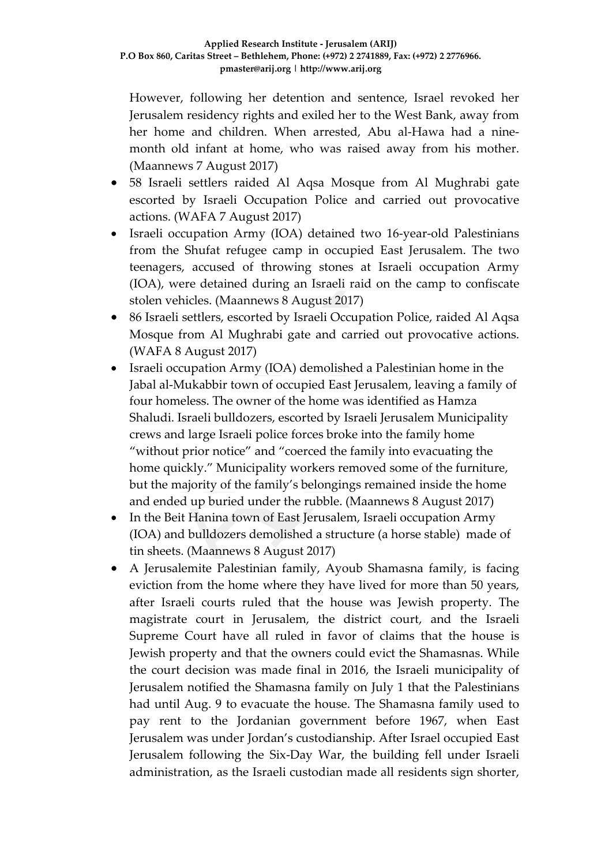However, following her detention and sentence, Israel revoked her Jerusalem residency rights and exiled her to the West Bank, away from her home and children. When arrested, Abu al-Hawa had a ninemonth old infant at home, who was raised away from his mother. (Maannews 7 August 2017)

- 58 Israeli settlers raided Al Aqsa Mosque from Al Mughrabi gate escorted by Israeli Occupation Police and carried out provocative actions. (WAFA 7 August 2017)
- Israeli occupation Army (IOA) detained two 16-year-old Palestinians from the Shufat refugee camp in occupied East Jerusalem. The two teenagers, accused of throwing stones at Israeli occupation Army (IOA), were detained during an Israeli raid on the camp to confiscate stolen vehicles. (Maannews 8 August 2017)
- 86 Israeli settlers, escorted by Israeli Occupation Police, raided Al Aqsa Mosque from Al Mughrabi gate and carried out provocative actions. (WAFA 8 August 2017)
- Israeli occupation Army (IOA) demolished a Palestinian home in the Jabal al-Mukabbir town of occupied East Jerusalem, leaving a family of four homeless. The owner of the home was identified as Hamza Shaludi. Israeli bulldozers, escorted by Israeli Jerusalem Municipality crews and large Israeli police forces broke into the family home "without prior notice" and "coerced the family into evacuating the home quickly." Municipality workers removed some of the furniture, but the majority of the family's belongings remained inside the home and ended up buried under the rubble. (Maannews 8 August 2017)
- In the Beit Hanina town of East Jerusalem, Israeli occupation Army (IOA) and bulldozers demolished a structure (a horse stable) made of tin sheets. (Maannews 8 August 2017)
- A Jerusalemite Palestinian family, Ayoub Shamasna family, is facing eviction from the home where they have lived for more than 50 years, after Israeli courts ruled that the house was Jewish property. The magistrate court in Jerusalem, the district court, and the Israeli Supreme Court have all ruled in favor of claims that the house is Jewish property and that the owners could evict the Shamasnas. While the court decision was made final in 2016, the Israeli municipality of Jerusalem notified the Shamasna family on July 1 that the Palestinians had until Aug. 9 to evacuate the house. The Shamasna family used to pay rent to the Jordanian government before 1967, when East Jerusalem was under Jordan's custodianship. After Israel occupied East Jerusalem following the Six-Day War, the building fell under Israeli administration, as the Israeli custodian made all residents sign shorter,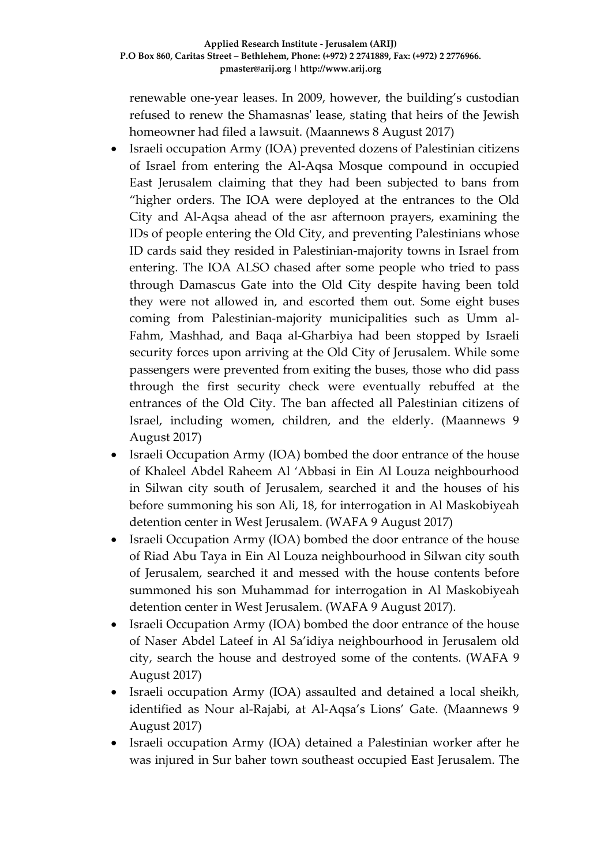renewable one-year leases. In 2009, however, the building's custodian refused to renew the Shamasnas' lease, stating that heirs of the Jewish homeowner had filed a lawsuit. (Maannews 8 August 2017)

- Israeli occupation Army (IOA) prevented dozens of Palestinian citizens of Israel from entering the Al-Aqsa Mosque compound in occupied East Jerusalem claiming that they had been subjected to bans from "higher orders. The IOA were deployed at the entrances to the Old City and Al-Aqsa ahead of the asr afternoon prayers, examining the IDs of people entering the Old City, and preventing Palestinians whose ID cards said they resided in Palestinian-majority towns in Israel from entering. The IOA ALSO chased after some people who tried to pass through Damascus Gate into the Old City despite having been told they were not allowed in, and escorted them out. Some eight buses coming from Palestinian-majority municipalities such as Umm al-Fahm, Mashhad, and Baqa al-Gharbiya had been stopped by Israeli security forces upon arriving at the Old City of Jerusalem. While some passengers were prevented from exiting the buses, those who did pass through the first security check were eventually rebuffed at the entrances of the Old City. The ban affected all Palestinian citizens of Israel, including women, children, and the elderly. (Maannews 9 August 2017)
- Israeli Occupation Army (IOA) bombed the door entrance of the house of Khaleel Abdel Raheem Al 'Abbasi in Ein Al Louza neighbourhood in Silwan city south of Jerusalem, searched it and the houses of his before summoning his son Ali, 18, for interrogation in Al Maskobiyeah detention center in West Jerusalem. (WAFA 9 August 2017)
- Israeli Occupation Army (IOA) bombed the door entrance of the house of Riad Abu Taya in Ein Al Louza neighbourhood in Silwan city south of Jerusalem, searched it and messed with the house contents before summoned his son Muhammad for interrogation in Al Maskobiyeah detention center in West Jerusalem. (WAFA 9 August 2017).
- Israeli Occupation Army (IOA) bombed the door entrance of the house of Naser Abdel Lateef in Al Sa'idiya neighbourhood in Jerusalem old city, search the house and destroyed some of the contents. (WAFA 9 August 2017)
- Israeli occupation Army (IOA) assaulted and detained a local sheikh, identified as Nour al-Rajabi, at Al-Aqsa's Lions' Gate. (Maannews 9 August 2017)
- Israeli occupation Army (IOA) detained a Palestinian worker after he was injured in Sur baher town southeast occupied East Jerusalem. The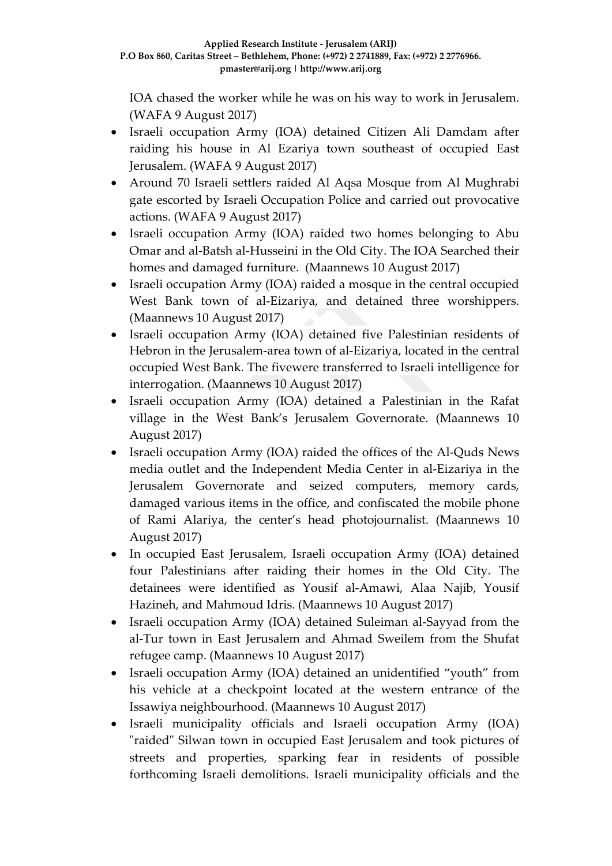IOA chased the worker while he was on his way to work in Jerusalem. (WAFA 9 August 2017)

- Israeli occupation Army (IOA) detained Citizen Ali Damdam after raiding his house in Al Ezariya town southeast of occupied East Jerusalem. (WAFA 9 August 2017)
- Around 70 Israeli settlers raided Al Aqsa Mosque from Al Mughrabi gate escorted by Israeli Occupation Police and carried out provocative actions. (WAFA 9 August 2017)
- Israeli occupation Army (IOA) raided two homes belonging to Abu Omar and al-Batsh al-Husseini in the Old City. The IOA Searched their homes and damaged furniture. (Maannews 10 August 2017)
- Israeli occupation Army (IOA) raided a mosque in the central occupied West Bank town of al-Eizariya, and detained three worshippers. (Maannews 10 August 2017)
- Israeli occupation Army (IOA) detained five Palestinian residents of Hebron in the Jerusalem-area town of al-Eizariya, located in the central occupied West Bank. The fivewere transferred to Israeli intelligence for interrogation. (Maannews 10 August 2017)
- Israeli occupation Army (IOA) detained a Palestinian in the Rafat village in the West Bank's Jerusalem Governorate. (Maannews 10 August 2017)
- Israeli occupation Army (IOA) raided the offices of the Al-Quds News media outlet and the Independent Media Center in al-Eizariya in the Jerusalem Governorate and seized computers, memory cards, damaged various items in the office, and confiscated the mobile phone of Rami Alariya, the center's head photojournalist. (Maannews 10 August 2017)
- In occupied East Jerusalem, Israeli occupation Army (IOA) detained four Palestinians after raiding their homes in the Old City. The detainees were identified as Yousif al-Amawi, Alaa Najib, Yousif Hazineh, and Mahmoud Idris. (Maannews 10 August 2017)
- Israeli occupation Army (IOA) detained Suleiman al-Sayyad from the al-Tur town in East Jerusalem and Ahmad Sweilem from the Shufat refugee camp. (Maannews 10 August 2017)
- Israeli occupation Army (IOA) detained an unidentified "youth" from his vehicle at a checkpoint located at the western entrance of the Issawiya neighbourhood. (Maannews 10 August 2017)
- Israeli municipality officials and Israeli occupation Army (IOA) "raided" Silwan town in occupied East Jerusalem and took pictures of streets and properties, sparking fear in residents of possible forthcoming Israeli demolitions. Israeli municipality officials and the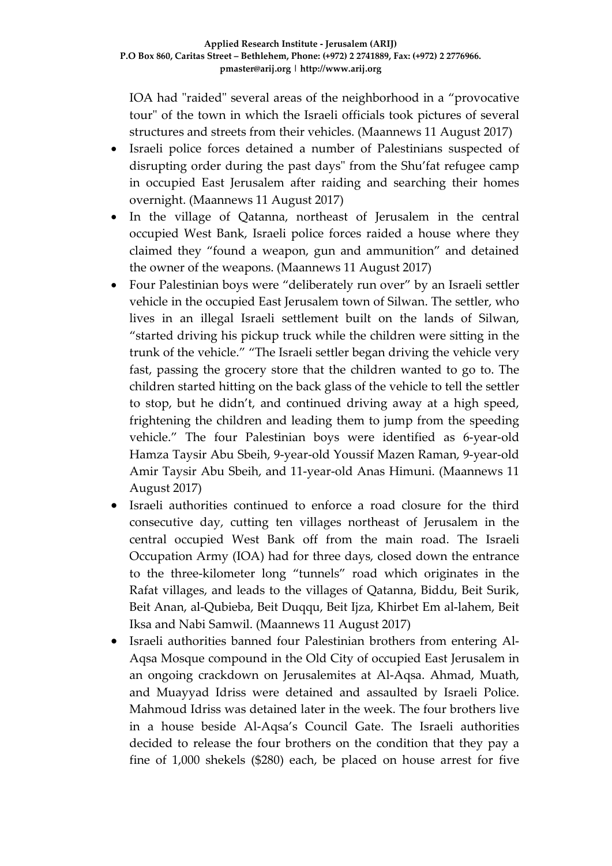IOA had "raided" several areas of the neighborhood in a "provocative tour" of the town in which the Israeli officials took pictures of several structures and streets from their vehicles. (Maannews 11 August 2017)

- Israeli police forces detained a number of Palestinians suspected of disrupting order during the past days" from the Shu'fat refugee camp in occupied East Jerusalem after raiding and searching their homes overnight. (Maannews 11 August 2017)
- In the village of Qatanna, northeast of Jerusalem in the central occupied West Bank, Israeli police forces raided a house where they claimed they "found a weapon, gun and ammunition" and detained the owner of the weapons. (Maannews 11 August 2017)
- Four Palestinian boys were "deliberately run over" by an Israeli settler vehicle in the occupied East Jerusalem town of Silwan. The settler, who lives in an illegal Israeli settlement built on the lands of Silwan, "started driving his pickup truck while the children were sitting in the trunk of the vehicle." "The Israeli settler began driving the vehicle very fast, passing the grocery store that the children wanted to go to. The children started hitting on the back glass of the vehicle to tell the settler to stop, but he didn't, and continued driving away at a high speed, frightening the children and leading them to jump from the speeding vehicle." The four Palestinian boys were identified as 6-year-old Hamza Taysir Abu Sbeih, 9-year-old Youssif Mazen Raman, 9-year-old Amir Taysir Abu Sbeih, and 11-year-old Anas Himuni. (Maannews 11 August 2017)
- Israeli authorities continued to enforce a road closure for the third consecutive day, cutting ten villages northeast of Jerusalem in the central occupied West Bank off from the main road. The Israeli Occupation Army (IOA) had for three days, closed down the entrance to the three-kilometer long "tunnels" road which originates in the Rafat villages, and leads to the villages of Qatanna, Biddu, Beit Surik, Beit Anan, al-Qubieba, Beit Duqqu, Beit Ijza, Khirbet Em al-lahem, Beit Iksa and Nabi Samwil. (Maannews 11 August 2017)
- Israeli authorities banned four Palestinian brothers from entering Al-Aqsa Mosque compound in the Old City of occupied East Jerusalem in an ongoing crackdown on Jerusalemites at Al-Aqsa. Ahmad, Muath, and Muayyad Idriss were detained and assaulted by Israeli Police. Mahmoud Idriss was detained later in the week. The four brothers live in a house beside Al-Aqsa's Council Gate. The Israeli authorities decided to release the four brothers on the condition that they pay a fine of 1,000 shekels (\$280) each, be placed on house arrest for five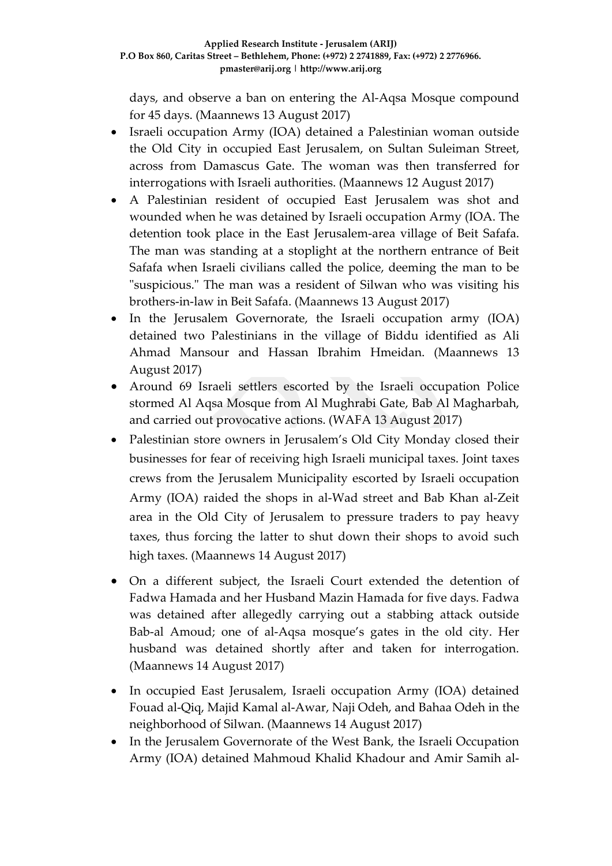days, and observe a ban on entering the Al-Aqsa Mosque compound for 45 days. (Maannews 13 August 2017)

- Israeli occupation Army (IOA) detained a Palestinian woman outside the Old City in occupied East Jerusalem, on Sultan Suleiman Street, across from Damascus Gate. The woman was then transferred for interrogations with Israeli authorities. (Maannews 12 August 2017)
- A Palestinian resident of occupied East Jerusalem was shot and wounded when he was detained by Israeli occupation Army (IOA. The detention took place in the East Jerusalem-area village of Beit Safafa. The man was standing at a stoplight at the northern entrance of Beit Safafa when Israeli civilians called the police, deeming the man to be "suspicious." The man was a resident of Silwan who was visiting his brothers-in-law in Beit Safafa. (Maannews 13 August 2017)
- In the Jerusalem Governorate, the Israeli occupation army (IOA) detained two Palestinians in the village of Biddu identified as Ali Ahmad Mansour and Hassan Ibrahim Hmeidan. (Maannews 13 August 2017)
- Around 69 Israeli settlers escorted by the Israeli occupation Police stormed Al Aqsa Mosque from Al Mughrabi Gate, Bab Al Magharbah, and carried out provocative actions. (WAFA 13 August 2017)
- Palestinian store owners in Jerusalem's Old City Monday closed their businesses for fear of receiving high Israeli municipal taxes. Joint taxes crews from the Jerusalem Municipality escorted by Israeli occupation Army (IOA) raided the shops in al-Wad street and Bab Khan al-Zeit area in the Old City of Jerusalem to pressure traders to pay heavy taxes, thus forcing the latter to shut down their shops to avoid such high taxes. (Maannews 14 August 2017)
- On a different subject, the Israeli Court extended the detention of Fadwa Hamada and her Husband Mazin Hamada for five days. Fadwa was detained after allegedly carrying out a stabbing attack outside Bab-al Amoud; one of al-Aqsa mosque's gates in the old city. Her husband was detained shortly after and taken for interrogation. (Maannews 14 August 2017)
- In occupied East Jerusalem, Israeli occupation Army (IOA) detained Fouad al-Qiq, Majid Kamal al-Awar, Naji Odeh, and Bahaa Odeh in the neighborhood of Silwan. (Maannews 14 August 2017)
- In the Jerusalem Governorate of the West Bank, the Israeli Occupation Army (IOA) detained Mahmoud Khalid Khadour and Amir Samih al-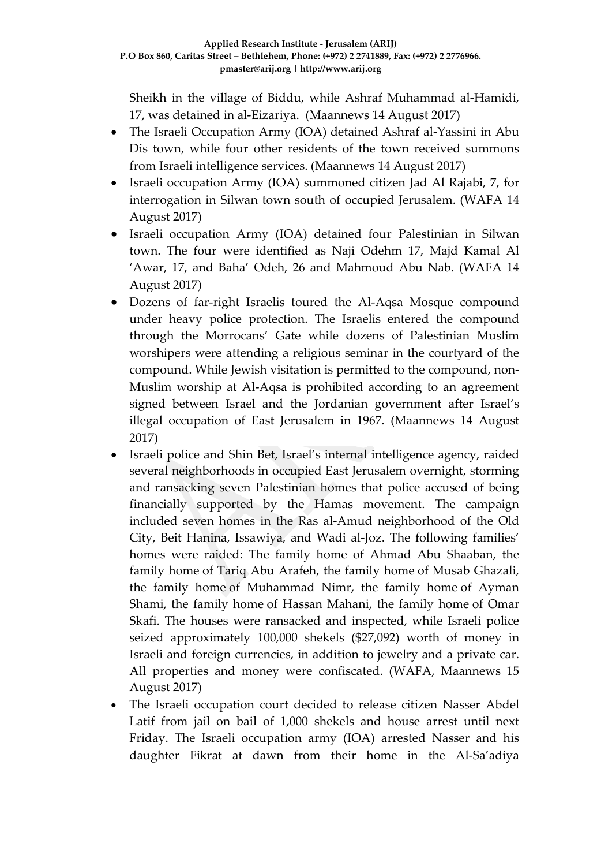Sheikh in the village of Biddu, while Ashraf Muhammad al-Hamidi, 17, was detained in al-Eizariya. (Maannews 14 August 2017)

- The Israeli Occupation Army (IOA) detained Ashraf al-Yassini in Abu Dis town, while four other residents of the town received summons from Israeli intelligence services. (Maannews 14 August 2017)
- Israeli occupation Army (IOA) summoned citizen Jad Al Rajabi, 7, for interrogation in Silwan town south of occupied Jerusalem. (WAFA 14 August 2017)
- Israeli occupation Army (IOA) detained four Palestinian in Silwan town. The four were identified as Naji Odehm 17, Majd Kamal Al 'Awar, 17, and Baha' Odeh, 26 and Mahmoud Abu Nab. (WAFA 14 August 2017)
- Dozens of far-right Israelis toured the Al-Aqsa Mosque compound under heavy police protection. The Israelis entered the compound through the Morrocans' Gate while dozens of Palestinian Muslim worshipers were attending a religious seminar in the courtyard of the compound. While Jewish visitation is permitted to the compound, non-Muslim worship at Al-Aqsa is prohibited according to an agreement signed between Israel and the Jordanian government after Israel's illegal occupation of East Jerusalem in 1967. (Maannews 14 August 2017)
- Israeli police and Shin Bet, Israel's internal intelligence agency, raided several neighborhoods in occupied East Jerusalem overnight, storming and ransacking seven Palestinian homes that police accused of being financially supported by the Hamas movement. The campaign included seven homes in the Ras al-Amud neighborhood of the Old City, Beit Hanina, Issawiya, and Wadi al-Joz. The following families' homes were raided: The family home of Ahmad Abu Shaaban, the family home of Tariq Abu Arafeh, the family home of Musab Ghazali, the family home of Muhammad Nimr, the family home of Ayman Shami, the family home of Hassan Mahani, the family home of Omar Skafi. The houses were ransacked and inspected, while Israeli police seized approximately 100,000 shekels (\$27,092) worth of money in Israeli and foreign currencies, in addition to jewelry and a private car. All properties and money were confiscated. (WAFA, Maannews 15 August 2017)
- The Israeli occupation court decided to release citizen Nasser Abdel Latif from jail on bail of 1,000 shekels and house arrest until next Friday. The Israeli occupation army (IOA) arrested Nasser and his daughter Fikrat at dawn from their home in the Al-Sa'adiya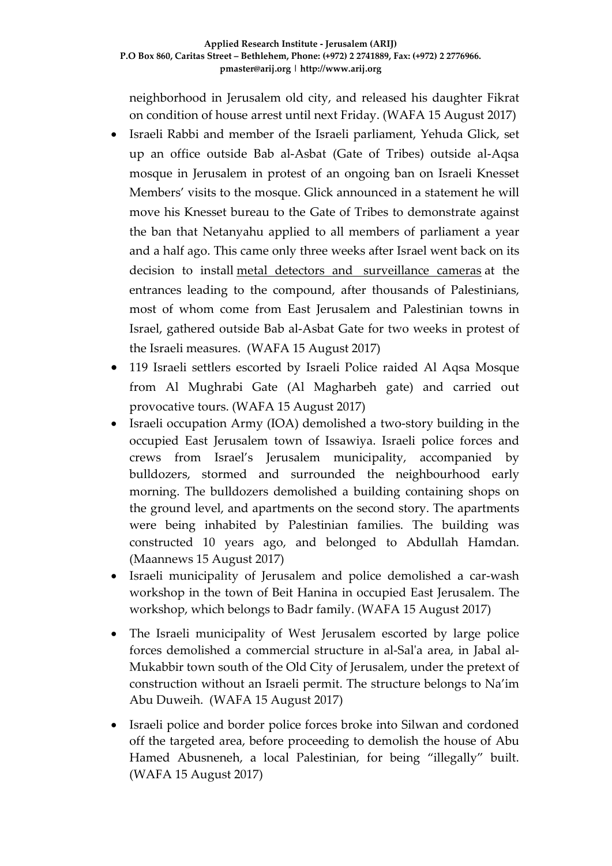#### **Applied Research Institute - Jerusalem (ARIJ) P.O Box 860, Caritas Street – Bethlehem, Phone: (+972) 2 2741889, Fax: (+972) 2 2776966. pmaster@arij.org | http://www.arij.org**

neighborhood in Jerusalem old city, and released his daughter Fikrat on condition of house arrest until next Friday. (WAFA 15 August 2017)

- Israeli Rabbi and member of the Israeli parliament, Yehuda Glick, set up an office outside Bab al-Asbat (Gate of Tribes) outside al-Aqsa mosque in Jerusalem in protest of an ongoing ban on Israeli Knesset Members' visits to the mosque. Glick announced in a statement he will move his Knesset bureau to the Gate of Tribes to demonstrate against the ban that Netanyahu applied to all members of parliament a year and a half ago. This came only three weeks after Israel went back on its decision to install [metal detectors and surveillance cameras](http://english.wafa.ps/page.aspx?id=yG9ty3a91452042264ayG9ty3) at the entrances leading to the compound, after thousands of Palestinians, most of whom come from East Jerusalem and Palestinian towns in Israel, gathered outside Bab al-Asbat Gate for two weeks in protest of the Israeli measures. (WAFA 15 August 2017)
- 119 Israeli settlers escorted by Israeli Police raided Al Aqsa Mosque from Al Mughrabi Gate (Al Magharbeh gate) and carried out provocative tours. (WAFA 15 August 2017)
- Israeli occupation Army (IOA) demolished a two-story building in the occupied East Jerusalem town of Issawiya. Israeli police forces and crews from Israel's Jerusalem municipality, accompanied by bulldozers, stormed and surrounded the neighbourhood early morning. The bulldozers demolished a building containing shops on the ground level, and apartments on the second story. The apartments were being inhabited by Palestinian families. The building was constructed 10 years ago, and belonged to Abdullah Hamdan. (Maannews 15 August 2017)
- Israeli municipality of Jerusalem and police demolished a car-wash workshop in the town of Beit Hanina in occupied East Jerusalem. The workshop, which belongs to Badr family. (WAFA 15 August 2017)
- The Israeli municipality of West Jerusalem escorted by large police forces demolished a commercial structure in al-Sal'a area, in Jabal al-Mukabbir town south of the Old City of Jerusalem, under the pretext of construction without an Israeli permit. The structure belongs to Na'im Abu Duweih. (WAFA 15 August 2017)
- Israeli police and border police forces broke into Silwan and cordoned off the targeted area, before proceeding to demolish the house of Abu Hamed Abusneneh, a local Palestinian, for being "illegally" built. (WAFA 15 August 2017)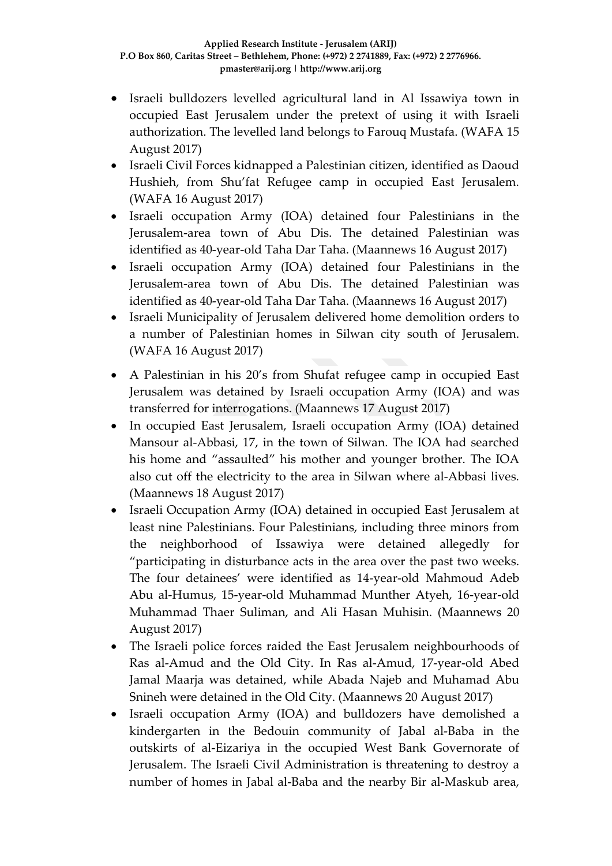- Israeli bulldozers levelled agricultural land in Al Issawiya town in occupied East Jerusalem under the pretext of using it with Israeli authorization. The levelled land belongs to Farouq Mustafa. (WAFA 15 August 2017)
- Israeli Civil Forces kidnapped a Palestinian citizen, identified as Daoud Hushieh, from Shu'fat Refugee camp in occupied East Jerusalem. (WAFA 16 August 2017)
- Israeli occupation Army (IOA) detained four Palestinians in the Jerusalem-area town of Abu Dis. The detained Palestinian was identified as 40-year-old Taha Dar Taha. (Maannews 16 August 2017)
- Israeli occupation Army (IOA) detained four Palestinians in the Jerusalem-area town of Abu Dis. The detained Palestinian was identified as 40-year-old Taha Dar Taha. (Maannews 16 August 2017)
- Israeli Municipality of Jerusalem delivered home demolition orders to a number of Palestinian homes in Silwan city south of Jerusalem. (WAFA 16 August 2017)
- A Palestinian in his 20's from Shufat refugee camp in occupied East Jerusalem was detained by Israeli occupation Army (IOA) and was transferred for interrogations. (Maannews 17 August 2017)
- In occupied East Jerusalem, Israeli occupation Army (IOA) detained Mansour al-Abbasi, 17, in the town of Silwan. The IOA had searched his home and "assaulted" his mother and younger brother. The IOA also cut off the electricity to the area in Silwan where al-Abbasi lives. (Maannews 18 August 2017)
- Israeli Occupation Army (IOA) detained in occupied East Jerusalem at least nine Palestinians. Four Palestinians, including three minors from the neighborhood of Issawiya were detained allegedly for "participating in disturbance acts in the area over the past two weeks. The four detainees' were identified as 14-year-old Mahmoud Adeb Abu al-Humus, 15-year-old Muhammad Munther Atyeh, 16-year-old Muhammad Thaer Suliman, and Ali Hasan Muhisin. (Maannews 20 August 2017)
- The Israeli police forces raided the East Jerusalem neighbourhoods of Ras al-Amud and the Old City. In Ras al-Amud, 17-year-old Abed Jamal Maarja was detained, while Abada Najeb and Muhamad Abu Snineh were detained in the Old City. (Maannews 20 August 2017)
- Israeli occupation Army (IOA) and bulldozers have demolished a kindergarten in the Bedouin community of Jabal al-Baba in the outskirts of al-Eizariya in the occupied West Bank Governorate of Jerusalem. The Israeli Civil Administration is threatening to destroy a number of homes in Jabal al-Baba and the nearby Bir al-Maskub area,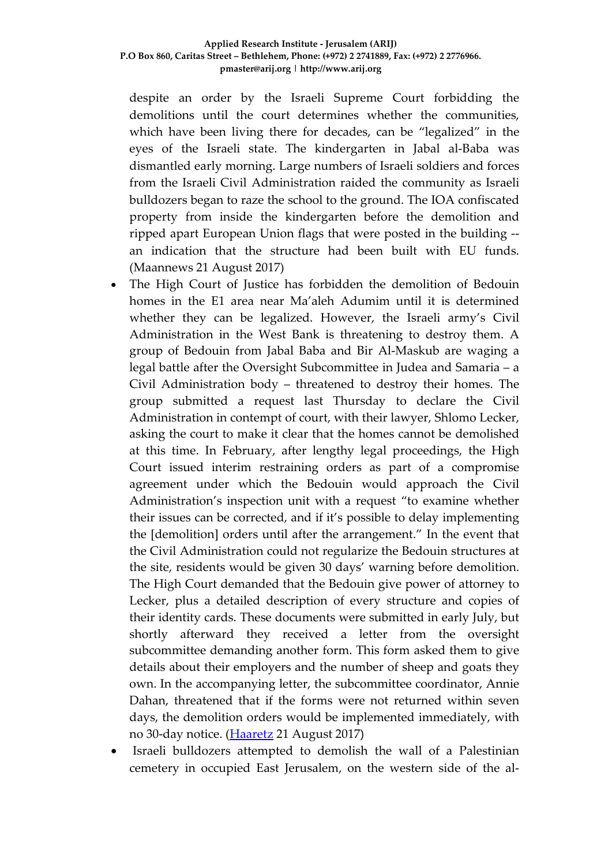despite an order by the Israeli Supreme Court forbidding the demolitions until the court determines whether the communities, which have been living there for decades, can be "legalized" in the eyes of the Israeli state. The kindergarten in Jabal al-Baba was dismantled early morning. Large numbers of Israeli soldiers and forces from the Israeli Civil Administration raided the community as Israeli bulldozers began to raze the school to the ground. The IOA confiscated property from inside the kindergarten before the demolition and ripped apart European Union flags that were posted in the building - an indication that the structure had been built with EU funds. (Maannews 21 August 2017)

- The High Court of Justice has forbidden the demolition of Bedouin homes in the E1 area near Ma'aleh Adumim until it is determined whether they can be legalized. However, the Israeli army's Civil Administration in the West Bank is threatening to destroy them. A group of Bedouin from Jabal Baba and Bir Al-Maskub are waging a legal battle after the Oversight Subcommittee in Judea and Samaria – a Civil Administration body – threatened to destroy their homes. The group submitted a request last Thursday to declare the Civil Administration in contempt of court, with their lawyer, Shlomo Lecker, asking the court to make it clear that the homes cannot be demolished at this time. In February, after lengthy legal proceedings, the High Court issued interim restraining orders as part of a compromise agreement under which the Bedouin would approach the Civil Administration's inspection unit with a request "to examine whether their issues can be corrected, and if it's possible to delay implementing the [demolition] orders until after the arrangement." In the event that the Civil Administration could not regularize the Bedouin structures at the site, residents would be given 30 days' warning before demolition. The High Court demanded that the Bedouin give power of attorney to Lecker, plus a detailed description of every structure and copies of their identity cards. These documents were submitted in early July, but shortly afterward they received a letter from the oversight subcommittee demanding another form. This form asked them to give details about their employers and the number of sheep and goats they own. In the accompanying letter, the subcommittee coordinator, Annie Dahan, threatened that if the forms were not returned within seven days, the demolition orders would be implemented immediately, with no 30-day notice. [\(Haaretz](http://www.haaretz.com/israel-news/.premium-1.808047) 21 August 2017)
- Israeli bulldozers attempted to demolish the wall of a Palestinian cemetery in occupied East Jerusalem, on the western side of the al-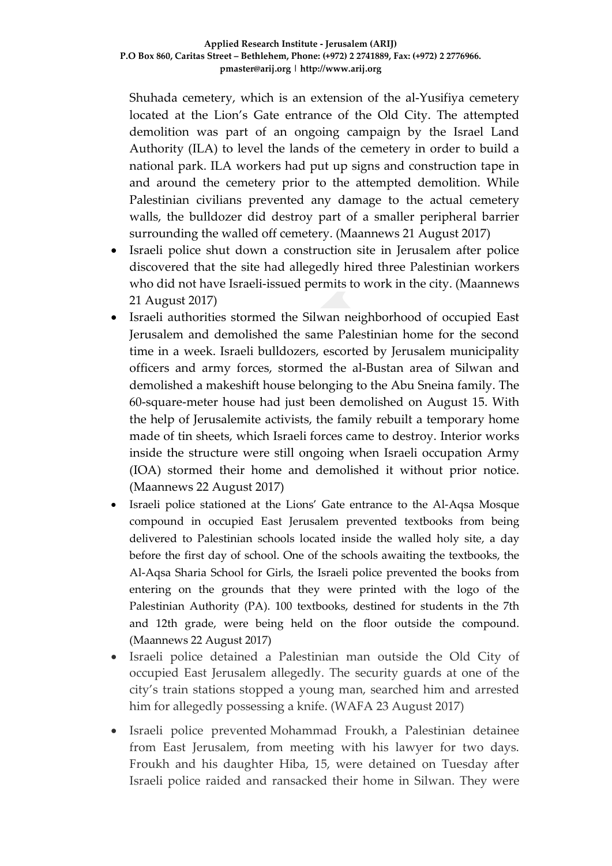Shuhada cemetery, which is an extension of the al-Yusifiya cemetery located at the Lion's Gate entrance of the Old City. The attempted demolition was part of an ongoing campaign by the Israel Land Authority (ILA) to level the lands of the cemetery in order to build a national park. ILA workers had put up signs and construction tape in and around the cemetery prior to the attempted demolition. While Palestinian civilians prevented any damage to the actual cemetery walls, the bulldozer did destroy part of a smaller peripheral barrier surrounding the walled off cemetery. (Maannews 21 August 2017)

- Israeli police shut down a construction site in Jerusalem after police discovered that the site had allegedly hired three Palestinian workers who did not have Israeli-issued permits to work in the city. (Maannews 21 August 2017)
- Israeli authorities stormed the Silwan neighborhood of occupied East Jerusalem and demolished the same Palestinian home for the second time in a week. Israeli bulldozers, escorted by Jerusalem municipality officers and army forces, stormed the al-Bustan area of Silwan and demolished a makeshift house belonging to the Abu Sneina family. The 60-square-meter house had just been demolished on August 15. With the help of Jerusalemite activists, the family rebuilt a temporary home made of tin sheets, which Israeli forces came to destroy. Interior works inside the structure were still ongoing when Israeli occupation Army (IOA) stormed their home and demolished it without prior notice. (Maannews 22 August 2017)
- Israeli police stationed at the Lions' Gate entrance to the Al-Aqsa Mosque compound in occupied East Jerusalem prevented textbooks from being delivered to Palestinian schools located inside the walled holy site, a day before the first day of school. One of the schools awaiting the textbooks, the Al-Aqsa Sharia School for Girls, the Israeli police prevented the books from entering on the grounds that they were printed with the logo of the Palestinian Authority (PA). 100 textbooks, destined for students in the 7th and 12th grade, were being held on the floor outside the compound. (Maannews 22 August 2017)
- Israeli police detained a Palestinian man outside the Old City of occupied East Jerusalem allegedly. The security guards at one of the city's train stations stopped a young man, searched him and arrested him for allegedly possessing a knife. (WAFA 23 August 2017)
- Israeli police prevented Mohammad Froukh, a Palestinian detainee from East Jerusalem, from meeting with his lawyer for two days. Froukh and his daughter Hiba, 15, were detained on Tuesday after Israeli police raided and ransacked their home in Silwan. They were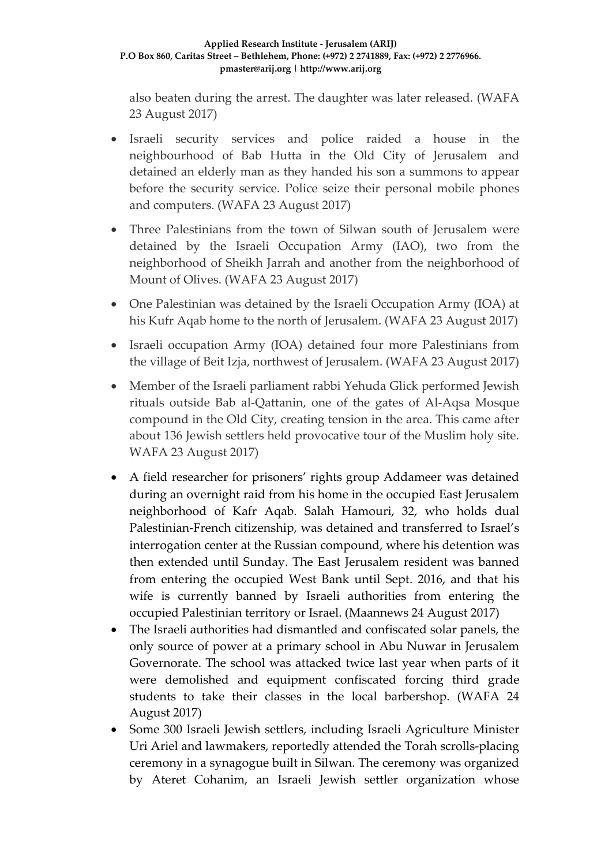#### **Applied Research Institute - Jerusalem (ARIJ) P.O Box 860, Caritas Street – Bethlehem, Phone: (+972) 2 2741889, Fax: (+972) 2 2776966. pmaster@arij.org | http://www.arij.org**

also beaten during the arrest. The daughter was later released. (WAFA 23 August 2017)

- Israeli security services and police raided a house in the neighbourhood of Bab Hutta in the Old City of Jerusalem and detained an elderly man as they handed his son a summons to appear before the security service. Police seize their personal mobile phones and computers. (WAFA 23 August 2017)
- Three Palestinians from the town of Silwan south of Jerusalem were detained by the Israeli Occupation Army (IAO), two from the neighborhood of Sheikh Jarrah and another from the neighborhood of Mount of Olives. (WAFA 23 August 2017)
- One Palestinian was detained by the Israeli Occupation Army (IOA) at his Kufr Aqab home to the north of Jerusalem. (WAFA 23 August 2017)
- Israeli occupation Army (IOA) detained four more Palestinians from the village of Beit Izja, northwest of Jerusalem. (WAFA 23 August 2017)
- Member of the Israeli parliament rabbi Yehuda Glick performed Jewish rituals outside Bab al-Qattanin, one of the gates of Al-Aqsa Mosque compound in the Old City, creating tension in the area. This came after about 136 Jewish settlers held provocative tour of the Muslim holy site. WAFA 23 August 2017)
- A field researcher for prisoners' rights group Addameer was detained during an overnight raid from his home in the occupied East Jerusalem neighborhood of Kafr Aqab. Salah Hamouri, 32, who holds dual Palestinian-French citizenship, was detained and transferred to Israel's interrogation center at the Russian compound, where his detention was then extended until Sunday. The East Jerusalem resident was banned from entering the occupied West Bank until Sept. 2016, and that his wife is currently banned by Israeli authorities from entering the occupied Palestinian territory or Israel. (Maannews 24 August 2017)
- The Israeli authorities had dismantled and confiscated solar panels, the only source of power at a primary school in Abu Nuwar in Jerusalem Governorate. The school was attacked twice last year when parts of it were demolished and equipment confiscated forcing third grade students to take their classes in the local barbershop. (WAFA 24 August 2017)
- Some 300 Israeli Jewish settlers, including Israeli Agriculture Minister Uri Ariel and lawmakers, reportedly attended the Torah scrolls-placing ceremony in a synagogue built in Silwan. The ceremony was organized by Ateret Cohanim, an Israeli Jewish settler organization whose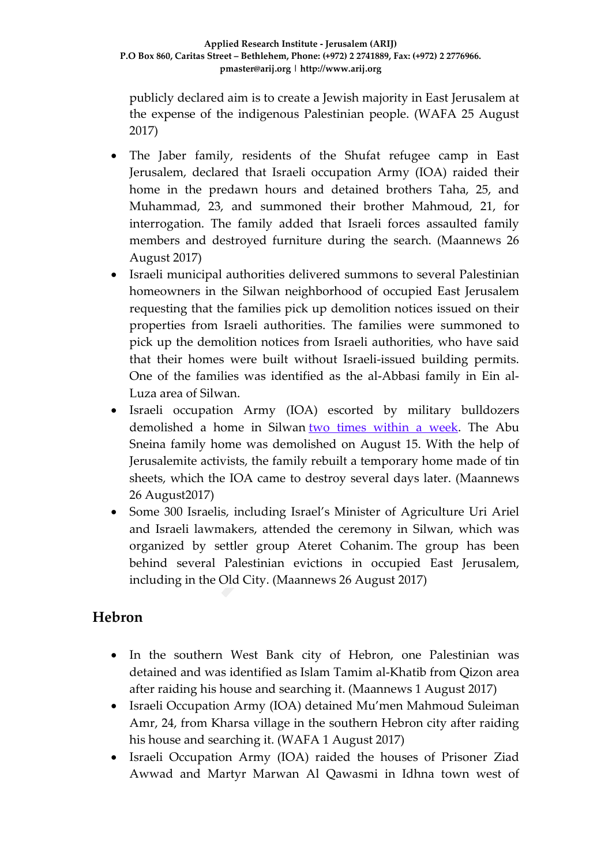publicly declared aim is to create a Jewish majority in East Jerusalem at the expense of the indigenous Palestinian people. (WAFA 25 August 2017)

- The Jaber family, residents of the Shufat refugee camp in East Jerusalem, declared that Israeli occupation Army (IOA) raided their home in the predawn hours and detained brothers Taha, 25, and Muhammad, 23, and summoned their brother Mahmoud, 21, for interrogation. The family added that Israeli forces assaulted family members and destroyed furniture during the search. (Maannews 26 August 2017)
- Israeli municipal authorities delivered summons to several Palestinian homeowners in the Silwan neighborhood of occupied East Jerusalem requesting that the families pick up demolition notices issued on their properties from Israeli authorities. The families were summoned to pick up the demolition notices from Israeli authorities, who have said that their homes were built without Israeli-issued building permits. One of the families was identified as the al-Abbasi family in Ein al-Luza area of Silwan.
- Israeli occupation Army (IOA) escorted by military bulldozers demolished a home in Silwan two times [within](http://www.maannews.com/Content.aspx?id=778795) a week. The Abu Sneina family home was demolished on August 15. With the help of Jerusalemite activists, the family rebuilt a temporary home made of tin sheets, which the IOA came to destroy several days later. (Maannews 26 August2017)
- Some 300 Israelis, including Israel's Minister of Agriculture Uri Ariel and Israeli lawmakers, attended the ceremony in Silwan, which was organized by settler group Ateret Cohanim. The group has been behind several Palestinian evictions in occupied East Jerusalem, including in the Old City. (Maannews 26 August 2017)

### **Hebron**

- In the southern West Bank city of Hebron, one Palestinian was detained and was identified as Islam Tamim al-Khatib from Qizon area after raiding his house and searching it. (Maannews 1 August 2017)
- Israeli Occupation Army (IOA) detained Mu'men Mahmoud Suleiman Amr, 24, from Kharsa village in the southern Hebron city after raiding his house and searching it. (WAFA 1 August 2017)
- Israeli Occupation Army (IOA) raided the houses of Prisoner Ziad Awwad and Martyr Marwan Al Qawasmi in Idhna town west of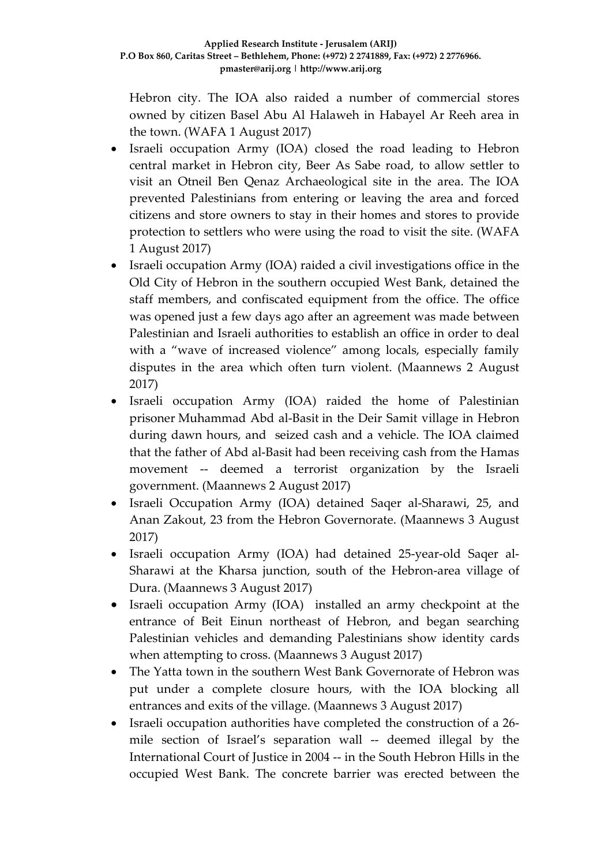Hebron city. The IOA also raided a number of commercial stores owned by citizen Basel Abu Al Halaweh in Habayel Ar Reeh area in the town. (WAFA 1 August 2017)

- Israeli occupation Army (IOA) closed the road leading to Hebron central market in Hebron city, Beer As Sabe road, to allow settler to visit an Otneil Ben Qenaz Archaeological site in the area. The IOA prevented Palestinians from entering or leaving the area and forced citizens and store owners to stay in their homes and stores to provide protection to settlers who were using the road to visit the site. (WAFA 1 August 2017)
- Israeli occupation Army (IOA) raided a civil investigations office in the Old City of Hebron in the southern occupied West Bank, detained the staff members, and confiscated equipment from the office. The office was opened just a few days ago after an agreement was made between Palestinian and Israeli authorities to establish an office in order to deal with a "wave of increased violence" among locals, especially family disputes in the area which often turn violent. (Maannews 2 August 2017)
- Israeli occupation Army (IOA) raided the home of Palestinian prisoner Muhammad Abd al-Basit in the Deir Samit village in Hebron during dawn hours, and seized cash and a vehicle. The IOA claimed that the father of Abd al-Basit had been receiving cash from the Hamas movement -- deemed a terrorist organization by the Israeli government. (Maannews 2 August 2017)
- Israeli Occupation Army (IOA) detained Saqer al-Sharawi, 25, and Anan Zakout, 23 from the Hebron Governorate. (Maannews 3 August 2017)
- Israeli occupation Army (IOA) had detained 25-year-old Saqer al-Sharawi at the Kharsa junction, south of the Hebron-area village of Dura. (Maannews 3 August 2017)
- Israeli occupation Army (IOA) installed an army checkpoint at the entrance of Beit Einun northeast of Hebron, and began searching Palestinian vehicles and demanding Palestinians show identity cards when attempting to cross. (Maannews 3 August 2017)
- The Yatta town in the southern West Bank Governorate of Hebron was put under a complete closure hours, with the IOA blocking all entrances and exits of the village. (Maannews 3 August 2017)
- Israeli occupation authorities have completed the construction of a 26 mile section of Israel's separation wall -- deemed illegal by the International Court of Justice in 2004 -- in the South Hebron Hills in the occupied West Bank. The concrete barrier was erected between the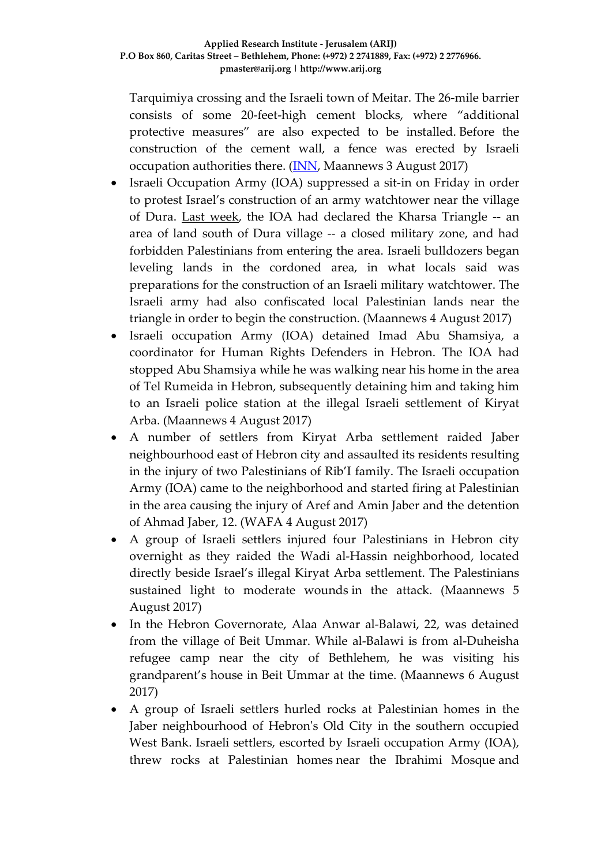Tarquimiya crossing and the Israeli town of Meitar. The 26-mile barrier consists of some 20-feet-high cement blocks, where "additional protective measures" are also expected to be installed. Before the construction of the cement wall, a fence was erected by Israeli occupation authorities there. [\(INN,](http://www.timesofisrael.com/israel-builds-new-stretch-of-barrier-along-southern-west-bank/) Maannews 3 August 2017)

- Israeli Occupation Army (IOA) suppressed a sit-in on Friday in order to protest Israel's construction of an army watchtower near the village of Dura. Last [week,](http://www.maannews.com/Content.aspx?id=778444) the IOA had declared the Kharsa Triangle -- an area of land south of Dura village -- a closed military zone, and had forbidden Palestinians from entering the area. Israeli bulldozers began leveling lands in the cordoned area, in what locals said was preparations for the construction of an Israeli military watchtower. The Israeli army had also confiscated local Palestinian lands near the triangle in order to begin the construction. (Maannews 4 August 2017)
- Israeli occupation Army (IOA) detained Imad Abu Shamsiya, a coordinator for Human Rights Defenders in Hebron. The IOA had stopped Abu Shamsiya while he was walking near his home in the area of Tel Rumeida in Hebron, subsequently detaining him and taking him to an Israeli police station at the illegal Israeli settlement of Kiryat Arba. (Maannews 4 August 2017)
- A number of settlers from Kiryat Arba settlement raided Jaber neighbourhood east of Hebron city and assaulted its residents resulting in the injury of two Palestinians of Rib'I family. The Israeli occupation Army (IOA) came to the neighborhood and started firing at Palestinian in the area causing the injury of Aref and Amin Jaber and the detention of Ahmad Jaber, 12. (WAFA 4 August 2017)
- A group of Israeli settlers injured four Palestinians in Hebron city overnight as they raided the Wadi al-Hassin neighborhood, located directly beside Israel's illegal Kiryat Arba settlement. The Palestinians sustained light to moderate wounds in the attack. (Maannews 5 August 2017)
- In the Hebron Governorate, Alaa Anwar al-Balawi, 22, was detained from the village of Beit Ummar. While al-Balawi is from al-Duheisha refugee camp near the city of Bethlehem, he was visiting his grandparent's house in Beit Ummar at the time. (Maannews 6 August 2017)
- A group of Israeli settlers hurled rocks at Palestinian homes in the Jaber neighbourhood of Hebron's Old City in the southern occupied West Bank. Israeli settlers, escorted by Israeli occupation Army (IOA), threw rocks at Palestinian homes near the Ibrahimi Mosque and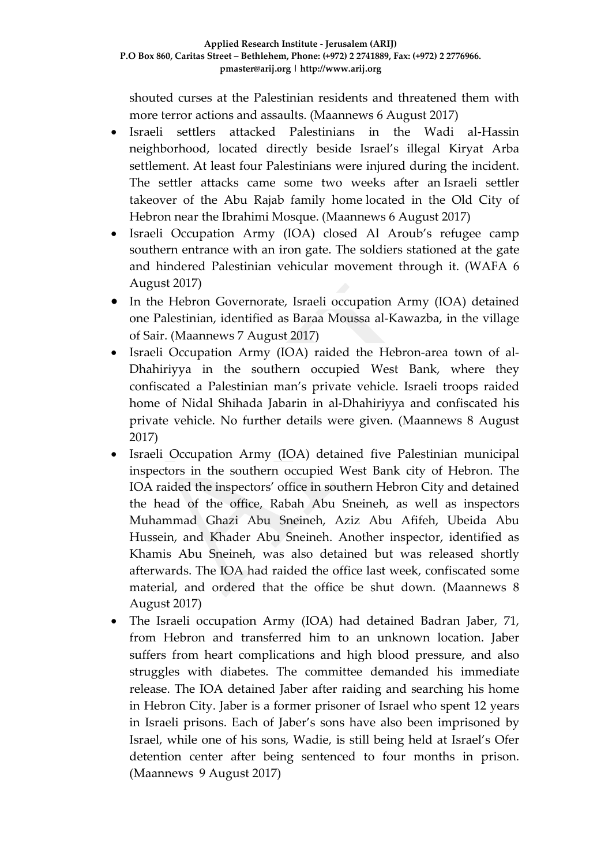shouted curses at the Palestinian residents and threatened them with more terror actions and assaults. (Maannews 6 August 2017)

- Israeli settlers attacked Palestinians in the Wadi al-Hassin neighborhood, located directly beside Israel's illegal Kiryat Arba settlement. At least four Palestinians were injured during the incident. The settler attacks came some two weeks after an Israeli settler takeover of the Abu Rajab family home located in the Old City of Hebron near the Ibrahimi Mosque. (Maannews 6 August 2017)
- Israeli Occupation Army (IOA) closed Al Aroub's refugee camp southern entrance with an iron gate. The soldiers stationed at the gate and hindered Palestinian vehicular movement through it. (WAFA 6 August 2017)
- In the Hebron Governorate, Israeli occupation Army (IOA) detained one Palestinian, identified as Baraa Moussa al-Kawazba, in the village of Sair. (Maannews 7 August 2017)
- Israeli Occupation Army (IOA) raided the Hebron-area town of al-Dhahiriyya in the southern occupied West Bank, where they confiscated a Palestinian man's private vehicle. Israeli troops raided home of Nidal Shihada Jabarin in al-Dhahiriyya and confiscated his private vehicle. No further details were given. (Maannews 8 August 2017)
- Israeli Occupation Army (IOA) detained five Palestinian municipal inspectors in the southern occupied West Bank city of Hebron. The IOA raided the inspectors' office in southern Hebron City and detained the head of the office, Rabah Abu Sneineh, as well as inspectors Muhammad Ghazi Abu Sneineh, Aziz Abu Afifeh, Ubeida Abu Hussein, and Khader Abu Sneineh. Another inspector, identified as Khamis Abu Sneineh, was also detained but was released shortly afterwards. The IOA had raided the office last week, confiscated some material, and ordered that the office be shut down. (Maannews 8 August 2017)
- The Israeli occupation Army (IOA) had detained Badran Jaber, 71, from Hebron and transferred him to an unknown location. Jaber suffers from heart complications and high blood pressure, and also struggles with diabetes. The committee demanded his immediate release. The IOA detained Jaber after raiding and searching his home in Hebron City. Jaber is a former prisoner of Israel who spent 12 years in Israeli prisons. Each of Jaber's sons have also been imprisoned by Israel, while one of his sons, Wadie, is still being held at Israel's Ofer detention center after being sentenced to four months in prison. (Maannews 9 August 2017)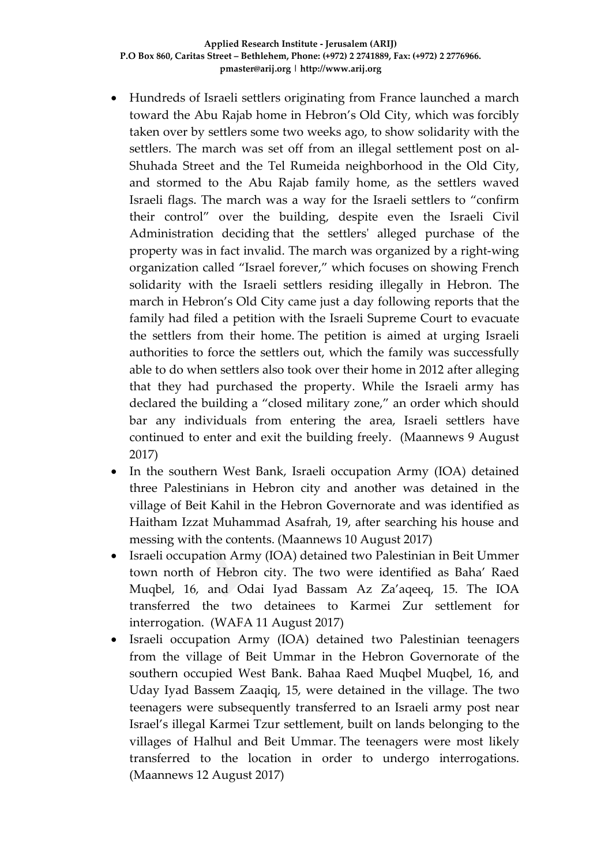- Hundreds of Israeli settlers originating from France launched a march toward the Abu Rajab home in Hebron's Old City, which was [forcibly](http://www.maannews.com/Content.aspx?id=778457) taken over by [settlers](http://www.maannews.com/Content.aspx?id=778457) some two weeks ago, to show solidarity with the settlers. The march was set off from an illegal settlement post on al-Shuhada Street and the Tel Rumeida neighborhood in the Old City, and stormed to the Abu Rajab family home, as the settlers waved Israeli flags. The march was a way for the Israeli settlers to "confirm their control" over the building, despite even the Israeli Civil Administration deciding that the settlers' alleged [purchase](http://www.haaretz.com/israel-news/.premium-1.548368) of the [property](http://www.haaretz.com/israel-news/.premium-1.548368) was in fact invalid. The march was organized by a right-wing organization called "Israel forever," which focuses on showing French solidarity with the Israeli settlers residing illegally in Hebron. The march in Hebron's Old City came just a day following reports that the family had filed a petition with the Israeli Supreme Court to evacuate the settlers from their home. The petition is aimed at urging Israeli authorities to force the settlers out, which the family was successfully able to do when settlers also took over their home in 2012 after alleging that they had purchased the property. While the Israeli army has declared the building a "closed military zone," an order which should bar any individuals from entering the area, Israeli settlers have continued to enter and exit the building freely. (Maannews 9 August 2017)
- In the southern West Bank, Israeli occupation Army (IOA) detained three Palestinians in Hebron city and another was detained in the village of Beit Kahil in the Hebron Governorate and was identified as Haitham Izzat Muhammad Asafrah, 19, after searching his house and messing with the contents. (Maannews 10 August 2017)
- Israeli occupation Army (IOA) detained two Palestinian in Beit Ummer town north of Hebron city. The two were identified as Baha' Raed Muqbel, 16, and Odai Iyad Bassam Az Za'aqeeq, 15. The IOA transferred the two detainees to Karmei Zur settlement for interrogation. (WAFA 11 August 2017)
- Israeli occupation Army (IOA) detained two Palestinian teenagers from the village of Beit Ummar in the Hebron Governorate of the southern occupied West Bank. Bahaa Raed Muqbel Muqbel, 16, and Uday Iyad Bassem Zaaqiq, 15, were detained in the village. The two teenagers were subsequently transferred to an Israeli army post near Israel's illegal Karmei Tzur settlement, built on lands belonging to the villages of Halhul and Beit Ummar. The teenagers were most likely transferred to the location in order to undergo interrogations. (Maannews 12 August 2017)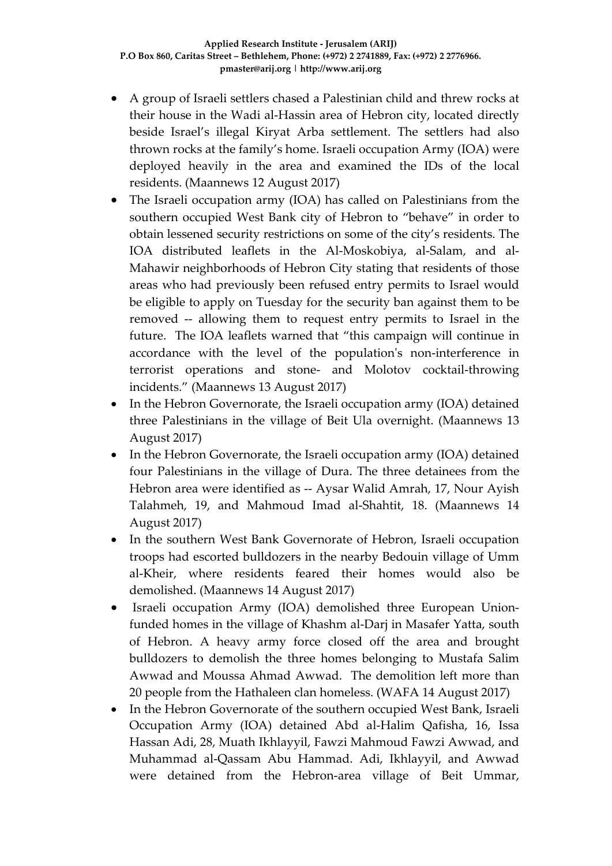- A group of Israeli settlers chased a Palestinian child and threw rocks at their house in the Wadi al-Hassin area of Hebron city, located directly beside Israel's illegal Kiryat Arba settlement. The settlers had also thrown rocks at the family's home. Israeli occupation Army (IOA) were deployed heavily in the area and examined the IDs of the local residents. (Maannews 12 August 2017)
- The Israeli occupation army (IOA) has called on Palestinians from the southern occupied West Bank city of Hebron to "behave" in order to obtain lessened security restrictions on some of the city's residents. The IOA distributed leaflets in the Al-Moskobiya, al-Salam, and al-Mahawir neighborhoods of Hebron City stating that residents of those areas who had previously been refused entry permits to Israel would be eligible to apply on Tuesday for the security ban against them to be removed -- allowing them to request entry permits to Israel in the future. The IOA leaflets warned that "this campaign will continue in accordance with the level of the population's non-interference in terrorist operations and stone- and Molotov cocktail-throwing incidents." (Maannews 13 August 2017)
- In the Hebron Governorate, the Israeli occupation army (IOA) detained three Palestinians in the village of Beit Ula overnight. (Maannews 13 August 2017)
- In the Hebron Governorate, the Israeli occupation army (IOA) detained four Palestinians in the village of Dura. The three detainees from the Hebron area were identified as -- Aysar Walid Amrah, 17, Nour Ayish Talahmeh, 19, and Mahmoud Imad al-Shahtit, 18. (Maannews 14 August 2017)
- In the southern West Bank Governorate of Hebron, Israeli occupation troops had escorted bulldozers in the nearby Bedouin village of Umm al-Kheir, where residents feared their homes would also be demolished. (Maannews 14 August 2017)
- Israeli occupation Army (IOA) demolished three European Unionfunded homes in the village of Khashm al-Darj in Masafer Yatta, south of Hebron. A heavy army force closed off the area and brought bulldozers to demolish the three homes belonging to Mustafa Salim Awwad and Moussa Ahmad Awwad. The demolition left more than 20 people from the Hathaleen clan homeless. (WAFA 14 August 2017)
- In the Hebron Governorate of the southern occupied West Bank, Israeli Occupation Army (IOA) detained Abd al-Halim Qafisha, 16, Issa Hassan Adi, 28, Muath Ikhlayyil, Fawzi Mahmoud Fawzi Awwad, and Muhammad al-Qassam Abu Hammad. Adi, Ikhlayyil, and Awwad were detained from the Hebron-area village of Beit Ummar,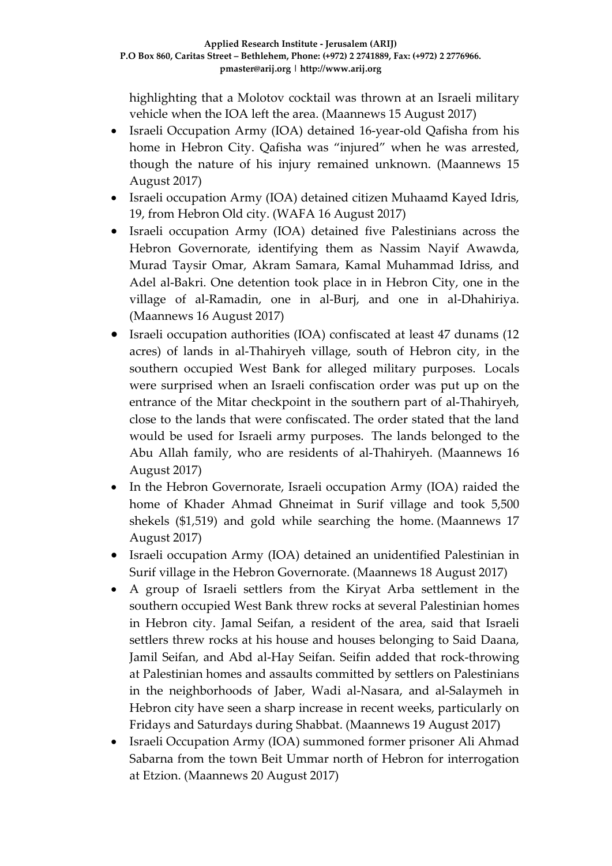highlighting that a Molotov cocktail was thrown at an Israeli military vehicle when the IOA left the area. (Maannews 15 August 2017)

- Israeli Occupation Army (IOA) detained 16-year-old Qafisha from his home in Hebron City. Qafisha was "injured" when he was arrested, though the nature of his injury remained unknown. (Maannews 15 August 2017)
- Israeli occupation Army (IOA) detained citizen Muhaamd Kayed Idris, 19, from Hebron Old city. (WAFA 16 August 2017)
- Israeli occupation Army (IOA) detained five Palestinians across the Hebron Governorate, identifying them as Nassim Nayif Awawda, Murad Taysir Omar, Akram Samara, Kamal Muhammad Idriss, and Adel al-Bakri. One detention took place in in Hebron City, one in the village of al-Ramadin, one in al-Burj, and one in al-Dhahiriya. (Maannews 16 August 2017)
- Israeli occupation authorities (IOA) confiscated at least 47 dunams (12 acres) of lands in al-Thahiryeh village, south of Hebron city, in the southern occupied West Bank for alleged military purposes. Locals were surprised when an Israeli confiscation order was put up on the entrance of the Mitar checkpoint in the southern part of al-Thahiryeh, close to the lands that were confiscated. The order stated that the land would be used for Israeli army purposes. The lands belonged to the Abu Allah family, who are residents of al-Thahiryeh. (Maannews 16 August 2017)
- In the Hebron Governorate, Israeli occupation Army (IOA) raided the home of Khader Ahmad Ghneimat in Surif village and took 5,500 shekels (\$1,519) and gold while searching the home. (Maannews 17 August 2017)
- Israeli occupation Army (IOA) detained an unidentified Palestinian in Surif village in the Hebron Governorate. (Maannews 18 August 2017)
- A group of Israeli settlers from the Kiryat Arba settlement in the southern occupied West Bank threw rocks at several Palestinian homes in Hebron city. Jamal Seifan, a resident of the area, said that Israeli settlers threw rocks at his house and houses belonging to Said Daana, Jamil Seifan, and Abd al-Hay Seifan. Seifin added that rock-throwing at Palestinian homes and assaults committed by settlers on Palestinians in the neighborhoods of Jaber, Wadi al-Nasara, and al-Salaymeh in Hebron city have seen a sharp increase in recent weeks, particularly on Fridays and Saturdays during Shabbat. (Maannews 19 August 2017)
- Israeli Occupation Army (IOA) summoned former prisoner Ali Ahmad Sabarna from the town Beit Ummar north of Hebron for interrogation at Etzion. (Maannews 20 August 2017)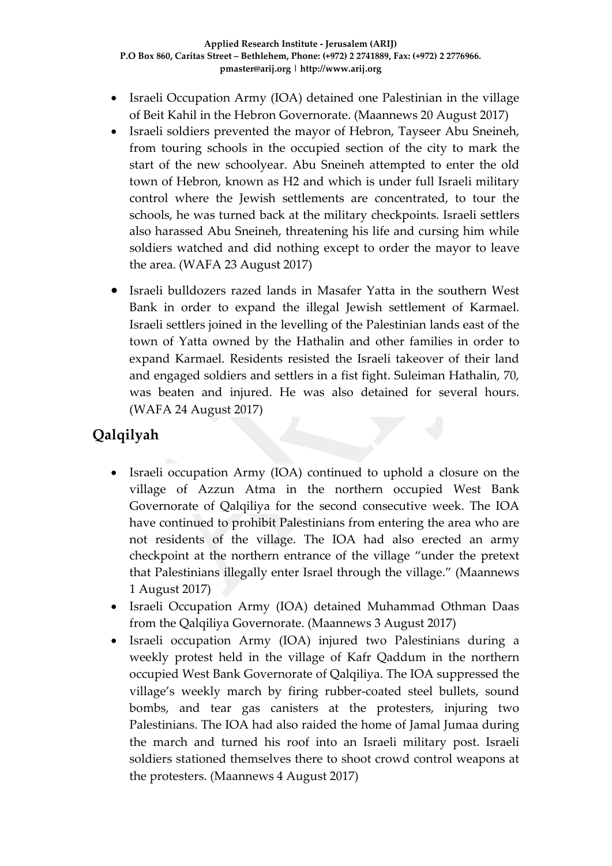- Israeli Occupation Army (IOA) detained one Palestinian in the village of Beit Kahil in the Hebron Governorate. (Maannews 20 August 2017)
- Israeli soldiers prevented the mayor of Hebron, Tayseer Abu Sneineh, from touring schools in the occupied section of the city to mark the start of the new schoolyear. Abu Sneineh attempted to enter the old town of Hebron, known as H2 and which is under full Israeli military control where the Jewish settlements are concentrated, to tour the schools, he was turned back at the military checkpoints. Israeli settlers also harassed Abu Sneineh, threatening his life and cursing him while soldiers watched and did nothing except to order the mayor to leave the area. (WAFA 23 August 2017)
- Israeli bulldozers razed lands in Masafer Yatta in the southern West Bank in order to expand the illegal Jewish settlement of Karmael. Israeli settlers joined in the levelling of the Palestinian lands east of the town of Yatta owned by the Hathalin and other families in order to expand Karmael. Residents resisted the Israeli takeover of their land and engaged soldiers and settlers in a fist fight. Suleiman Hathalin, 70, was beaten and injured. He was also detained for several hours. (WAFA 24 August 2017)

# **Qalqilyah**

- Israeli occupation Army (IOA) continued to uphold a closure on the village of Azzun Atma in the northern occupied West Bank Governorate of Qalqiliya for the second consecutive week. The IOA have continued to prohibit Palestinians from entering the area who are not residents of the village. The IOA had also erected an army checkpoint at the northern entrance of the village "under the pretext that Palestinians illegally enter Israel through the village." (Maannews 1 August 2017)
- Israeli Occupation Army (IOA) detained Muhammad Othman Daas from the Qalqiliya Governorate. (Maannews 3 August 2017)
- Israeli occupation Army (IOA) injured two Palestinians during a weekly protest held in the village of Kafr Qaddum in the northern occupied West Bank Governorate of Qalqiliya. The IOA suppressed the village's weekly march by firing rubber-coated steel bullets, sound bombs, and tear gas canisters at the protesters, injuring two Palestinians. The IOA had also raided the home of Jamal Jumaa during the march and turned his roof into an Israeli military post. Israeli soldiers stationed themselves there to shoot crowd control weapons at the protesters. (Maannews 4 August 2017)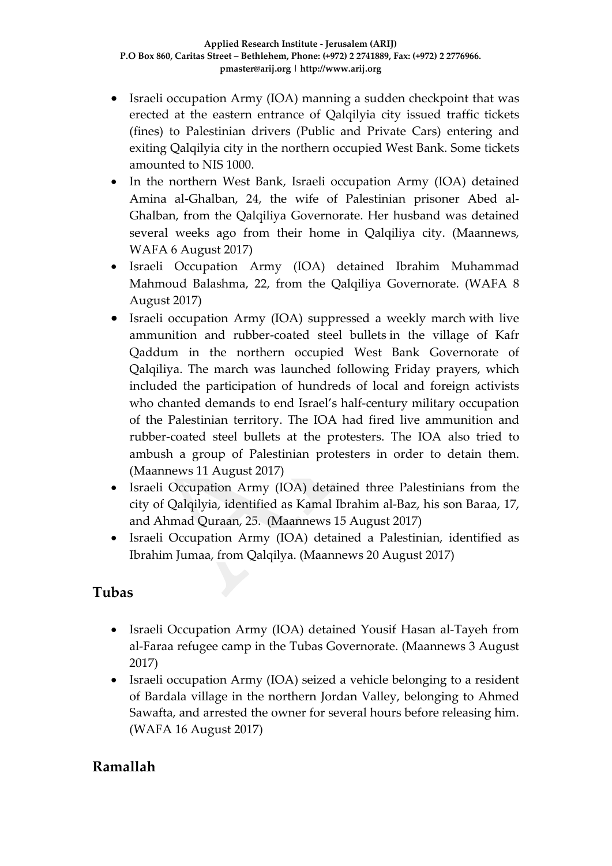- Israeli occupation Army (IOA) manning a sudden checkpoint that was erected at the eastern entrance of Qalqilyia city issued traffic tickets (fines) to Palestinian drivers (Public and Private Cars) entering and exiting Qalqilyia city in the northern occupied West Bank. Some tickets amounted to NIS 1000.
- In the northern West Bank, Israeli occupation Army (IOA) detained Amina al-Ghalban, 24, the wife of Palestinian prisoner Abed al-Ghalban, from the Qalqiliya Governorate. Her husband was detained several weeks ago from their home in Qalqiliya city. (Maannews, WAFA 6 August 2017)
- Israeli Occupation Army (IOA) detained Ibrahim Muhammad Mahmoud Balashma, 22, from the Qalqiliya Governorate. (WAFA 8 August 2017)
- Israeli occupation Army (IOA) suppressed a weekly march with live ammunition and rubber-coated steel bullets in the village of Kafr Qaddum in the northern occupied West Bank Governorate of Qalqiliya. The march was launched following Friday prayers, which included the participation of hundreds of local and foreign activists who chanted demands to end Israel's half-century military occupation of the Palestinian territory. The IOA had fired live ammunition and rubber-coated steel bullets at the protesters. The IOA also tried to ambush a group of Palestinian protesters in order to detain them. (Maannews 11 August 2017)
- Israeli Occupation Army (IOA) detained three Palestinians from the city of Qalqilyia, identified as Kamal Ibrahim al-Baz, his son Baraa, 17, and Ahmad Quraan, 25. (Maannews 15 August 2017)
- Israeli Occupation Army (IOA) detained a Palestinian, identified as Ibrahim Jumaa, from Qalqilya. (Maannews 20 August 2017)

### **Tubas**

- Israeli Occupation Army (IOA) detained Yousif Hasan al-Tayeh from al-Faraa refugee camp in the Tubas Governorate. (Maannews 3 August 2017)
- Israeli occupation Army (IOA) seized a vehicle belonging to a resident of Bardala village in the northern Jordan Valley, belonging to Ahmed Sawafta, and arrested the owner for several hours before releasing him. (WAFA 16 August 2017)

## **Ramallah**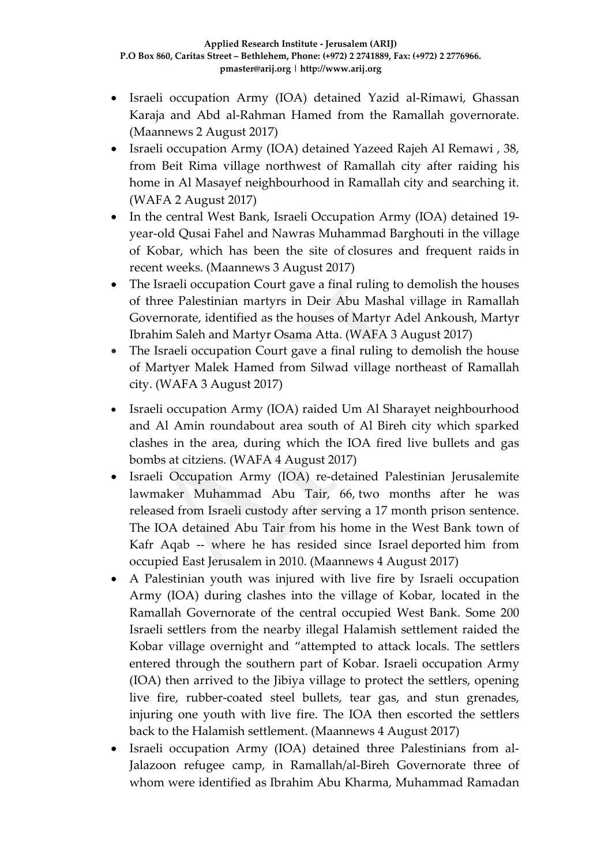- Israeli occupation Army (IOA) detained Yazid al-Rimawi, Ghassan Karaja and Abd al-Rahman Hamed from the Ramallah governorate. (Maannews 2 August 2017)
- Israeli occupation Army (IOA) detained Yazeed Rajeh Al Remawi , 38, from Beit Rima village northwest of Ramallah city after raiding his home in Al Masayef neighbourhood in Ramallah city and searching it. (WAFA 2 August 2017)
- In the central West Bank, Israeli Occupation Army (IOA) detained 19 year-old Qusai Fahel and Nawras Muhammad Barghouti in the village of Kobar, which has been the site of closures and [frequent](http://www.maannews.com/Content.aspx?id=778266) raids in recent weeks. (Maannews 3 August 2017)
- The Israeli occupation Court gave a final ruling to demolish the houses of three Palestinian martyrs in Deir Abu Mashal village in Ramallah Governorate, identified as the houses of Martyr Adel Ankoush, Martyr Ibrahim Saleh and Martyr Osama Atta. (WAFA 3 August 2017)
- The Israeli occupation Court gave a final ruling to demolish the house of Martyer Malek Hamed from Silwad village northeast of Ramallah city. (WAFA 3 August 2017)
- Israeli occupation Army (IOA) raided Um Al Sharayet neighbourhood and Al Amin roundabout area south of Al Bireh city which sparked clashes in the area, during which the IOA fired live bullets and gas bombs at citziens. (WAFA 4 August 2017)
- Israeli Occupation Army (IOA) re-detained Palestinian Jerusalemite lawmaker Muhammad Abu Tair, 66, two [months](http://www.maannews.com/Content.aspx?id=777400) after he was [released](http://www.maannews.com/Content.aspx?id=777400) from Israeli custody after serving a 17 month prison sentence. The IOA detained Abu Tair from his home in the West Bank town of Kafr Aqab -- where he has resided since Israel [deported](http://pchrgaza.org/en/?p=2170) him from occupied East Jerusalem in 2010. (Maannews 4 August 2017)
- A Palestinian youth was injured with live fire by Israeli occupation Army (IOA) during clashes into the village of Kobar, located in the Ramallah Governorate of the central occupied West Bank. Some 200 Israeli settlers from the nearby illegal Halamish settlement raided the Kobar village overnight and "attempted to attack locals. The settlers entered through the southern part of Kobar. Israeli occupation Army (IOA) then arrived to the Jibiya village to protect the settlers, opening live fire, rubber-coated steel bullets, tear gas, and stun grenades, injuring one youth with live fire. The IOA then escorted the settlers back to the Halamish settlement. (Maannews 4 August 2017)
- Israeli occupation Army (IOA) detained three Palestinians from al-Jalazoon refugee camp, in Ramallah/al-Bireh Governorate three of whom were identified as Ibrahim Abu Kharma, Muhammad Ramadan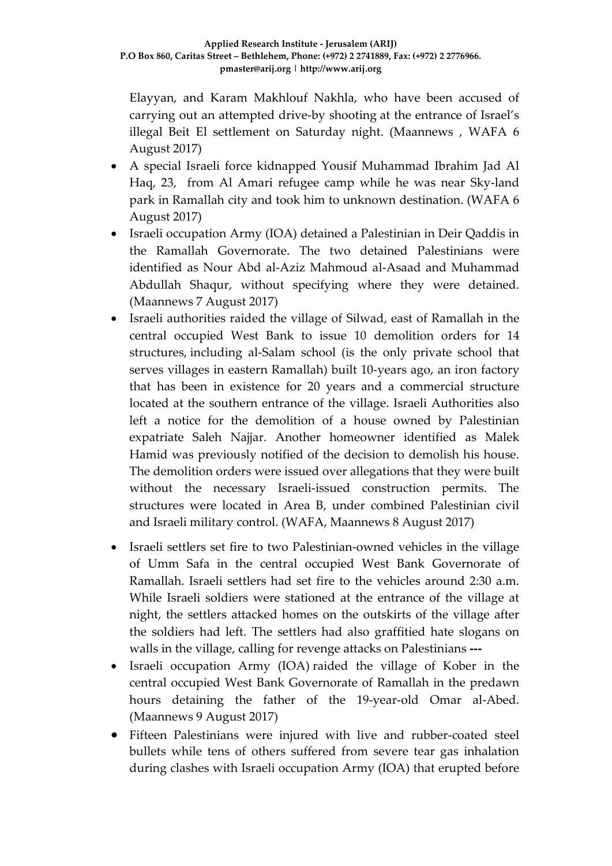Elayyan, and Karam Makhlouf Nakhla, who have been accused of carrying out an attempted drive-by shooting at the entrance of Israel's illegal Beit El settlement on Saturday night. (Maannews , WAFA 6 August 2017)

- A special Israeli force kidnapped Yousif Muhammad Ibrahim Jad Al Haq, 23, from Al Amari refugee camp while he was near Sky-land park in Ramallah city and took him to unknown destination. (WAFA 6 August 2017)
- Israeli occupation Army (IOA) detained a Palestinian in Deir Qaddis in the Ramallah Governorate. The two detained Palestinians were identified as Nour Abd al-Aziz Mahmoud al-Asaad and Muhammad Abdullah Shaqur, without specifying where they were detained. (Maannews 7 August 2017)
- Israeli authorities raided the village of Silwad, east of Ramallah in the central occupied West Bank to issue 10 demolition orders for 14 structures, including al-Salam school (is the only private school that serves villages in eastern Ramallah) built 10-years ago, an iron factory that has been in existence for 20 years and a commercial structure located at the southern entrance of the village. Israeli Authorities also left a notice for the demolition of a house owned by Palestinian expatriate Saleh Najjar. Another homeowner identified as Malek Hamid was previously notified of the decision to demolish his house. The demolition orders were issued over allegations that they were built without the necessary Israeli-issued construction permits. The structures were located in Area B, under combined Palestinian civil and Israeli military control. (WAFA, Maannews 8 August 2017)
- Israeli settlers set fire to two Palestinian-owned vehicles in the village of Umm Safa in the central occupied West Bank Governorate of Ramallah. Israeli settlers had set fire to the vehicles around 2:30 a.m. While Israeli soldiers were stationed at the entrance of the village at night, the settlers attacked homes on the outskirts of the village after the soldiers had left. The settlers had also graffitied hate slogans on walls in the village, calling for revenge attacks on Palestinians **---**
- Israeli occupation Army (IOA) raided [the village of Kober in the](http://www.maannews.com/Content.aspx?id=778614)  [central occupied West Bank Governorate of Ramallah](http://www.maannews.com/Content.aspx?id=778614) in the predawn hours detaining the father of the 19-year-old Omar al-Abed. (Maannews 9 August 2017)
- Fifteen Palestinians were injured with live and rubber-coated steel bullets while tens of others suffered from severe tear gas inhalation during clashes with Israeli occupation Army (IOA) that erupted before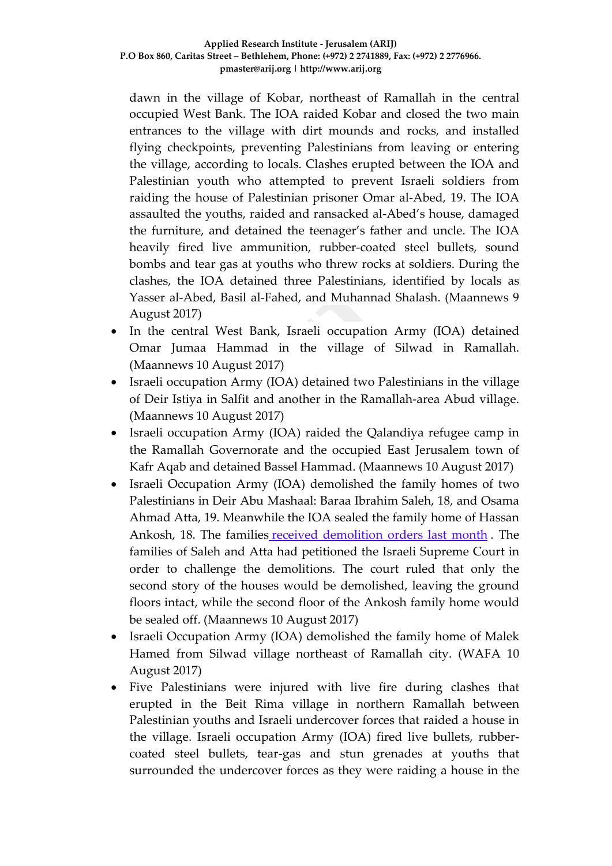dawn in the village of Kobar, northeast of Ramallah in the central occupied West Bank. The IOA raided Kobar and closed the two main entrances to the village with dirt mounds and rocks, and installed flying checkpoints, preventing Palestinians from leaving or entering the village, according to locals. Clashes erupted between the IOA and Palestinian youth who attempted to prevent Israeli soldiers from raiding the house of Palestinian prisoner Omar al-Abed, 19. The IOA assaulted the youths, raided and ransacked al-Abed's house, damaged the furniture, and detained the teenager's father and uncle. The IOA heavily fired live ammunition, rubber-coated steel bullets, sound bombs and tear gas at youths who threw rocks at soldiers. During the clashes, the IOA detained three Palestinians, identified by locals as Yasser al-Abed, Basil al-Fahed, and Muhannad Shalash. (Maannews 9 August 2017)

- In the central West Bank, Israeli occupation Army (IOA) detained Omar Jumaa Hammad in the village of Silwad in Ramallah. (Maannews 10 August 2017)
- Israeli occupation Army (IOA) detained two Palestinians in the village of Deir Istiya in Salfit and another in the Ramallah-area Abud village. (Maannews 10 August 2017)
- Israeli occupation Army (IOA) raided the Qalandiya refugee camp in the Ramallah Governorate and the occupied East Jerusalem town of Kafr Aqab and detained Bassel Hammad. (Maannews 10 August 2017)
- Israeli Occupation Army (IOA) demolished the family homes of two Palestinians in Deir Abu Mashaal: Baraa Ibrahim Saleh, 18, and Osama Ahmad Atta, 19. Meanwhile the IOA sealed the family home of Hassan Ankosh, 18. The families received [demolition](http://www.maannews.com/Content.aspx?id=778047) orders last month . The families of Saleh and Atta had petitioned the Israeli Supreme Court in order to challenge the demolitions. The court ruled that only the second story of the houses would be demolished, leaving the ground floors intact, while the second floor of the Ankosh family home would be sealed off. (Maannews 10 August 2017)
- Israeli Occupation Army (IOA) demolished the family home of Malek Hamed from Silwad village northeast of Ramallah city. (WAFA 10 August 2017)
- Five Palestinians were injured with live fire during clashes that erupted in the Beit Rima village in northern Ramallah between Palestinian youths and Israeli undercover forces that raided a house in the village. Israeli occupation Army (IOA) fired live bullets, rubbercoated steel bullets, tear-gas and stun grenades at youths that surrounded the undercover forces as they were raiding a house in the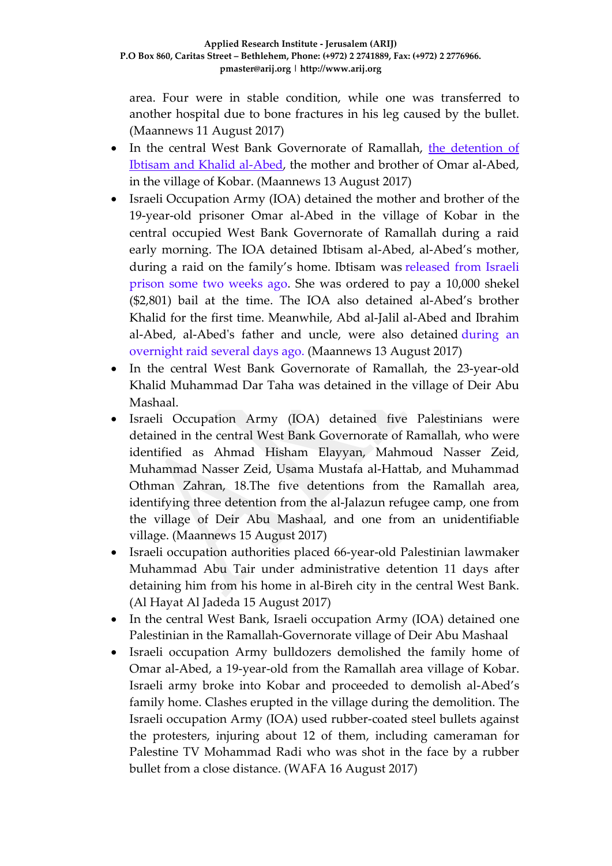area. Four were in stable condition, while one was transferred to another hospital due to bone fractures in his leg caused by the bullet. (Maannews 11 August 2017)

- In the central West Bank Governorate of Ramallah, the [detention](http://www.maannews.com/Content.aspx?id=778667) of Ibtisam and Khalid [al-Abed,](http://www.maannews.com/Content.aspx?id=778667) the mother and brother of Omar al-Abed, in the village of Kobar. (Maannews 13 August 2017)
- Israeli Occupation Army (IOA) detained the mother and brother of the 19-year-old prisoner Omar al-Abed in the village of Kobar in the central occupied West Bank Governorate of Ramallah during a raid early morning. The IOA detained Ibtisam al-Abed, al-Abed's mother, during a raid on the family's home. Ibtisam was [released](http://www.maannews.com/Content.aspx?id=778391) from Israeli [prison](http://www.maannews.com/Content.aspx?id=778391) some two weeks ago. She was ordered to pay a 10,000 shekel (\$2,801) bail at the time. The IOA also detained al-Abed's brother Khalid for the first time. Meanwhile, Abd al-Jalil al-Abed and Ibrahim al-Abed, al-Abed's father and uncle, were also detained [during](http://www.maannews.com/Content.aspx?id=778602) an [overnight](http://www.maannews.com/Content.aspx?id=778602) raid several days ago. (Maannews 13 August 2017)
- In the central West Bank Governorate of Ramallah, the 23-year-old Khalid Muhammad Dar Taha was detained in the village of Deir Abu Mashaal.
- Israeli Occupation Army (IOA) detained five Palestinians were detained in the central West Bank Governorate of Ramallah, who were identified as Ahmad Hisham Elayyan, Mahmoud Nasser Zeid, Muhammad Nasser Zeid, Usama Mustafa al-Hattab, and Muhammad Othman Zahran, 18.The five detentions from the Ramallah area, identifying three detention from the al-Jalazun refugee camp, one from the village of Deir Abu Mashaal, and one from an unidentifiable village. (Maannews 15 August 2017)
- Israeli occupation authorities placed 66-year-old Palestinian lawmaker Muhammad Abu Tair under administrative detention 11 days after detaining him from his home in al-Bireh city in the central West Bank. (Al Hayat Al Jadeda 15 August 2017)
- In the central West Bank, Israeli occupation Army (IOA) detained one Palestinian in the Ramallah-Governorate village of Deir Abu Mashaal
- Israeli occupation Army bulldozers demolished the family home of Omar al-Abed, a 19-year-old from the Ramallah area village of Kobar. Israeli army broke into Kobar and proceeded to demolish al-Abed's family home. Clashes erupted in the village during the demolition. The Israeli occupation Army (IOA) used rubber-coated steel bullets against the protesters, injuring about 12 of them, including cameraman for Palestine TV Mohammad Radi who was shot in the face by a rubber bullet from a close distance. (WAFA 16 August 2017)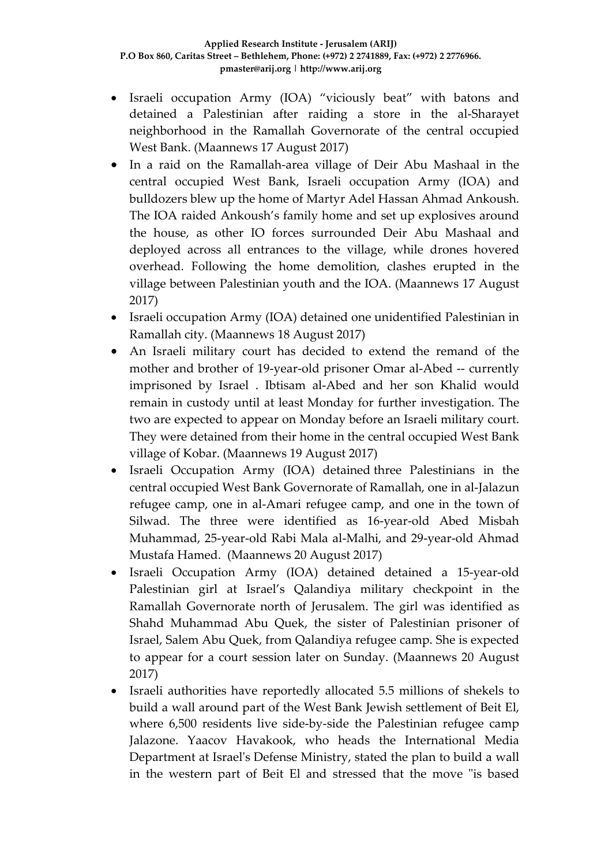- Israeli occupation Army (IOA) "viciously beat" with batons and detained a Palestinian after raiding a store in the al-Sharayet neighborhood in the Ramallah Governorate of the central occupied West Bank. (Maannews 17 August 2017)
- In a raid on the Ramallah-area village of Deir Abu Mashaal in the central occupied West Bank, Israeli occupation Army (IOA) and bulldozers blew up the home of Martyr Adel Hassan Ahmad Ankoush. The IOA raided Ankoush's family home and set up explosives around the house, as other IO forces surrounded Deir Abu Mashaal and deployed across all entrances to the village, while drones hovered overhead. Following the home demolition, clashes erupted in the village between Palestinian youth and the IOA. (Maannews 17 August 2017)
- Israeli occupation Army (IOA) detained one unidentified Palestinian in Ramallah city. (Maannews 18 August 2017)
- An Israeli military court has decided to extend the remand of the mother and brother of 19-year-old prisoner Omar al-Abed -- currently imprisoned by Israel . Ibtisam al-Abed and her son Khalid would remain in custody until at least Monday for further investigation. The two are expected to appear on Monday before an Israeli military court. They were detained from their home in the central occupied West Bank village of Kobar. (Maannews 19 August 2017)
- Israeli Occupation Army (IOA) detained three Palestinians in the central occupied West Bank Governorate of Ramallah, one in al-Jalazun refugee camp, one in al-Amari refugee camp, and one in the town of Silwad. The three were identified as 16-year-old Abed Misbah Muhammad, 25-year-old Rabi Mala al-Malhi, and 29-year-old Ahmad Mustafa Hamed. (Maannews 20 August 2017)
- Israeli Occupation Army (IOA) detained detained a 15-year-old Palestinian girl at Israel's Qalandiya military checkpoint in the Ramallah Governorate north of Jerusalem. The girl was identified as Shahd Muhammad Abu Quek, the sister of Palestinian prisoner of Israel, Salem Abu Quek, from Qalandiya refugee camp. She is expected to appear for a court session later on Sunday. (Maannews 20 August 2017)
- Israeli authorities have reportedly allocated 5.5 millions of shekels to build a wall around part of the West Bank Jewish settlement of Beit El, where 6,500 residents live side-by-side the Palestinian refugee camp Jalazone. Yaacov Havakook, who heads the International Media Department at Israel's Defense Ministry, stated the plan to build a wall in the western part of Beit El and stressed that the move "is based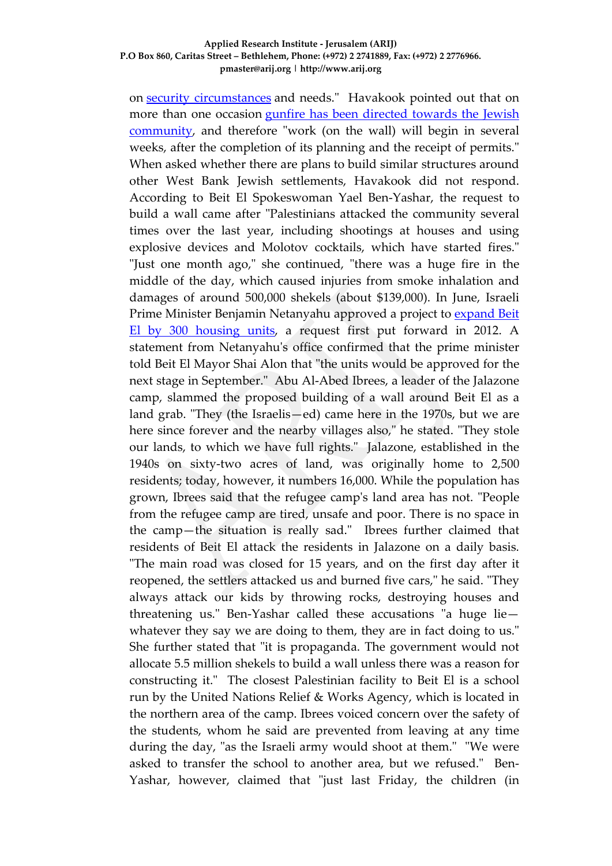#### **Applied Research Institute - Jerusalem (ARIJ) P.O Box 860, Caritas Street – Bethlehem, Phone: (+972) 2 2741889, Fax: (+972) 2 2776966. pmaster@arij.org | http://www.arij.org**

on security [circumstances](http://www.ynetnews.com/articles/0,7340,L-4709836,00.html) and needs." Havakook pointed out that on more than one occasion gunfire has been [directed](http://www.ynetnews.com/articles/0,7340,L-4898081,00.html) towards the Jewish [community,](http://www.ynetnews.com/articles/0,7340,L-4898081,00.html) and therefore "work (on the wall) will begin in several weeks, after the completion of its planning and the receipt of permits." When asked whether there are plans to build similar structures around other West Bank Jewish settlements, Havakook did not respond. According to Beit El Spokeswoman Yael Ben-Yashar, the request to build a wall came after "Palestinians attacked the community several times over the last year, including shootings at houses and using explosive devices and Molotov cocktails, which have started fires." "Just one month ago," she continued, "there was a huge fire in the middle of the day, which caused injuries from smoke inhalation and damages of around 500,000 shekels (about \$139,000). In June, Israeli Prime Minister Benjamin Netanyahu approved a project to **[expand](http://www.ynetnews.com/articles/0,7340,L-4977967,00.html) Beit** El by 300 [housing](http://www.ynetnews.com/articles/0,7340,L-4977967,00.html) units, a request first put forward in 2012. A statement from Netanyahu's office confirmed that the prime minister told Beit El Mayor Shai Alon that "the units would be approved for the next stage in September." Abu Al-Abed Ibrees, a leader of the Jalazone camp, slammed the proposed building of a wall around Beit El as a land grab. "They (the Israelis—ed) came here in the 1970s, but we are here since forever and the nearby villages also," he stated. "They stole our lands, to which we have full rights." Jalazone, established in the 1940s on sixty-two acres of land, was originally home to 2,500 residents; today, however, it numbers 16,000. While the population has grown, Ibrees said that the refugee camp's land area has not. "People from the refugee camp are tired, unsafe and poor. There is no space in the camp—the situation is really sad." Ibrees further claimed that residents of Beit El attack the residents in Jalazone on a daily basis. "The main road was closed for 15 years, and on the first day after it reopened, the settlers attacked us and burned five cars," he said. "They always attack our kids by throwing rocks, destroying houses and threatening us." Ben-Yashar called these accusations "a huge lie whatever they say we are doing to them, they are in fact doing to us." She further stated that "it is propaganda. The government would not allocate 5.5 million shekels to build a wall unless there was a reason for constructing it." The closest Palestinian facility to Beit El is a school run by the United Nations Relief & Works Agency, which is located in the northern area of the camp. Ibrees voiced concern over the safety of the students, whom he said are prevented from leaving at any time during the day, "as the Israeli army would shoot at them." "We were asked to transfer the school to another area, but we refused." Ben-Yashar, however, claimed that "just last Friday, the children (in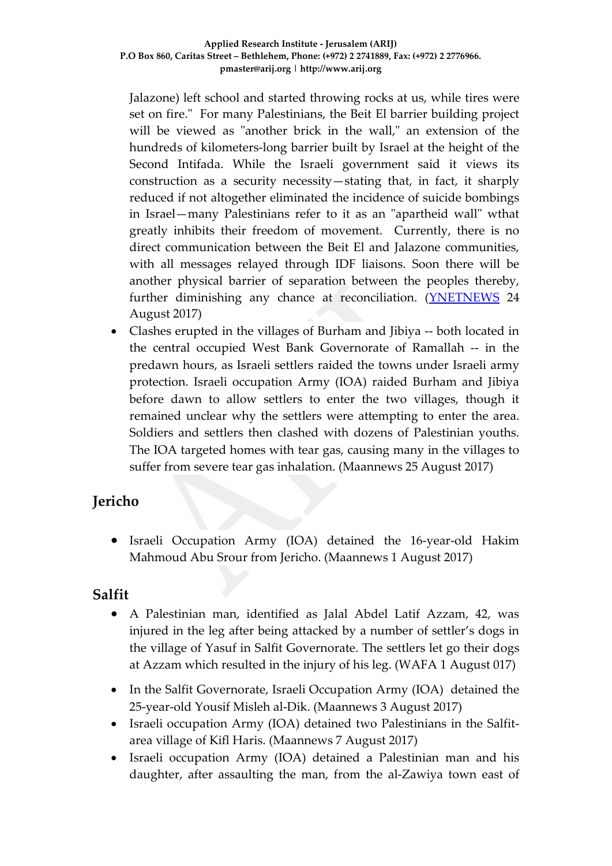Jalazone) left school and started throwing rocks at us, while tires were set on fire." For many Palestinians, the Beit El barrier building project will be viewed as "another brick in the wall," an extension of the hundreds of kilometers-long barrier built by Israel at the height of the Second Intifada. While the Israeli government said it views its construction as a security necessity—stating that, in fact, it sharply reduced if not altogether eliminated the incidence of suicide bombings in Israel—many Palestinians refer to it as an "apartheid wall" wthat greatly inhibits their freedom of movement. Currently, there is no direct communication between the Beit El and Jalazone communities, with all messages relayed through IDF liaisons. Soon there will be another physical barrier of separation between the peoples thereby, further diminishing any chance at reconciliation. [\(YNETNEWS](http://www.ynetnews.com/articles/0,7340,L-5007355,00.html) 24 August 2017)

• Clashes erupted in the villages of Burham and Jibiya -- both located in the central occupied West Bank Governorate of Ramallah -- in the predawn hours, as Israeli settlers raided the towns under Israeli army protection. Israeli occupation Army (IOA) raided Burham and Jibiya before dawn to allow settlers to enter the two villages, though it remained unclear why the settlers were attempting to enter the area. Soldiers and settlers then clashed with dozens of Palestinian youths. The IOA targeted homes with tear gas, causing many in the villages to suffer from severe tear gas inhalation. (Maannews 25 August 2017)

## **Jericho**

• Israeli Occupation Army (IOA) detained the 16-year-old Hakim Mahmoud Abu Srour from Jericho. (Maannews 1 August 2017)

## **Salfit**

- A Palestinian man, identified as Jalal Abdel Latif Azzam, 42, was injured in the leg after being attacked by a number of settler's dogs in the village of Yasuf in Salfit Governorate. The settlers let go their dogs at Azzam which resulted in the injury of his leg. (WAFA 1 August 017)
- In the Salfit Governorate, Israeli Occupation Army (IOA) detained the 25-year-old Yousif Misleh al-Dik. (Maannews 3 August 2017)
- Israeli occupation Army (IOA) detained two Palestinians in the Salfitarea village of Kifl Haris. (Maannews 7 August 2017)
- Israeli occupation Army (IOA) detained a Palestinian man and his daughter, after assaulting the man, from the al-Zawiya town east of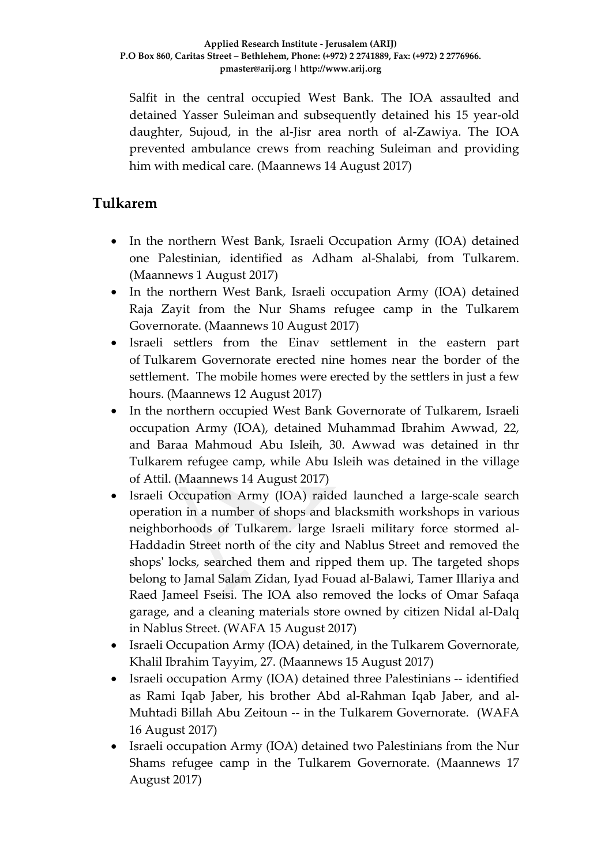Salfit in the central occupied West Bank. The IOA assaulted and detained Yasser Suleiman and subsequently detained his 15 year-old daughter, Sujoud, in the al-Jisr area north of al-Zawiya. The IOA prevented ambulance crews from reaching Suleiman and providing him with medical care. (Maannews 14 August 2017)

### **Tulkarem**

- In the northern West Bank, Israeli Occupation Army (IOA) detained one Palestinian, identified as Adham al-Shalabi, from Tulkarem. (Maannews 1 August 2017)
- In the northern West Bank, Israeli occupation Army (IOA) detained Raja Zayit from the Nur Shams refugee camp in the Tulkarem Governorate. (Maannews 10 August 2017)
- Israeli settlers from the Einav settlement in the eastern part of Tulkarem Governorate erected nine homes near the border of the settlement. The mobile homes were erected by the settlers in just a few hours. (Maannews 12 August 2017)
- In the northern occupied West Bank Governorate of Tulkarem, Israeli occupation Army (IOA), detained Muhammad Ibrahim Awwad, 22, and Baraa Mahmoud Abu Isleih, 30. Awwad was detained in thr Tulkarem refugee camp, while Abu Isleih was detained in the village of Attil. (Maannews 14 August 2017)
- Israeli Occupation Army (IOA) raided launched a large-scale search operation in a number of shops and blacksmith workshops in various neighborhoods of Tulkarem. large Israeli military force stormed al-Haddadin Street north of the city and Nablus Street and removed the shops' locks, searched them and ripped them up. The targeted shops belong to Jamal Salam Zidan, Iyad Fouad al-Balawi, Tamer Illariya and Raed Jameel Fseisi. The IOA also removed the locks of Omar Safaqa garage, and a cleaning materials store owned by citizen Nidal al-Dalq in Nablus Street. (WAFA 15 August 2017)
- Israeli Occupation Army (IOA) detained, in the Tulkarem Governorate, Khalil Ibrahim Tayyim, 27. (Maannews 15 August 2017)
- Israeli occupation Army (IOA) detained three Palestinians -- identified as Rami Iqab Jaber, his brother Abd al-Rahman Iqab Jaber, and al-Muhtadi Billah Abu Zeitoun -- in the Tulkarem Governorate. (WAFA 16 August 2017)
- Israeli occupation Army (IOA) detained two Palestinians from the Nur Shams refugee camp in the Tulkarem Governorate. (Maannews 17 August 2017)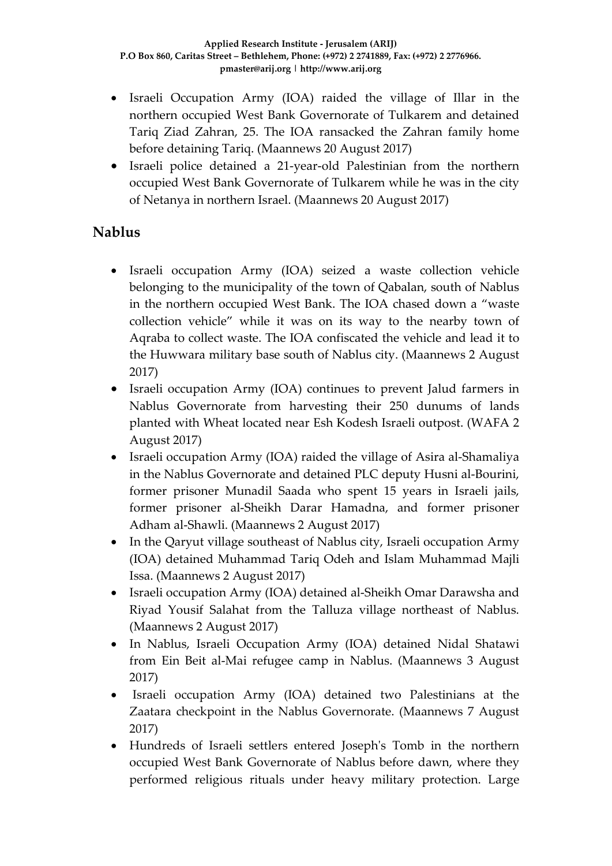- Israeli Occupation Army (IOA) raided the village of Illar in the northern occupied West Bank Governorate of Tulkarem and detained Tariq Ziad Zahran, 25. The IOA ransacked the Zahran family home before detaining Tariq. (Maannews 20 August 2017)
- Israeli police detained a 21-year-old Palestinian from the northern occupied West Bank Governorate of Tulkarem while he was in the city of Netanya in northern Israel. (Maannews 20 August 2017)

## **Nablus**

- Israeli occupation Army (IOA) seized a waste collection vehicle belonging to the municipality of the town of Qabalan, south of Nablus in the northern occupied West Bank. The IOA chased down a "waste collection vehicle" while it was on its way to the nearby town of Aqraba to collect waste. The IOA confiscated the vehicle and lead it to the Huwwara military base south of Nablus city. (Maannews 2 August 2017)
- Israeli occupation Army (IOA) continues to prevent Jalud farmers in Nablus Governorate from harvesting their 250 dunums of lands planted with Wheat located near Esh Kodesh Israeli outpost. (WAFA 2 August 2017)
- Israeli occupation Army (IOA) raided the village of Asira al-Shamaliya in the Nablus Governorate and detained PLC deputy Husni al-Bourini, former prisoner Munadil Saada who spent 15 years in Israeli jails, former prisoner al-Sheikh Darar Hamadna, and former prisoner Adham al-Shawli. (Maannews 2 August 2017)
- In the Qaryut village southeast of Nablus city, Israeli occupation Army (IOA) detained Muhammad Tariq Odeh and Islam Muhammad Majli Issa. (Maannews 2 August 2017)
- Israeli occupation Army (IOA) detained al-Sheikh Omar Darawsha and Riyad Yousif Salahat from the Talluza village northeast of Nablus. (Maannews 2 August 2017)
- In Nablus, Israeli Occupation Army (IOA) detained Nidal Shatawi from Ein Beit al-Mai refugee camp in Nablus. (Maannews 3 August 2017)
- Israeli occupation Army (IOA) detained two Palestinians at the Zaatara checkpoint in the Nablus Governorate. (Maannews 7 August 2017)
- Hundreds of Israeli settlers entered Joseph's Tomb in the northern occupied West Bank Governorate of Nablus before dawn, where they performed religious rituals under heavy military protection. Large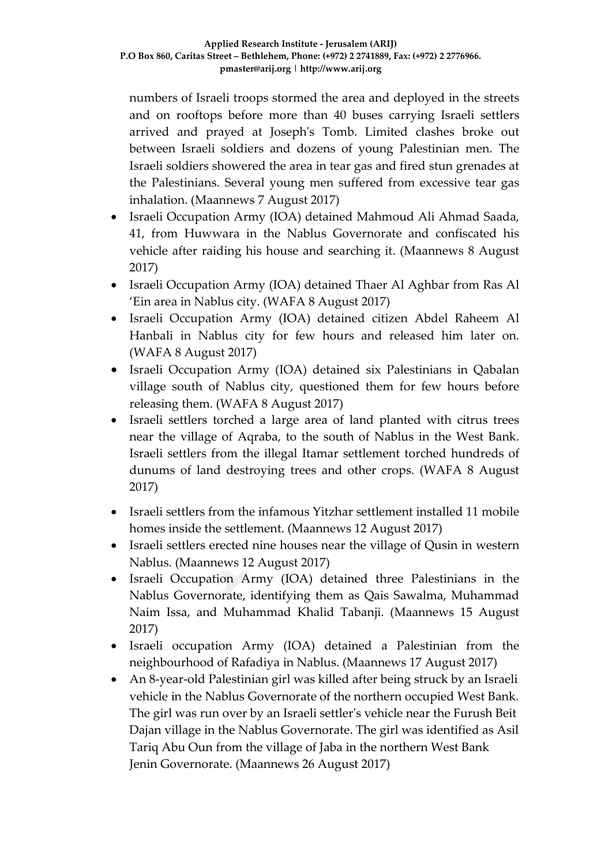numbers of Israeli troops stormed the area and deployed in the streets and on rooftops before more than 40 buses carrying Israeli settlers arrived and prayed at Joseph's Tomb. Limited clashes broke out between Israeli soldiers and dozens of young Palestinian men. The Israeli soldiers showered the area in tear gas and fired stun grenades at the Palestinians. Several young men suffered from excessive tear gas inhalation. (Maannews 7 August 2017)

- Israeli Occupation Army (IOA) detained Mahmoud Ali Ahmad Saada, 41, from Huwwara in the Nablus Governorate and confiscated his vehicle after raiding his house and searching it. (Maannews 8 August 2017)
- Israeli Occupation Army (IOA) detained Thaer Al Aghbar from Ras Al 'Ein area in Nablus city. (WAFA 8 August 2017)
- Israeli Occupation Army (IOA) detained citizen Abdel Raheem Al Hanbali in Nablus city for few hours and released him later on. (WAFA 8 August 2017)
- Israeli Occupation Army (IOA) detained six Palestinians in Qabalan village south of Nablus city, questioned them for few hours before releasing them. (WAFA 8 August 2017)
- Israeli settlers torched a large area of land planted with citrus trees near the village of Aqraba, to the south of Nablus in the West Bank. Israeli settlers from the illegal Itamar settlement torched hundreds of dunums of land destroying trees and other crops. (WAFA 8 August 2017)
- Israeli settlers from the infamous Yitzhar settlement installed 11 mobile homes inside the settlement. (Maannews 12 August 2017)
- Israeli settlers erected nine houses near the village of Qusin in western Nablus. (Maannews 12 August 2017)
- Israeli Occupation Army (IOA) detained three Palestinians in the Nablus Governorate, identifying them as Qais Sawalma, Muhammad Naim Issa, and Muhammad Khalid Tabanji. (Maannews 15 August 2017)
- Israeli occupation Army (IOA) detained a Palestinian from the neighbourhood of Rafadiya in Nablus. (Maannews 17 August 2017)
- An 8-year-old Palestinian girl was killed after being struck by an Israeli vehicle in the Nablus Governorate of the northern occupied West Bank. The girl was run over by an Israeli settler's vehicle near the Furush Beit Dajan village in the Nablus Governorate. The girl was identified as Asil Tariq Abu Oun from the village of Jaba in the northern West Bank Jenin Governorate. (Maannews 26 August 2017)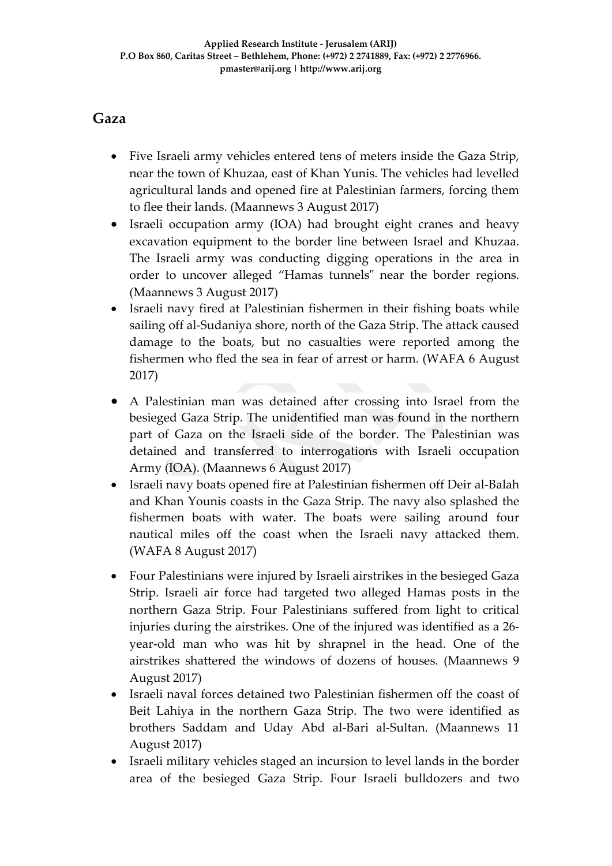### **Gaza**

- Five Israeli army vehicles entered tens of meters inside the Gaza Strip, near the town of Khuzaa, east of Khan Yunis. The vehicles had levelled agricultural lands and opened fire at Palestinian farmers, forcing them to flee their lands. (Maannews 3 August 2017)
- Israeli occupation army (IOA) had brought eight cranes and heavy excavation equipment to the border line between Israel and Khuzaa. The Israeli army was conducting digging operations in the area in order to uncover alleged "Hamas tunnels" near the border regions. (Maannews 3 August 2017)
- Israeli navy fired at Palestinian fishermen in their fishing boats while sailing off al-Sudaniya shore, north of the Gaza Strip. The attack caused damage to the boats, but no casualties were reported among the fishermen who fled the sea in fear of arrest or harm. (WAFA 6 August 2017)
- A Palestinian man was detained after crossing into Israel from the besieged Gaza Strip. The unidentified man was found in the northern part of Gaza on the Israeli side of the border. The Palestinian was detained and transferred to interrogations with Israeli occupation Army (IOA). (Maannews 6 August 2017)
- Israeli navy boats opened fire at Palestinian fishermen off Deir al-Balah and Khan Younis coasts in the Gaza Strip. The navy also splashed the fishermen boats with water. The boats were sailing around four nautical miles off the coast when the Israeli navy attacked them. (WAFA 8 August 2017)
- Four Palestinians were injured by Israeli airstrikes in the besieged Gaza Strip. Israeli air force had targeted two alleged Hamas posts in the northern Gaza Strip. Four Palestinians suffered from light to critical injuries during the airstrikes. One of the injured was identified as a 26 year-old man who was hit by shrapnel in the head. One of the airstrikes shattered the windows of dozens of houses. (Maannews 9 August 2017)
- Israeli naval forces detained two Palestinian fishermen off the coast of Beit Lahiya in the northern Gaza Strip. The two were identified as brothers Saddam and Uday Abd al-Bari al-Sultan. (Maannews 11 August 2017)
- Israeli military vehicles staged an incursion to level lands in the border area of the besieged Gaza Strip. Four Israeli bulldozers and two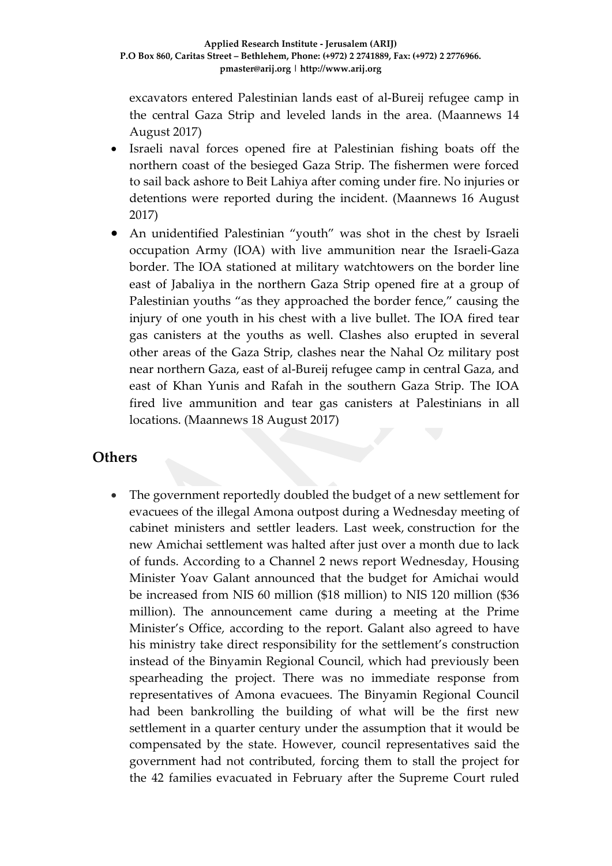excavators entered Palestinian lands east of al-Bureij refugee camp in the central Gaza Strip and leveled lands in the area. (Maannews 14 August 2017)

- Israeli naval forces opened fire at Palestinian fishing boats off the northern coast of the besieged Gaza Strip. The fishermen were forced to sail back ashore to Beit Lahiya after coming under fire. No injuries or detentions were reported during the incident. (Maannews 16 August 2017)
- An unidentified Palestinian "youth" was shot in the chest by Israeli occupation Army (IOA) with live ammunition near the Israeli-Gaza border. The IOA stationed at military watchtowers on the border line east of Jabaliya in the northern Gaza Strip opened fire at a group of Palestinian youths "as they approached the border fence," causing the injury of one youth in his chest with a live bullet. The IOA fired tear gas canisters at the youths as well. Clashes also erupted in several other areas of the Gaza Strip, clashes near the Nahal Oz military post near northern Gaza, east of al-Bureij refugee camp in central Gaza, and east of Khan Yunis and Rafah in the southern Gaza Strip. The IOA fired live ammunition and tear gas canisters at Palestinians in all locations. (Maannews 18 August 2017)

### **Others**

The government reportedly doubled the budget of a new settlement for evacuees of the illegal Amona outpost during a Wednesday meeting of cabinet ministers and settler leaders. Last week, [construction](http://www.timesofisrael.com/construction-of-new-settlement-for-amona-evacuees-frozen-due-to-lack-of-funds/) for the new Amichai [settlement](http://www.timesofisrael.com/construction-of-new-settlement-for-amona-evacuees-frozen-due-to-lack-of-funds/) was halted after just over a month due to lack of funds. According to a Channel 2 news report Wednesday, Housing Minister Yoav Galant announced that the budget for Amichai would be increased from NIS 60 million (\$18 million) to NIS 120 million (\$36 million). The announcement came during a meeting at the Prime Minister's Office, according to the report. Galant also agreed to have his ministry take direct responsibility for the settlement's construction instead of the Binyamin Regional Council, which had previously been spearheading the project. There was no immediate response from representatives of Amona evacuees. The Binyamin Regional Council had been bankrolling the building of what will be the first new settlement in a quarter century under the assumption that it would be compensated by the state. However, council representatives said the government had not contributed, forcing them to stall the project for the 42 families evacuated in February after the Supreme Court ruled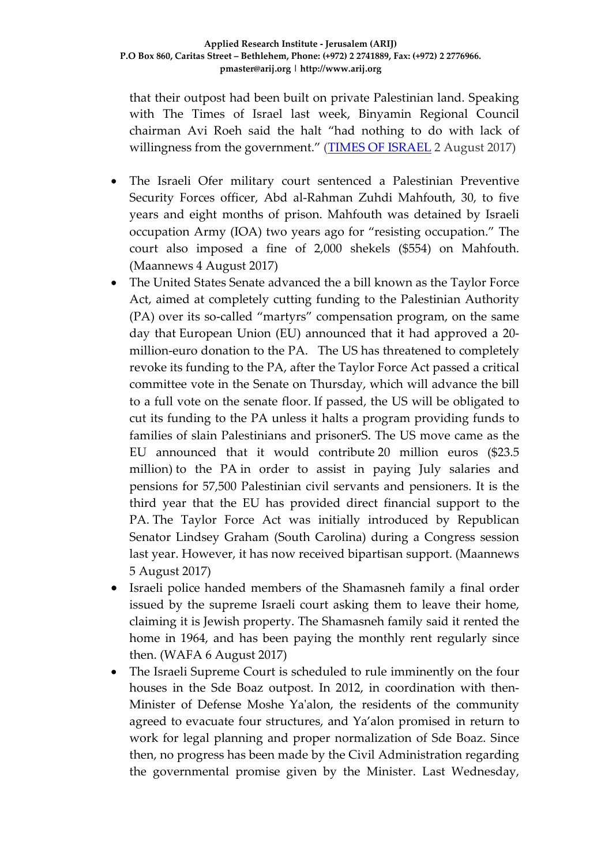that their outpost had been built on private Palestinian land. Speaking with The Times of Israel last week, Binyamin Regional Council chairman Avi Roeh said the halt "had nothing to do with lack of willingness from the government." [\(TIMES OF ISRAEL](http://www.timesofisrael.com/state-doubles-budget-for-new-settlement-after-shortfall/) 2 August 2017)

- The Israeli Ofer military court sentenced a Palestinian Preventive Security Forces officer, Abd al-Rahman Zuhdi Mahfouth, 30, to five years and eight months of prison. Mahfouth was detained by Israeli occupation Army (IOA) two years ago for "resisting occupation." The court also imposed a fine of 2,000 shekels (\$554) on Mahfouth. (Maannews 4 August 2017)
- The United States Senate advanced the a bill known as the Taylor Force Act, aimed at completely cutting funding to the Palestinian Authority (PA) over its so-called "martyrs" compensation program, on the same day that European Union (EU) announced that it had approved a 20 million-euro donation to the PA. The US has threatened to [completely](http://www.maannews.com/Content.aspx?id=775730) revoke its [funding](http://www.maannews.com/Content.aspx?id=775730) to the PA, after the Taylor Force Act passed a critical committee vote in the Senate on Thursday, which will advance the bill to a full vote on the senate floor. If passed, the US will be obligated to cut its funding to the PA unless it halts a program providing funds to families of slain Palestinians and prisonerS. The US move came as the EU announced that it would contribute 20 million euros (\$23.5 million) to the PA in order to assist in paying July salaries and pensions for 57,500 Palestinian civil servants and pensioners. It is the third year that the EU has provided direct financial support to the PA. The Taylor Force Act was initially introduced by Republican Senator Lindsey Graham (South Carolina) during a Congress session last year. However, it has now received bipartisan support. (Maannews 5 August 2017)
- Israeli police handed members of the Shamasneh family a final order issued by the supreme Israeli court asking them to leave their home, claiming it is Jewish property. The Shamasneh family said it rented the home in 1964, and has been paying the monthly rent regularly since then. (WAFA 6 August 2017)
- The Israeli Supreme Court is scheduled to rule imminently on the four houses in the Sde Boaz outpost. In 2012, in coordination with then-Minister of Defense Moshe Ya'alon, the residents of the community agreed to evacuate four structures, and Ya'alon promised in return to work for legal planning and proper normalization of Sde Boaz. Since then, no progress has been made by the Civil Administration regarding the governmental promise given by the Minister. Last Wednesday,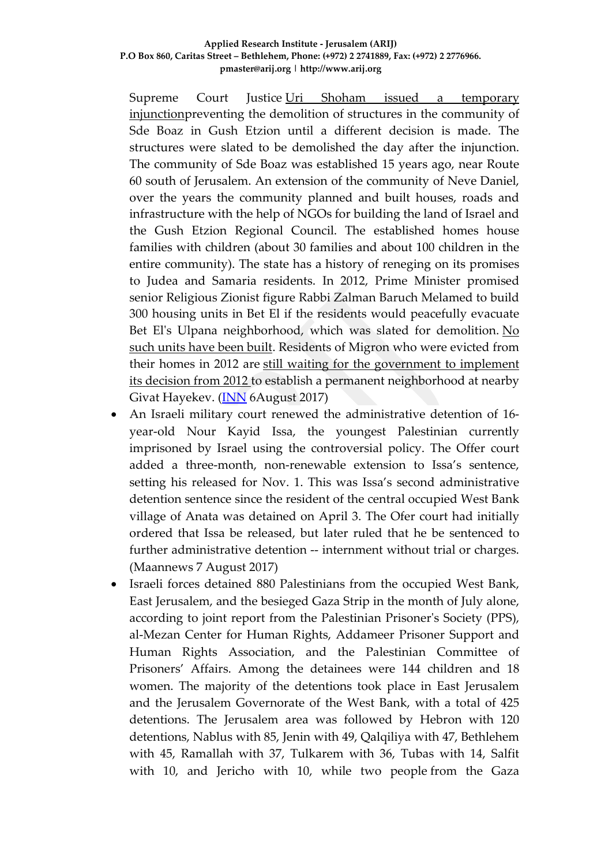#### **Applied Research Institute - Jerusalem (ARIJ) P.O Box 860, Caritas Street – Bethlehem, Phone: (+972) 2 2741889, Fax: (+972) 2 2776966. pmaster@arij.org | http://www.arij.org**

Supreme Court Justice [Uri Shoham issued a temporary](http://www.israelnationalnews.com/News/News.aspx/233354)  [injunctionp](http://www.israelnationalnews.com/News/News.aspx/233354)reventing the demolition of structures in the community of Sde Boaz in Gush Etzion until a different decision is made. The structures were slated to be demolished the day after the injunction. The community of Sde Boaz was established 15 years ago, near Route 60 south of Jerusalem. An extension of the community of Neve Daniel, over the years the community planned and built houses, roads and infrastructure with the help of NGOs for building the land of Israel and the Gush Etzion Regional Council. The established homes house families with children (about 30 families and about 100 children in the entire community). The state has a history of reneging on its promises to Judea and Samaria residents. In 2012, Prime Minister promised senior Religious Zionist figure Rabbi Zalman Baruch Melamed to build 300 housing units in Bet El if the residents would peacefully evacuate Bet El's Ulpana neighborhood, which was slated for demolition. No [such units have been built.](http://www.israelnationalnews.com/News/News.aspx/185422) Residents of Migron who were evicted from their homes in 2012 are [still waiting for the government to implement](http://www.israelnationalnews.com/News/Flash.aspx/394489)  [its decision from 2012](http://www.israelnationalnews.com/News/Flash.aspx/394489) to establish a permanent neighborhood at nearby Givat Hayekev. (**INN** 6August 2017)

- An Israeli military court renewed the administrative detention of 16 year-old Nour Kayid Issa, the youngest Palestinian currently imprisoned by Israel using the controversial policy. The Offer court added a three-month, non-renewable extension to Issa's sentence, setting his released for Nov. 1. This was Issa's second administrative detention sentence since the resident of the central occupied West Bank village of Anata was detained on April 3. The Ofer court had initially ordered that Issa be released, but later ruled that he be sentenced to further administrative detention -- internment without trial or charges. (Maannews 7 August 2017)
- Israeli forces detained 880 Palestinians from the occupied West Bank, East Jerusalem, and the besieged Gaza Strip in the month of July alone, according to joint report from the Palestinian Prisoner's Society (PPS), al-Mezan Center for Human Rights, Addameer Prisoner Support and Human Rights Association, and the Palestinian Committee of Prisoners' Affairs. Among the detainees were 144 children and 18 women. The majority of the detentions took place in East Jerusalem and the Jerusalem Governorate of the West Bank, with a total of 425 detentions. The Jerusalem area was followed by Hebron with 120 detentions, Nablus with 85, Jenin with 49, Qalqiliya with 47, Bethlehem with 45, Ramallah with 37, Tulkarem with 36, Tubas with 14, Salfit with 10, and Jericho with 10, while two people from the Gaza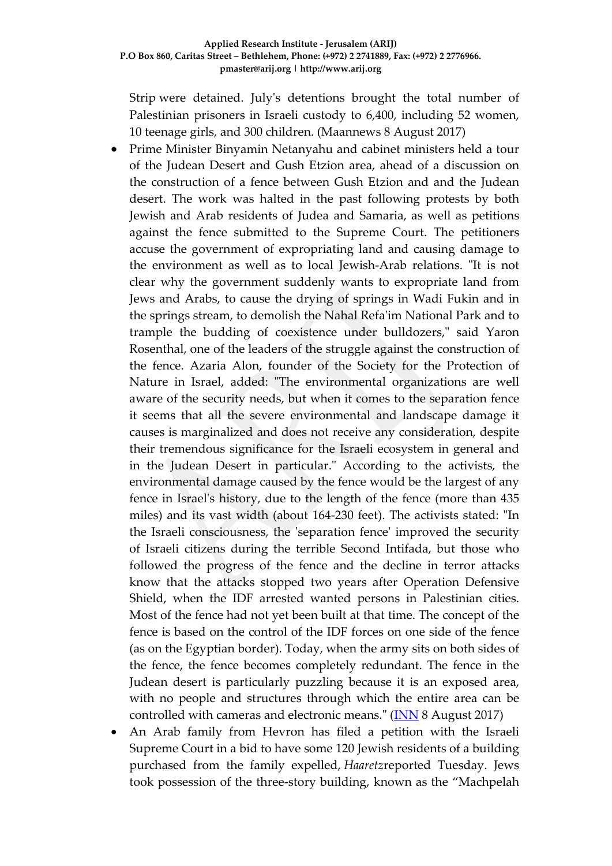Strip were detained. July's detentions brought the total number of Palestinian prisoners in Israeli custody to 6,400, including 52 women, 10 teenage girls, and 300 children. (Maannews 8 August 2017)

- Prime Minister Binyamin Netanyahu and cabinet ministers held a tour of the Judean Desert and Gush Etzion area, ahead of a discussion on the construction of a fence between Gush Etzion and and the Judean desert. The work was halted in the past following protests by both Jewish and Arab residents of Judea and Samaria, as well as petitions against the fence submitted to the Supreme Court. The petitioners accuse the government of expropriating land and causing damage to the environment as well as to local Jewish-Arab relations. "It is not clear why the government suddenly wants to expropriate land from Jews and Arabs, to cause the drying of springs in Wadi Fukin and in the springs stream, to demolish the Nahal Refa'im National Park and to trample the budding of coexistence under bulldozers," said Yaron Rosenthal, one of the leaders of the struggle against the construction of the fence. Azaria Alon, founder of the Society for the Protection of Nature in Israel, added: "The environmental organizations are well aware of the security needs, but when it comes to the separation fence it seems that all the severe environmental and landscape damage it causes is marginalized and does not receive any consideration, despite their tremendous significance for the Israeli ecosystem in general and in the Judean Desert in particular." According to the activists, the environmental damage caused by the fence would be the largest of any fence in Israel's history, due to the length of the fence (more than 435 miles) and its vast width (about 164-230 feet). The activists stated: "In the Israeli consciousness, the 'separation fence' improved the security of Israeli citizens during the terrible Second Intifada, but those who followed the progress of the fence and the decline in terror attacks know that the attacks stopped two years after Operation Defensive Shield, when the IDF arrested wanted persons in Palestinian cities. Most of the fence had not yet been built at that time. The concept of the fence is based on the control of the IDF forces on one side of the fence (as on the Egyptian border). Today, when the army sits on both sides of the fence, the fence becomes completely redundant. The fence in the Judean desert is particularly puzzling because it is an exposed area, with no people and structures through which the entire area can be controlled with cameras and electronic means." [\(INN](http://www.israelnationalnews.com/News/News.aspx/233615) 8 August 2017)
- An Arab family from Hevron has filed a petition with the Israeli Supreme Court in a bid to have some 120 Jewish residents of a building purchased from the family expelled, *Haaretz*reported Tuesday. Jews took possession of the three-story building, known as the "Machpelah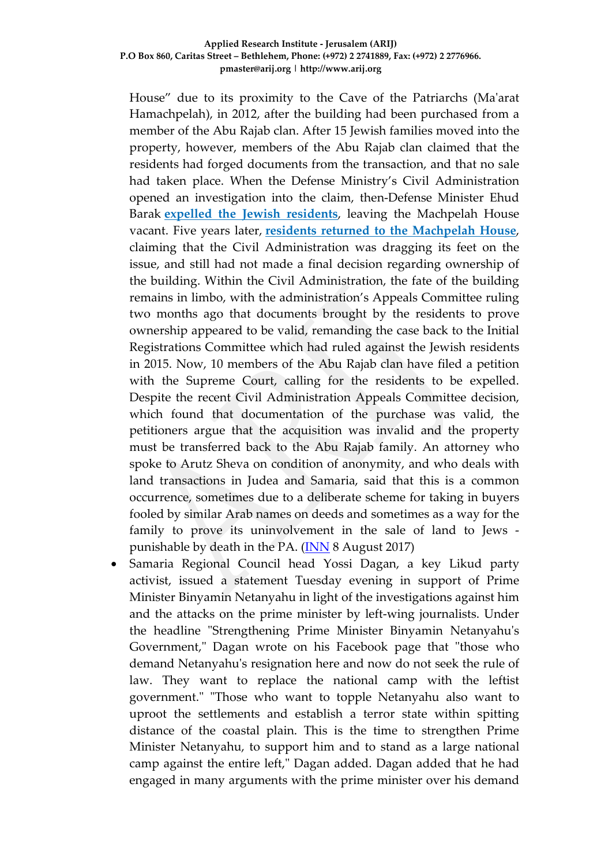#### **Applied Research Institute - Jerusalem (ARIJ) P.O Box 860, Caritas Street – Bethlehem, Phone: (+972) 2 2741889, Fax: (+972) 2 2776966. pmaster@arij.org | http://www.arij.org**

House" due to its proximity to the Cave of the Patriarchs (Ma'arat Hamachpelah), in 2012, after the building had been purchased from a member of the Abu Rajab clan. After 15 Jewish families moved into the property, however, members of the Abu Rajab clan claimed that the residents had forged documents from the transaction, and that no sale had taken place. When the Defense Ministry's Civil Administration opened an investigation into the claim, then-Defense Minister Ehud Barak **[expelled the Jewish residents](http://www.israelnationalnews.com/News/News.aspx/154501%23.T4Hv5hUxjK0)**, leaving the Machpelah House vacant. Five years later, **[residents returned to the Machpelah House](http://www.israelnationalnews.com/News/News.aspx/232973)**, claiming that the Civil Administration was dragging its feet on the issue, and still had not made a final decision regarding ownership of the building. Within the Civil Administration, the fate of the building remains in limbo, with the administration's Appeals Committee ruling two months ago that documents brought by the residents to prove ownership appeared to be valid, remanding the case back to the Initial Registrations Committee which had ruled against the Jewish residents in 2015. Now, 10 members of the Abu Rajab clan have filed a petition with the Supreme Court, calling for the residents to be expelled. Despite the recent Civil Administration Appeals Committee decision, which found that documentation of the purchase was valid, the petitioners argue that the acquisition was invalid and the property must be transferred back to the Abu Rajab family. An attorney who spoke to Arutz Sheva on condition of anonymity, and who deals with land transactions in Judea and Samaria, said that this is a common occurrence, sometimes due to a deliberate scheme for taking in buyers fooled by similar Arab names on deeds and sometimes as a way for the family to prove its uninvolvement in the sale of land to Jews punishable by death in the PA. [\(INN](http://www.israelnationalnews.com/News/News.aspx/233601) 8 August 2017)

• Samaria Regional Council head Yossi Dagan, a key Likud party activist, issued a statement Tuesday evening in support of Prime Minister Binyamin Netanyahu in light of the investigations against him and the attacks on the prime minister by left-wing journalists. Under the headline "Strengthening Prime Minister Binyamin Netanyahu's Government," Dagan wrote on his Facebook page that "those who demand Netanyahu's resignation here and now do not seek the rule of law. They want to replace the national camp with the leftist government." "Those who want to topple Netanyahu also want to uproot the settlements and establish a terror state within spitting distance of the coastal plain. This is the time to strengthen Prime Minister Netanyahu, to support him and to stand as a large national camp against the entire left," Dagan added. Dagan added that he had engaged in many arguments with the prime minister over his demand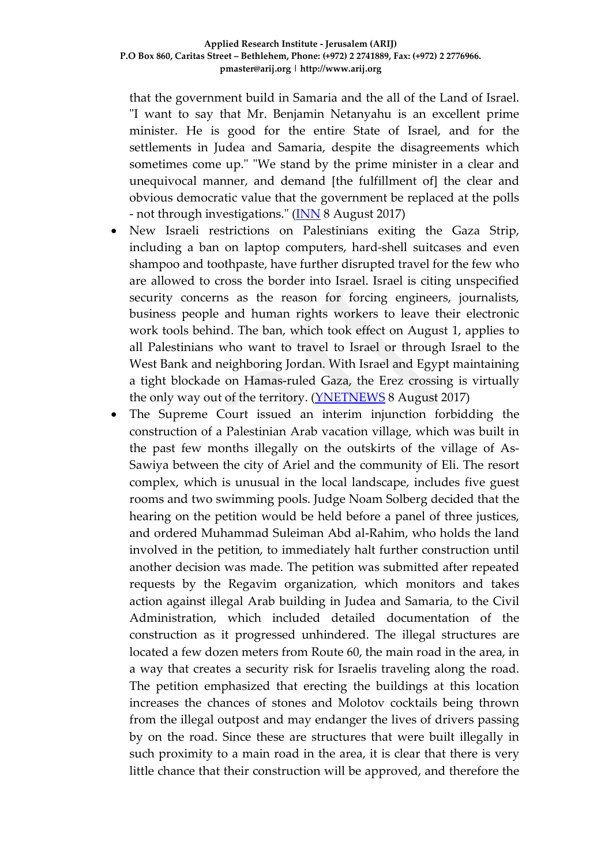that the government build in Samaria and the all of the Land of Israel. "I want to say that Mr. Benjamin Netanyahu is an excellent prime minister. He is good for the entire State of Israel, and for the settlements in Judea and Samaria, despite the disagreements which sometimes come up." "We stand by the prime minister in a clear and unequivocal manner, and demand [the fulfillment of] the clear and obvious democratic value that the government be replaced at the polls - not through investigations." [\(INN](http://www.israelnationalnews.com/News/News.aspx/233633) 8 August 2017)

- New Israeli restrictions on Palestinians exiting the Gaza Strip, including a ban on laptop computers, hard-shell suitcases and even shampoo and toothpaste, have further disrupted travel for the few who are allowed to cross the border into Israel. Israel is citing unspecified security concerns as the reason for forcing engineers, journalists, business people and human rights workers to leave their electronic work tools behind. The ban, which took effect on August 1, applies to all Palestinians who want to travel to Israel or through Israel to the West Bank and neighboring Jordan. With Israel and Egypt maintaining a tight blockade on Hamas-ruled Gaza, the Erez crossing is virtually the only way out of the territory. (**YNETNEWS** 8 August 2017)
- The Supreme Court issued an interim injunction forbidding the construction of a Palestinian Arab vacation village, which was built in the past few months illegally on the outskirts of the village of As-Sawiya between the city of Ariel and the community of Eli. The resort complex, which is unusual in the local landscape, includes five guest rooms and two swimming pools. Judge Noam Solberg decided that the hearing on the petition would be held before a panel of three justices, and ordered Muhammad Suleiman Abd al-Rahim, who holds the land involved in the petition, to immediately halt further construction until another decision was made. The petition was submitted after repeated requests by the Regavim organization, which monitors and takes action against illegal Arab building in Judea and Samaria, to the Civil Administration, which included detailed documentation of the construction as it progressed unhindered. The illegal structures are located a few dozen meters from Route 60, the main road in the area, in a way that creates a security risk for Israelis traveling along the road. The petition emphasized that erecting the buildings at this location increases the chances of stones and Molotov cocktails being thrown from the illegal outpost and may endanger the lives of drivers passing by on the road. Since these are structures that were built illegally in such proximity to a main road in the area, it is clear that there is very little chance that their construction will be approved, and therefore the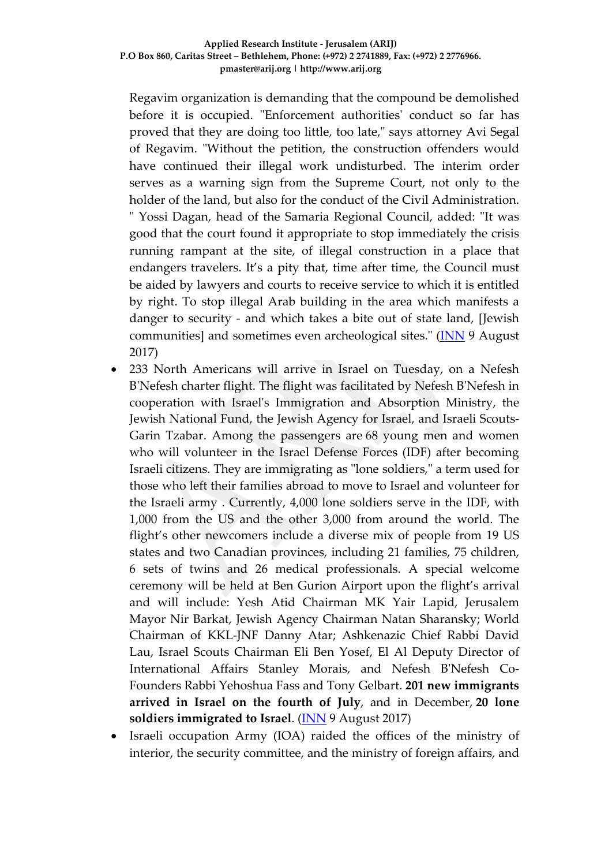Regavim organization is demanding that the compound be demolished before it is occupied. "Enforcement authorities' conduct so far has proved that they are doing too little, too late," says attorney Avi Segal of Regavim. "Without the petition, the construction offenders would have continued their illegal work undisturbed. The interim order serves as a warning sign from the Supreme Court, not only to the holder of the land, but also for the conduct of the Civil Administration. " Yossi Dagan, head of the Samaria Regional Council, added: "It was good that the court found it appropriate to stop immediately the crisis running rampant at the site, of illegal construction in a place that endangers travelers. It's a pity that, time after time, the Council must be aided by lawyers and courts to receive service to which it is entitled by right. To stop illegal Arab building in the area which manifests a danger to security - and which takes a bite out of state land, [Jewish communities] and sometimes even archeological sites." [\(INN](http://www.israelnationalnews.com/News/News.aspx/233683) 9 August 2017)

- 233 North Americans will arrive in Israel on Tuesday, on a Nefesh B'Nefesh charter flight. The flight was facilitated by Nefesh B'Nefesh in cooperation with Israel's Immigration and Absorption Ministry, the Jewish National Fund, the Jewish Agency for Israel, and Israeli Scouts-Garin Tzabar. Among the passengers are 68 young men and women who will volunteer in the Israel Defense Forces (IDF) after becoming Israeli citizens. They are immigrating as "lone soldiers," a term used for those who left their families abroad to move to Israel and volunteer for the Israeli army . Currently, 4,000 lone soldiers serve in the IDF, with 1,000 from the US and the other 3,000 from around the world. The flight's other newcomers include a diverse mix of people from 19 US states and two Canadian provinces, including 21 families, 75 children, 6 sets of twins and 26 medical professionals. A special welcome ceremony will be held at Ben Gurion Airport upon the flight's arrival and will include: Yesh Atid Chairman MK Yair Lapid, Jerusalem Mayor Nir Barkat, Jewish Agency Chairman Natan Sharansky; World Chairman of KKL-JNF Danny Atar; Ashkenazic Chief Rabbi David Lau, Israel Scouts Chairman Eli Ben Yosef, El Al Deputy Director of International Affairs Stanley Morais, and Nefesh B'Nefesh Co-Founders Rabbi Yehoshua Fass and Tony Gelbart. **201 new immigrants arrived in Israel on the fourth of July**, and in December, **20 lone soldiers immigrated to Israel**. [\(INN](http://www.israelnationalnews.com/News/News.aspx/233673) 9 August 2017)
- Israeli occupation Army (IOA) raided the offices of the ministry of interior, the security committee, and the ministry of foreign affairs, and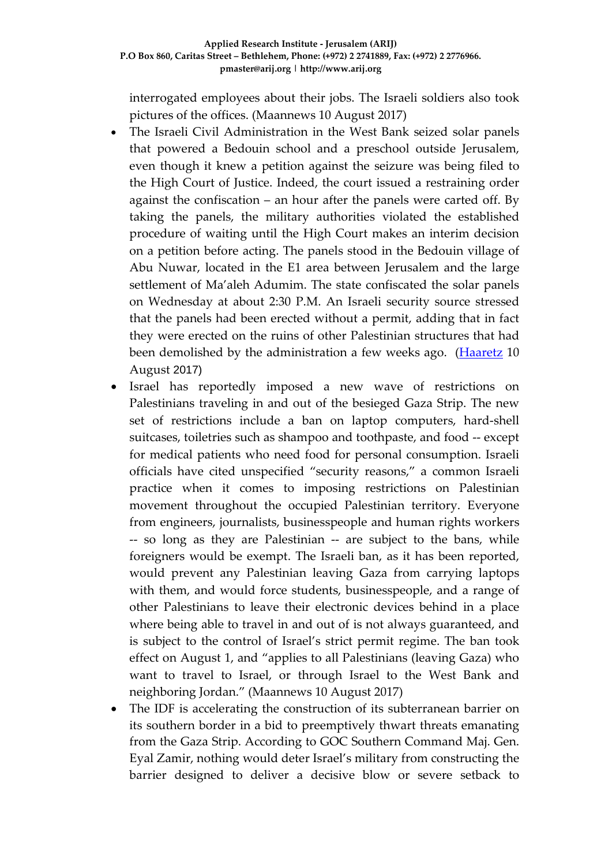interrogated employees about their jobs. The Israeli soldiers also took pictures of the offices. (Maannews 10 August 2017)

- The Israeli Civil Administration in the West Bank seized solar panels that powered a Bedouin school and a preschool outside Jerusalem, even though it knew a petition against the seizure was being filed to the High Court of Justice. Indeed, the court issued a restraining order against the confiscation – an hour after the panels were carted off. By taking the panels, the military authorities violated the established procedure of waiting until the High Court makes an interim decision on a petition before acting. The panels stood in the Bedouin village of Abu Nuwar, located in the E1 area between Jerusalem and the large settlement of Ma'aleh Adumim. The state confiscated the solar panels on Wednesday at about 2:30 P.M. An Israeli security source stressed that the panels had been erected without a permit, adding that in fact they were erected on the ruins of other Palestinian structures that had been demolished by the administration a few weeks ago. [\(Haaretz](http://www.haaretz.com/israel-news/.premium-1.806053) 10 August 2017)
- Israel has reportedly imposed a new wave of restrictions on Palestinians traveling in and out of the besieged Gaza Strip. The new set of restrictions include a ban on laptop computers, hard-shell suitcases, toiletries such as shampoo and toothpaste, and food -- except for medical patients who need food for personal consumption. Israeli officials have cited unspecified "security reasons," a common Israeli practice when it comes to imposing restrictions on Palestinian movement throughout the occupied Palestinian territory. Everyone from engineers, journalists, businesspeople and human rights workers -- so long as they are Palestinian -- are subject to the bans, while foreigners would be exempt. The Israeli ban, as it has been reported, would prevent any Palestinian leaving Gaza from carrying laptops with them, and would force students, businesspeople, and a range of other Palestinians to leave their electronic devices behind in a place where being able to travel in and out of is not always guaranteed, and is subject to the control of Israel's strict permit regime. The ban took effect on August 1, and "applies to all Palestinians (leaving Gaza) who want to travel to Israel, or through Israel to the West Bank and neighboring Jordan." (Maannews 10 August 2017)
- The IDF is accelerating the construction of its subterranean barrier on its southern border in a bid to preemptively thwart threats emanating from the Gaza Strip. According to GOC Southern Command Maj. Gen. Eyal Zamir, nothing would deter Israel's military from constructing the barrier designed to deliver a decisive blow or severe setback to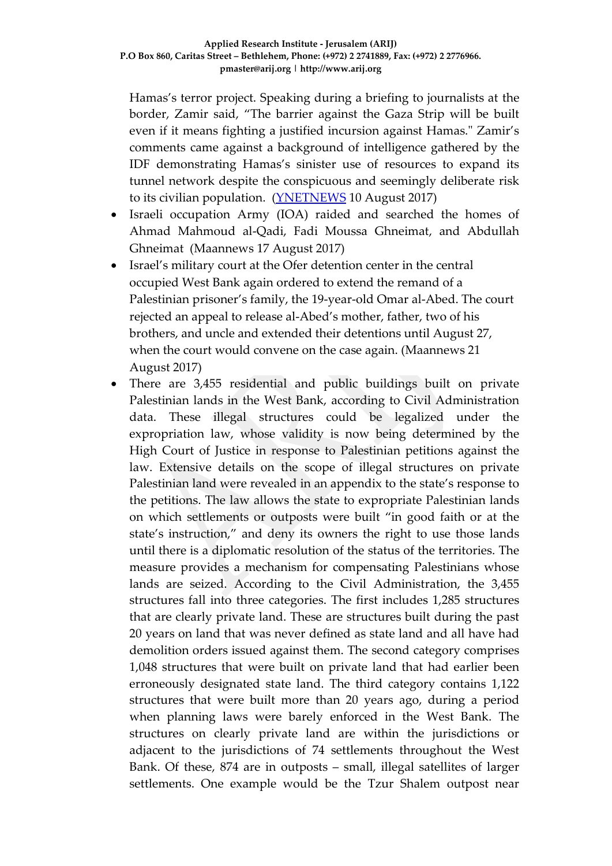Hamas's terror project. Speaking during a briefing to journalists at the border, Zamir said, "The barrier against the Gaza Strip will be built even if it means fighting a justified incursion against Hamas." Zamir's comments came against a background of intelligence gathered by the IDF demonstrating Hamas's sinister use of resources to expand its tunnel network despite the conspicuous and seemingly deliberate risk to its civilian population. [\(YNETNEWS](http://www.ynetnews.com/articles/0,7340,L-5001142,00.html) 10 August 2017)

- Israeli occupation Army (IOA) raided and searched the homes of Ahmad Mahmoud al-Qadi, Fadi Moussa Ghneimat, and Abdullah Ghneimat (Maannews 17 August 2017)
- Israel's military court at the Ofer detention center in the central occupied West Bank again ordered to extend the remand of a Palestinian prisoner's family, the 19-year-old Omar al-Abed. The court rejected an appeal to release al-Abed's mother, father, two of his brothers, and uncle and extended their detentions until August 27, when the court would convene on the case again. (Maannews 21 August 2017)
- There are 3,455 residential and public buildings built on private Palestinian lands in the West Bank, according to Civil Administration data. These illegal structures could be legalized under the expropriation law, whose validity is now being determined by the High Court of Justice in response to Palestinian petitions against the law. Extensive details on the scope of illegal structures on private Palestinian land were revealed in an appendix to the state's response to the petitions. The law allows the state to expropriate Palestinian lands on which settlements or outposts were built "in good faith or at the state's instruction," and deny its owners the right to use those lands until there is a diplomatic resolution of the status of the territories. The measure provides a mechanism for compensating Palestinians whose lands are seized. According to the Civil Administration, the 3,455 structures fall into three categories. The first includes 1,285 structures that are clearly private land. These are structures built during the past 20 years on land that was never defined as state land and all have had demolition orders issued against them. The second category comprises 1,048 structures that were built on private land that had earlier been erroneously designated state land. The third category contains 1,122 structures that were built more than 20 years ago, during a period when planning laws were barely enforced in the West Bank. The structures on clearly private land are within the jurisdictions or adjacent to the jurisdictions of 74 settlements throughout the West Bank. Of these, 874 are in outposts – small, illegal satellites of larger settlements. One example would be the Tzur Shalem outpost near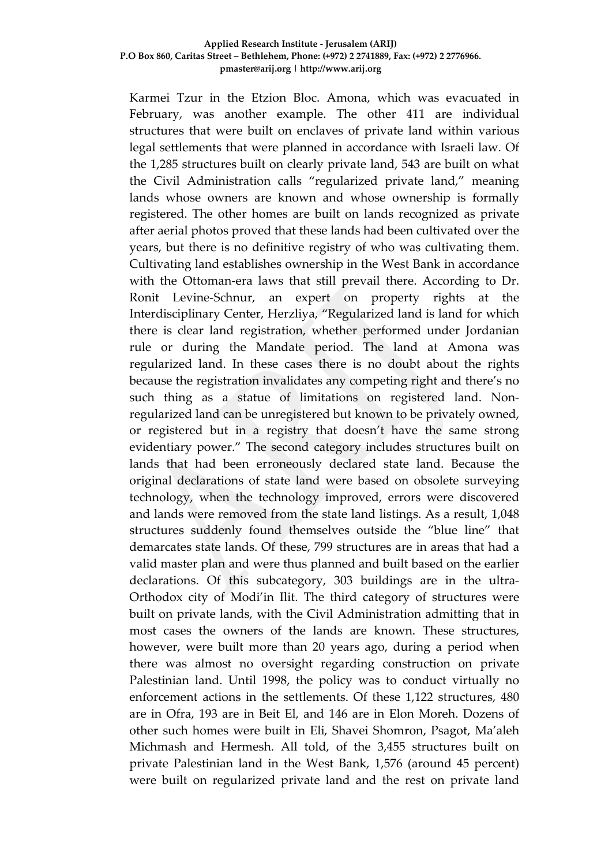#### **Applied Research Institute - Jerusalem (ARIJ) P.O Box 860, Caritas Street – Bethlehem, Phone: (+972) 2 2741889, Fax: (+972) 2 2776966. pmaster@arij.org | http://www.arij.org**

Karmei Tzur in the Etzion Bloc. Amona, which was evacuated in February, was another example. The other 411 are individual structures that were built on enclaves of private land within various legal settlements that were planned in accordance with Israeli law. Of the 1,285 structures built on clearly private land, 543 are built on what the Civil Administration calls "regularized private land," meaning lands whose owners are known and whose ownership is formally registered. The other homes are built on lands recognized as private after aerial photos proved that these lands had been cultivated over the years, but there is no definitive registry of who was cultivating them. Cultivating land establishes ownership in the West Bank in accordance with the Ottoman-era laws that still prevail there. According to Dr. Ronit Levine-Schnur, an expert on property rights at the Interdisciplinary Center, Herzliya, "Regularized land is land for which there is clear land registration, whether performed under Jordanian rule or during the Mandate period. The land at Amona was regularized land. In these cases there is no doubt about the rights because the registration invalidates any competing right and there's no such thing as a statue of limitations on registered land. Nonregularized land can be unregistered but known to be privately owned, or registered but in a registry that doesn't have the same strong evidentiary power." The second category includes structures built on lands that had been erroneously declared state land. Because the original declarations of state land were based on obsolete surveying technology, when the technology improved, errors were discovered and lands were removed from the state land listings. As a result, 1,048 structures suddenly found themselves outside the "blue line" that demarcates state lands. Of these, 799 structures are in areas that had a valid master plan and were thus planned and built based on the earlier declarations. Of this subcategory, 303 buildings are in the ultra-Orthodox city of Modi'in Ilit. The third category of structures were built on private lands, with the Civil Administration admitting that in most cases the owners of the lands are known. These structures, however, were built more than 20 years ago, during a period when there was almost no oversight regarding construction on private Palestinian land. Until 1998, the policy was to conduct virtually no enforcement actions in the settlements. Of these 1,122 structures, 480 are in Ofra, 193 are in Beit El, and 146 are in Elon Moreh. Dozens of other such homes were built in Eli, Shavei Shomron, Psagot, Ma'aleh Michmash and Hermesh. All told, of the 3,455 structures built on private Palestinian land in the West Bank, 1,576 (around 45 percent) were built on regularized private land and the rest on private land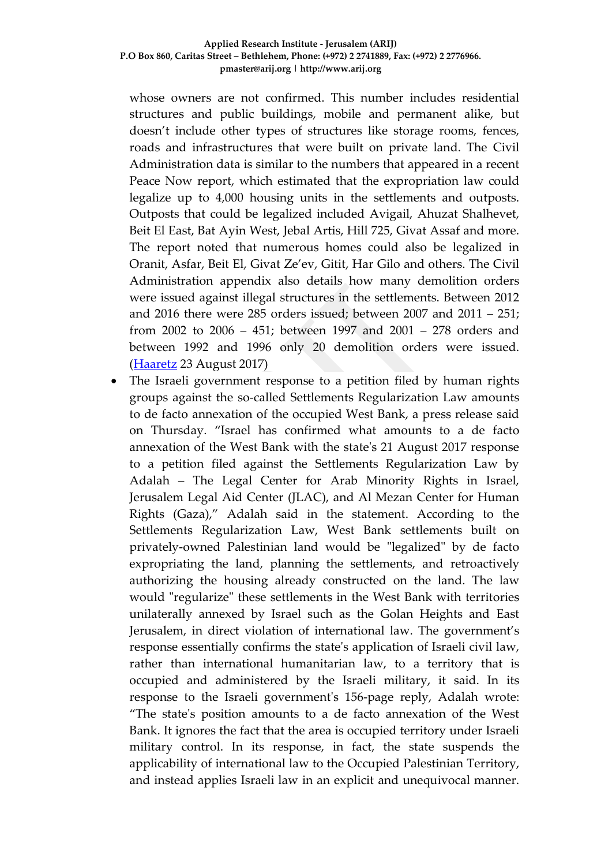#### **Applied Research Institute - Jerusalem (ARIJ) P.O Box 860, Caritas Street – Bethlehem, Phone: (+972) 2 2741889, Fax: (+972) 2 2776966. pmaster@arij.org | http://www.arij.org**

whose owners are not confirmed. This number includes residential structures and public buildings, mobile and permanent alike, but doesn't include other types of structures like storage rooms, fences, roads and infrastructures that were built on private land. The Civil Administration data is similar to the numbers that appeared in a recent Peace Now report, which estimated that the expropriation law could legalize up to 4,000 housing units in the settlements and outposts. Outposts that could be legalized included Avigail, Ahuzat Shalhevet, Beit El East, Bat Ayin West, Jebal Artis, Hill 725, Givat Assaf and more. The report noted that numerous homes could also be legalized in Oranit, Asfar, Beit El, Givat Ze'ev, Gitit, Har Gilo and others. The Civil Administration appendix also details how many demolition orders were issued against illegal structures in the settlements. Between 2012 and 2016 there were 285 orders issued; between 2007 and 2011 – 251; from 2002 to 2006 – 451; between 1997 and 2001 – 278 orders and between 1992 and 1996 only 20 demolition orders were issued. [\(Haaretz](http://www.haaretz.com/israel-news/.premium-1.808442) 23 August 2017)

The Israeli government response to a petition filed by human rights groups against the so-called Settlements Regularization Law amounts to de facto annexation of the occupied West Bank, a press release said on Thursday. "Israel has confirmed what amounts to a de facto annexation of the West Bank with the state's 21 August 2017 response to a petition filed against the Settlements Regularization Law by Adalah – The Legal Center for Arab Minority Rights in Israel, Jerusalem Legal Aid Center (JLAC), and Al Mezan Center for Human Rights (Gaza)," Adalah said in the statement. According to the Settlements Regularization Law, West Bank settlements built on privately-owned Palestinian land would be "legalized" by de facto expropriating the land, planning the settlements, and retroactively authorizing the housing already constructed on the land. The law would "regularize" these settlements in the West Bank with territories unilaterally annexed by Israel such as the Golan Heights and East Jerusalem, in direct violation of international law. The government's response essentially confirms the state's application of Israeli civil law, rather than international humanitarian law, to a territory that is occupied and administered by the Israeli military, it said. In its response to the Israeli government's 156-page reply, Adalah wrote: "The state's position amounts to a de facto annexation of the West Bank. It ignores the fact that the area is occupied territory under Israeli military control. In its response, in fact, the state suspends the applicability of international law to the Occupied Palestinian Territory, and instead applies Israeli law in an explicit and unequivocal manner.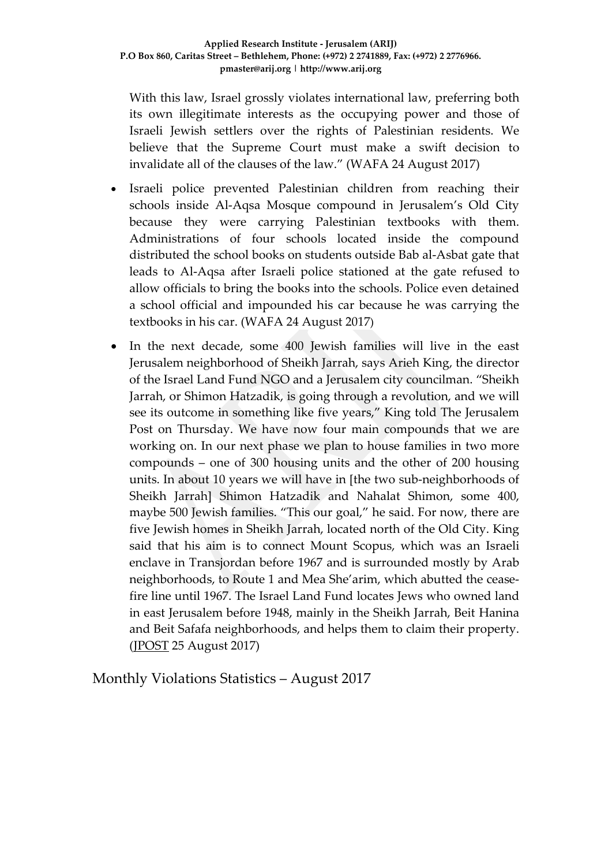With this law, Israel grossly violates international law, preferring both its own illegitimate interests as the occupying power and those of Israeli Jewish settlers over the rights of Palestinian residents. We believe that the Supreme Court must make a swift decision to invalidate all of the clauses of the law." (WAFA 24 August 2017)

- Israeli police prevented Palestinian children from reaching their schools inside Al-Aqsa Mosque compound in Jerusalem's Old City because they were carrying Palestinian textbooks with them. Administrations of four schools located inside the compound distributed the school books on students outside Bab al-Asbat gate that leads to Al-Aqsa after Israeli police stationed at the gate refused to allow officials to bring the books into the schools. Police even detained a school official and impounded his car because he was carrying the textbooks in his car. (WAFA 24 August 2017)
- In the next decade, some 400 Jewish families will live in the east Jerusalem neighborhood of Sheikh Jarrah, says Arieh King, the director of the Israel Land Fund NGO and a Jerusalem city councilman. "Sheikh Jarrah, or Shimon Hatzadik, is going through a revolution, and we will see its outcome in something like five years," King told The Jerusalem Post on Thursday. We have now four main compounds that we are working on. In our next phase we plan to house families in two more compounds – one of 300 housing units and the other of 200 housing units. In about 10 years we will have in [the two sub-neighborhoods of Sheikh Jarrah] Shimon Hatzadik and Nahalat Shimon, some 400, maybe 500 Jewish families. "This our goal," he said. For now, there are five Jewish homes in Sheikh Jarrah, located north of the Old City. King said that his aim is to connect Mount Scopus, which was an Israeli enclave in Transjordan before 1967 and is surrounded mostly by Arab neighborhoods, to Route 1 and Mea She'arim, which abutted the ceasefire line until 1967. The Israel Land Fund locates Jews who owned land in east Jerusalem before 1948, mainly in the Sheikh Jarrah, Beit Hanina and Beit Safafa neighborhoods, and helps them to claim their property. [\(JPOST](http://www.jpost.com/Israel-News/In-10-years-400-Jewish-families-will-live-in-Sheikh-503346) 25 August 2017)

Monthly Violations Statistics – August 2017